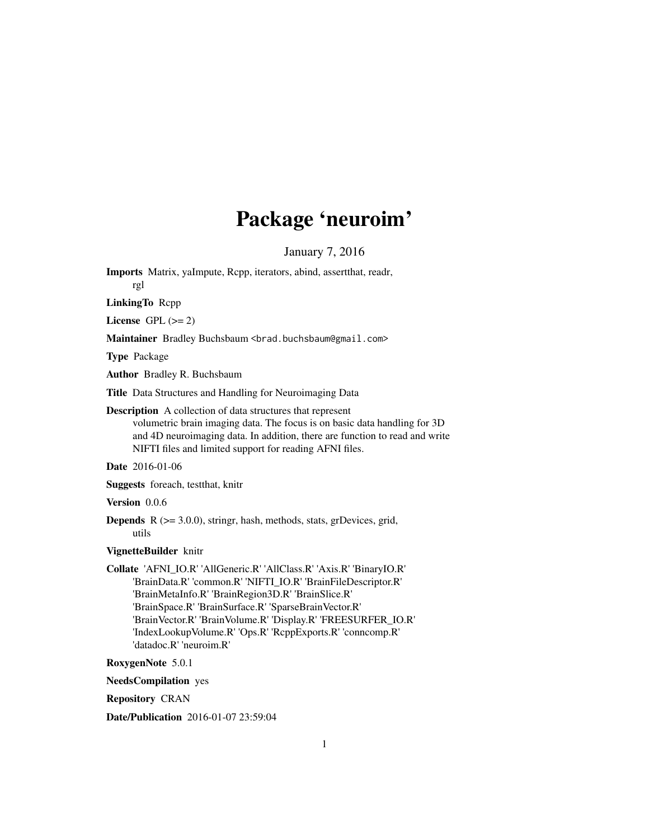# Package 'neuroim'

January 7, 2016

Imports Matrix, yaImpute, Rcpp, iterators, abind, assertthat, readr, rgl

LinkingTo Rcpp

License GPL  $(>= 2)$ 

Maintainer Bradley Buchsbaum <br />brad.buchsbaum@gmail.com>

Type Package

Author Bradley R. Buchsbaum

Title Data Structures and Handling for Neuroimaging Data

Description A collection of data structures that represent

volumetric brain imaging data. The focus is on basic data handling for 3D and 4D neuroimaging data. In addition, there are function to read and write NIFTI files and limited support for reading AFNI files.

Date 2016-01-06

Suggests foreach, testthat, knitr

Version 0.0.6

**Depends**  $R$  ( $>= 3.0.0$ ), stringr, hash, methods, stats, grDevices, grid, utils

#### VignetteBuilder knitr

Collate 'AFNI\_IO.R' 'AllGeneric.R' 'AllClass.R' 'Axis.R' 'BinaryIO.R' 'BrainData.R' 'common.R' 'NIFTI\_IO.R' 'BrainFileDescriptor.R' 'BrainMetaInfo.R' 'BrainRegion3D.R' 'BrainSlice.R' 'BrainSpace.R' 'BrainSurface.R' 'SparseBrainVector.R' 'BrainVector.R' 'BrainVolume.R' 'Display.R' 'FREESURFER\_IO.R' 'IndexLookupVolume.R' 'Ops.R' 'RcppExports.R' 'conncomp.R' 'datadoc.R' 'neuroim.R'

RoxygenNote 5.0.1

NeedsCompilation yes

Repository CRAN

Date/Publication 2016-01-07 23:59:04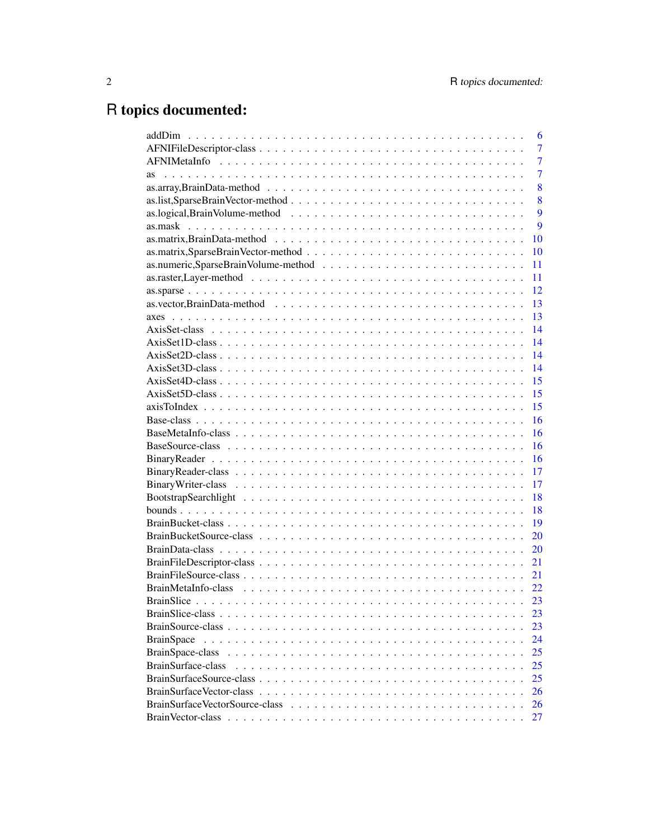# R topics documented:

|                    | 6              |
|--------------------|----------------|
|                    | 7              |
|                    | $\overline{7}$ |
| as                 | 7              |
|                    | 8              |
|                    | 8              |
|                    | 9              |
|                    | 9              |
|                    | 10             |
|                    | 10             |
|                    | 11             |
|                    | 11             |
|                    | 12             |
|                    | 13             |
|                    | 13             |
|                    | 14             |
|                    | 14             |
|                    | 14             |
|                    | 14             |
|                    | 15             |
|                    | 15             |
|                    | 15             |
|                    | 16             |
|                    | 16             |
|                    | 16             |
|                    | 16             |
|                    | 17             |
|                    | 17             |
|                    | 18             |
|                    | 18             |
|                    | 19             |
|                    | 20             |
|                    | 20             |
|                    | 21             |
|                    | 21             |
|                    | 22             |
|                    | 23             |
|                    | 23             |
|                    | 23             |
| <b>BrainSpace</b>  | 24             |
| BrainSpace-class   | 25             |
| BrainSurface-class | 25             |
|                    | 25             |
|                    | 26             |
|                    | 26             |
|                    | 27             |
|                    |                |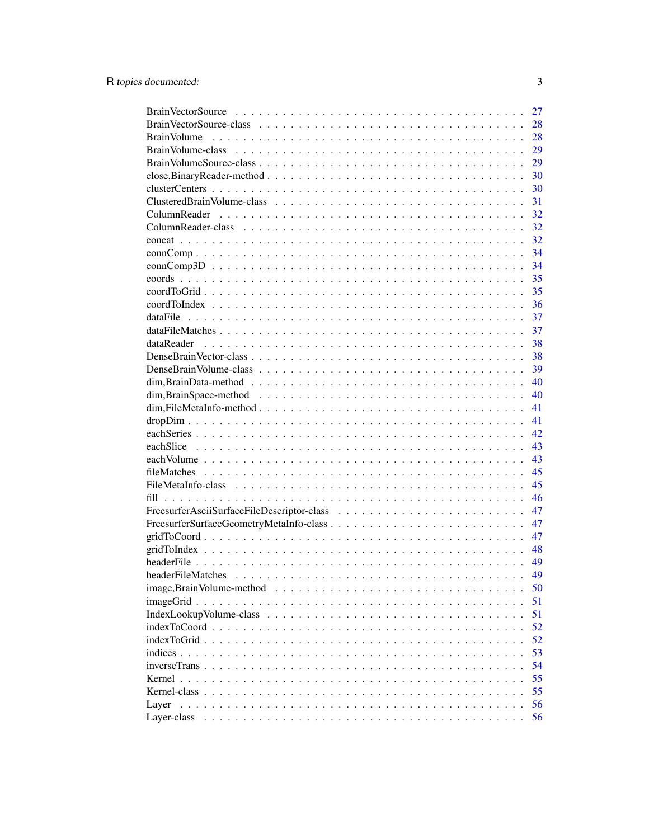|                                                                                                                   | 27       |
|-------------------------------------------------------------------------------------------------------------------|----------|
|                                                                                                                   | 28       |
|                                                                                                                   | 28       |
|                                                                                                                   | 29       |
|                                                                                                                   | 29       |
|                                                                                                                   | 30       |
|                                                                                                                   | 30       |
|                                                                                                                   | 31       |
|                                                                                                                   | 32       |
|                                                                                                                   | 32       |
|                                                                                                                   | 32       |
|                                                                                                                   | 34       |
|                                                                                                                   | 34       |
|                                                                                                                   | 35       |
|                                                                                                                   | 35       |
|                                                                                                                   | 36       |
|                                                                                                                   | 37       |
|                                                                                                                   | 37       |
| dataReader                                                                                                        | 38       |
|                                                                                                                   | 38       |
|                                                                                                                   | 39       |
| $dim, BrainData-method \dots \dots \dots \dots \dots \dots \dots \dots \dots \dots \dots \dots \dots \dots \dots$ | 40       |
|                                                                                                                   | 40       |
|                                                                                                                   | 41       |
|                                                                                                                   |          |
|                                                                                                                   | 41<br>42 |
|                                                                                                                   |          |
|                                                                                                                   | 43       |
|                                                                                                                   | 43       |
|                                                                                                                   | 45       |
|                                                                                                                   | 45       |
|                                                                                                                   | 46       |
|                                                                                                                   | 47       |
|                                                                                                                   | 47       |
|                                                                                                                   | 47       |
|                                                                                                                   | 48       |
|                                                                                                                   | 49       |
|                                                                                                                   | 49       |
|                                                                                                                   | 50       |
| $imageGrid \ldots \ldots \ldots \ldots \ldots \ldots \ldots \ldots \ldots \ldots \ldots \ldots$                   | 51       |
|                                                                                                                   | 51       |
|                                                                                                                   | 52       |
| indexToGrid                                                                                                       | 52       |
| indices                                                                                                           | 53       |
| inverseTrans                                                                                                      | 54       |
| Kernel.                                                                                                           | 55       |
| Kernel-class                                                                                                      | 55       |
| Layer                                                                                                             | 56       |
| Layer-class                                                                                                       | 56       |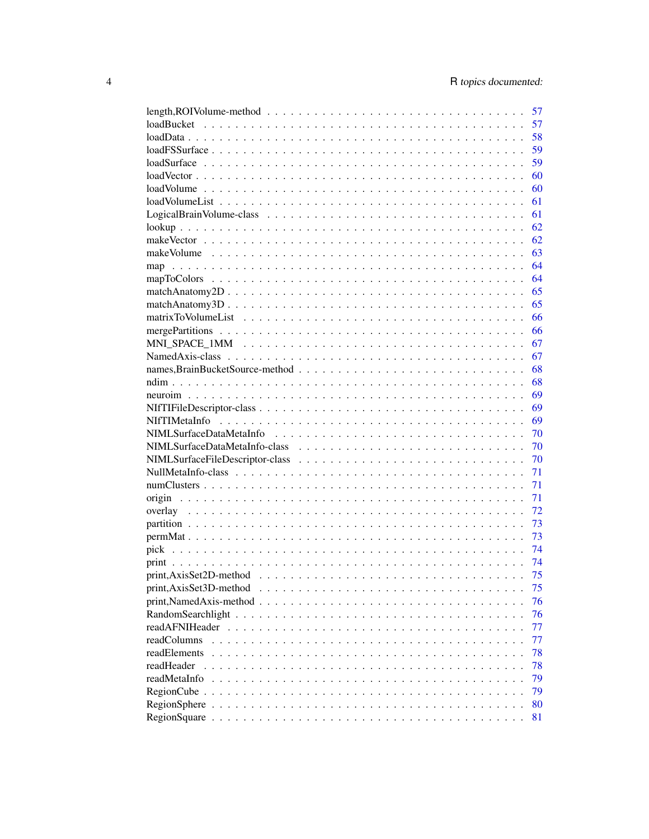|                                                                                                                     | 57 |
|---------------------------------------------------------------------------------------------------------------------|----|
|                                                                                                                     | 57 |
|                                                                                                                     | 58 |
|                                                                                                                     | 59 |
|                                                                                                                     | 59 |
|                                                                                                                     | 60 |
|                                                                                                                     | 60 |
|                                                                                                                     | 61 |
|                                                                                                                     | 61 |
|                                                                                                                     | 62 |
|                                                                                                                     | 62 |
|                                                                                                                     | 63 |
|                                                                                                                     | 64 |
|                                                                                                                     | 64 |
|                                                                                                                     | 65 |
|                                                                                                                     | 65 |
|                                                                                                                     | 66 |
|                                                                                                                     | 66 |
|                                                                                                                     | 67 |
|                                                                                                                     |    |
|                                                                                                                     | 67 |
|                                                                                                                     | 68 |
|                                                                                                                     | 68 |
|                                                                                                                     | 69 |
|                                                                                                                     | 69 |
|                                                                                                                     | 69 |
|                                                                                                                     | 70 |
|                                                                                                                     | 70 |
|                                                                                                                     | 70 |
|                                                                                                                     | 71 |
|                                                                                                                     | 71 |
|                                                                                                                     | 71 |
|                                                                                                                     | 72 |
|                                                                                                                     | 73 |
|                                                                                                                     | 73 |
|                                                                                                                     | 74 |
|                                                                                                                     | 74 |
|                                                                                                                     | 75 |
| print, AxisSet3D-method                                                                                             | 75 |
| $print, NamedAxis-method \dots \dots \dots \dots \dots \dots \dots \dots \dots \dots \dots \dots \dots \dots \dots$ | 76 |
|                                                                                                                     | 76 |
| readAFNIHeader                                                                                                      | 77 |
| readColumns                                                                                                         | 77 |
| readElements                                                                                                        | 78 |
| readHeader                                                                                                          | 78 |
| readMetaInfo                                                                                                        | 79 |
|                                                                                                                     | 79 |
|                                                                                                                     | 80 |
|                                                                                                                     | 81 |
|                                                                                                                     |    |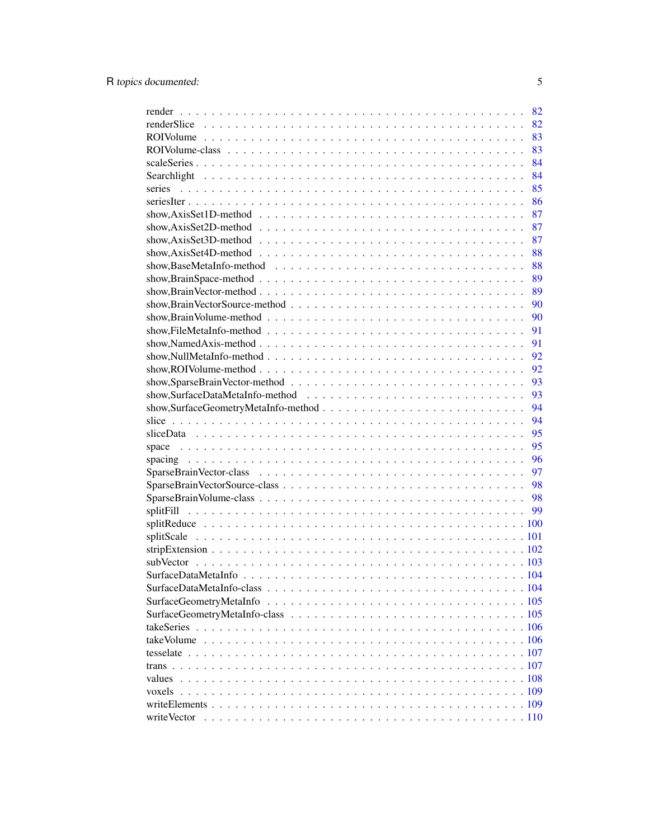|                                                                                                                | 82 |
|----------------------------------------------------------------------------------------------------------------|----|
|                                                                                                                | 82 |
|                                                                                                                | 83 |
|                                                                                                                | 83 |
|                                                                                                                | 84 |
|                                                                                                                | 84 |
| series                                                                                                         | 85 |
|                                                                                                                | 86 |
|                                                                                                                | 87 |
|                                                                                                                | 87 |
|                                                                                                                | 87 |
| show, AxisSet4D-method $\ldots \ldots \ldots \ldots \ldots \ldots \ldots \ldots \ldots \ldots \ldots \ldots$   | 88 |
|                                                                                                                | 88 |
| show, Brain Space-method $\ldots \ldots \ldots \ldots \ldots \ldots \ldots \ldots \ldots \ldots \ldots \ldots$ | 89 |
|                                                                                                                | 89 |
|                                                                                                                | 90 |
|                                                                                                                | 90 |
|                                                                                                                | 91 |
| show, Named Axis-method $\ldots \ldots \ldots \ldots \ldots \ldots \ldots \ldots \ldots \ldots \ldots \ldots$  | 91 |
|                                                                                                                | 92 |
| show, ROIVolume-method $\ldots \ldots \ldots \ldots \ldots \ldots \ldots \ldots \ldots \ldots \ldots \ldots$   | 92 |
|                                                                                                                | 93 |
|                                                                                                                | 93 |
|                                                                                                                |    |
|                                                                                                                | 94 |
|                                                                                                                | 94 |
|                                                                                                                | 95 |
|                                                                                                                | 95 |
|                                                                                                                | 96 |
|                                                                                                                | 97 |
|                                                                                                                | 98 |
|                                                                                                                | 98 |
|                                                                                                                | 99 |
|                                                                                                                |    |
|                                                                                                                |    |
|                                                                                                                |    |
|                                                                                                                |    |
|                                                                                                                |    |
|                                                                                                                |    |
|                                                                                                                |    |
|                                                                                                                |    |
|                                                                                                                |    |
|                                                                                                                |    |
|                                                                                                                |    |
|                                                                                                                |    |
|                                                                                                                |    |
|                                                                                                                |    |
|                                                                                                                |    |
| writeVector                                                                                                    |    |
|                                                                                                                |    |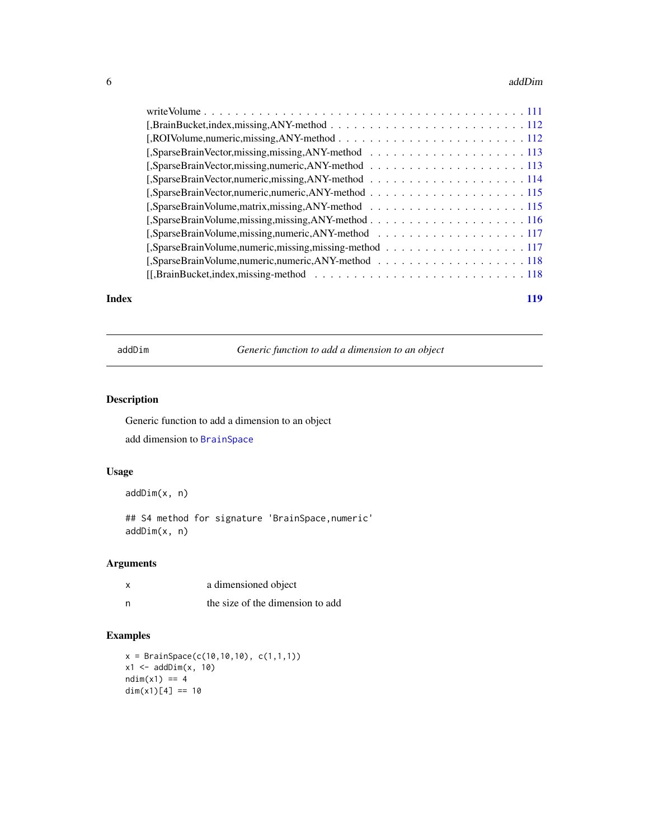#### <span id="page-5-0"></span>6 addDim

| [,SparseBrainVolume,missing,missing,ANY-method116                                                                               |
|---------------------------------------------------------------------------------------------------------------------------------|
|                                                                                                                                 |
|                                                                                                                                 |
|                                                                                                                                 |
| $[[, BrainBucker, indices, missing - method \dots \dots \dots \dots \dots \dots \dots \dots \dots \dots \dots \dots \dots]$ 118 |
|                                                                                                                                 |

#### **Index** 2008 **Index** 2008 **Index**

addDim *Generic function to add a dimension to an object*

## Description

Generic function to add a dimension to an object add dimension to [BrainSpace](#page-24-1)

# Usage

addDim(x, n)

## S4 method for signature 'BrainSpace,numeric' addDim(x, n)

## Arguments

| a dimensioned object             |
|----------------------------------|
| the size of the dimension to add |

# Examples

```
x = \text{BrainSpace}(c(10, 10, 10), c(1, 1, 1))x1 \leftarrow addDim(x, 10)ndim(x1) == 4dim(x1)[4] == 10
```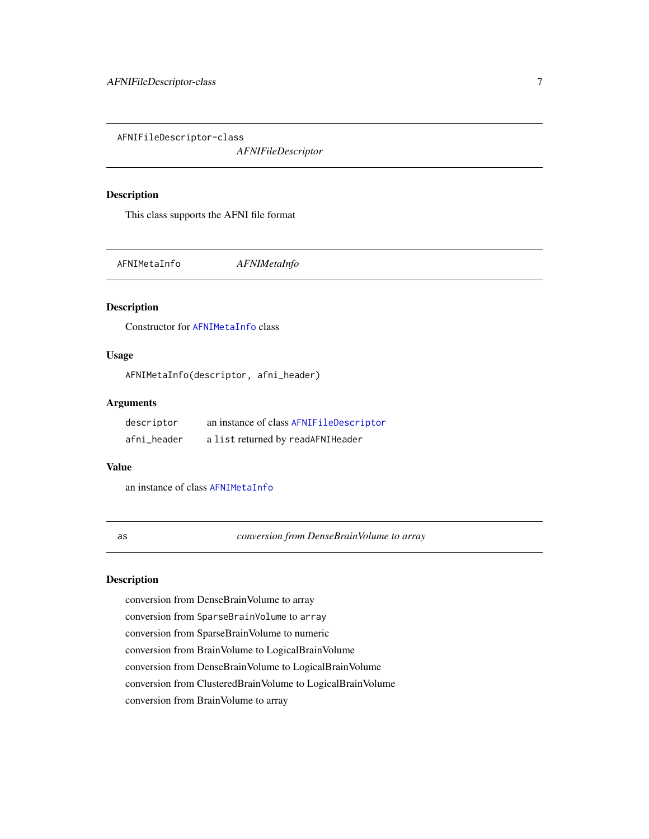<span id="page-6-1"></span><span id="page-6-0"></span>AFNIFileDescriptor-class

*AFNIFileDescriptor*

#### Description

This class supports the AFNI file format

AFNIMetaInfo *AFNIMetaInfo*

#### Description

Constructor for [AFNIMetaInfo](#page-44-1) class

# Usage

AFNIMetaInfo(descriptor, afni\_header)

## Arguments

| descriptor  | an instance of class AFNIFileDescriptor |
|-------------|-----------------------------------------|
| afni_header | a list returned by readAFNIHeader       |

## Value

an instance of class [AFNIMetaInfo](#page-44-1)

as *conversion from DenseBrainVolume to array*

## Description

conversion from DenseBrainVolume to array conversion from SparseBrainVolume to array conversion from SparseBrainVolume to numeric conversion from BrainVolume to LogicalBrainVolume conversion from DenseBrainVolume to LogicalBrainVolume conversion from ClusteredBrainVolume to LogicalBrainVolume conversion from BrainVolume to array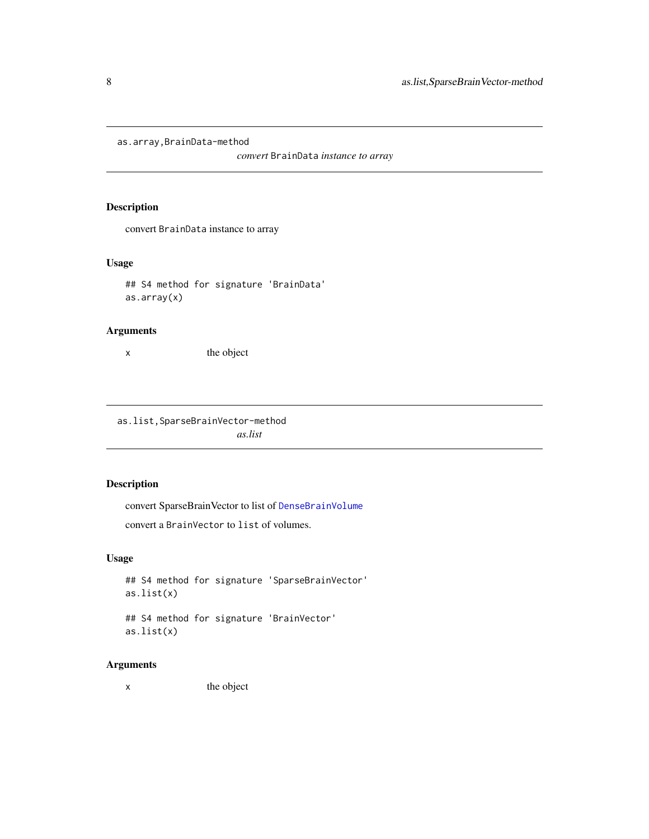<span id="page-7-0"></span>as.array,BrainData-method

*convert* BrainData *instance to array*

## Description

convert BrainData instance to array

#### Usage

```
## S4 method for signature 'BrainData'
as.array(x)
```
## Arguments

x the object

as.list,SparseBrainVector-method *as.list*

## Description

convert SparseBrainVector to list of [DenseBrainVolume](#page-38-1)

convert a BrainVector to list of volumes.

#### Usage

```
## S4 method for signature 'SparseBrainVector'
as.list(x)
```
## S4 method for signature 'BrainVector' as.list(x)

# Arguments

x the object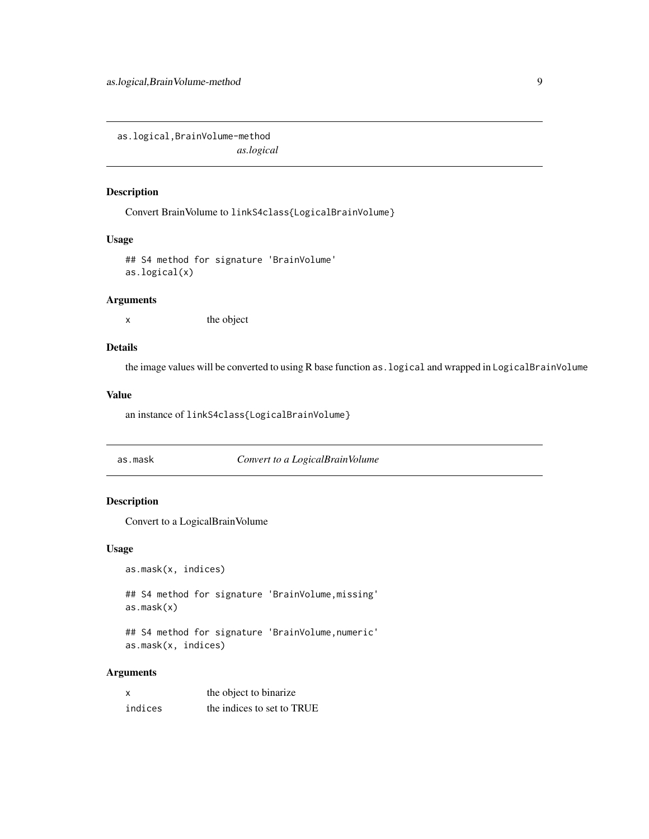<span id="page-8-0"></span>as.logical,BrainVolume-method *as.logical*

# Description

Convert BrainVolume to linkS4class{LogicalBrainVolume}

## Usage

## S4 method for signature 'BrainVolume' as.logical(x)

#### Arguments

x the object

#### Details

the image values will be converted to using R base function as.logical and wrapped in LogicalBrainVolume

#### Value

an instance of linkS4class{LogicalBrainVolume}

as.mask *Convert to a LogicalBrainVolume*

## Description

Convert to a LogicalBrainVolume

#### Usage

```
as.mask(x, indices)
```
## S4 method for signature 'BrainVolume,missing' as.mask(x)

## S4 method for signature 'BrainVolume,numeric' as.mask(x, indices)

#### Arguments

| x       | the object to binarize     |
|---------|----------------------------|
| indices | the indices to set to TRUE |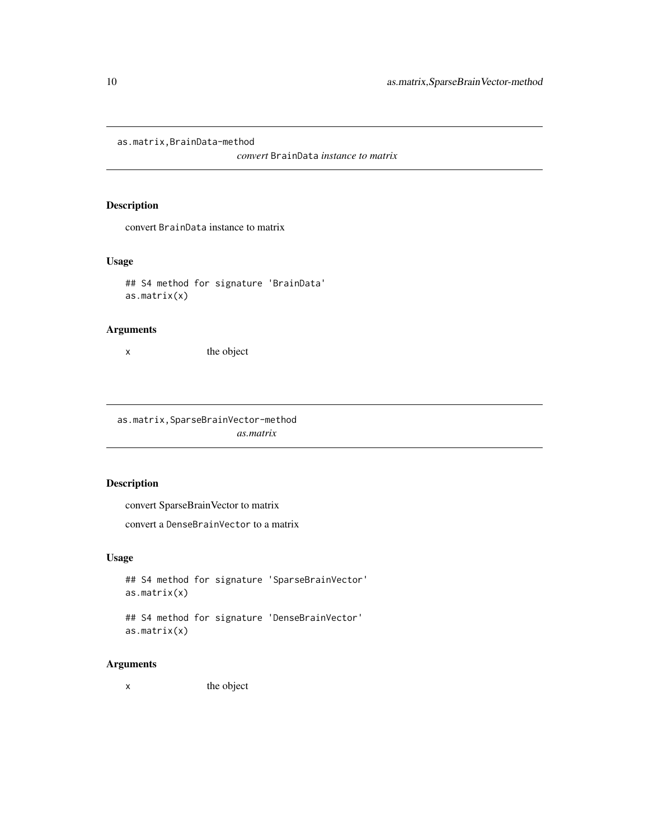<span id="page-9-0"></span>as.matrix,BrainData-method

*convert* BrainData *instance to matrix*

# Description

convert BrainData instance to matrix

#### Usage

```
## S4 method for signature 'BrainData'
as.matrix(x)
```
#### Arguments

x the object

as.matrix,SparseBrainVector-method *as.matrix*

# Description

convert SparseBrainVector to matrix

convert a DenseBrainVector to a matrix

#### Usage

```
## S4 method for signature 'SparseBrainVector'
as.matrix(x)
```
## S4 method for signature 'DenseBrainVector' as.matrix(x)

# Arguments

x the object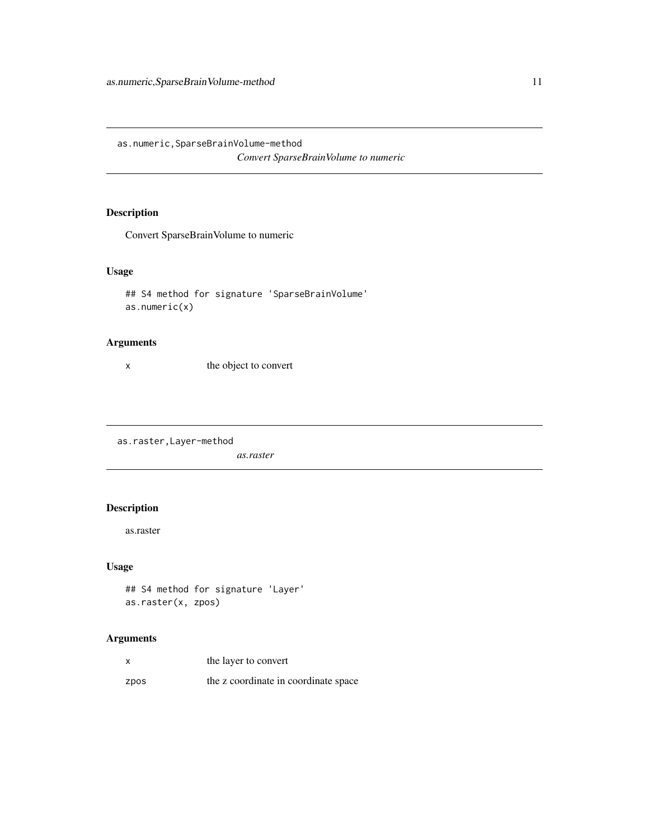<span id="page-10-0"></span>as.numeric,SparseBrainVolume-method *Convert SparseBrainVolume to numeric*

# Description

Convert SparseBrainVolume to numeric

## Usage

## S4 method for signature 'SparseBrainVolume' as.numeric(x)

## Arguments

x the object to convert

as.raster,Layer-method

*as.raster*

# Description

as.raster

# Usage

## S4 method for signature 'Layer' as.raster(x, zpos)

## Arguments

|      | the layer to convert                 |
|------|--------------------------------------|
| zpos | the z coordinate in coordinate space |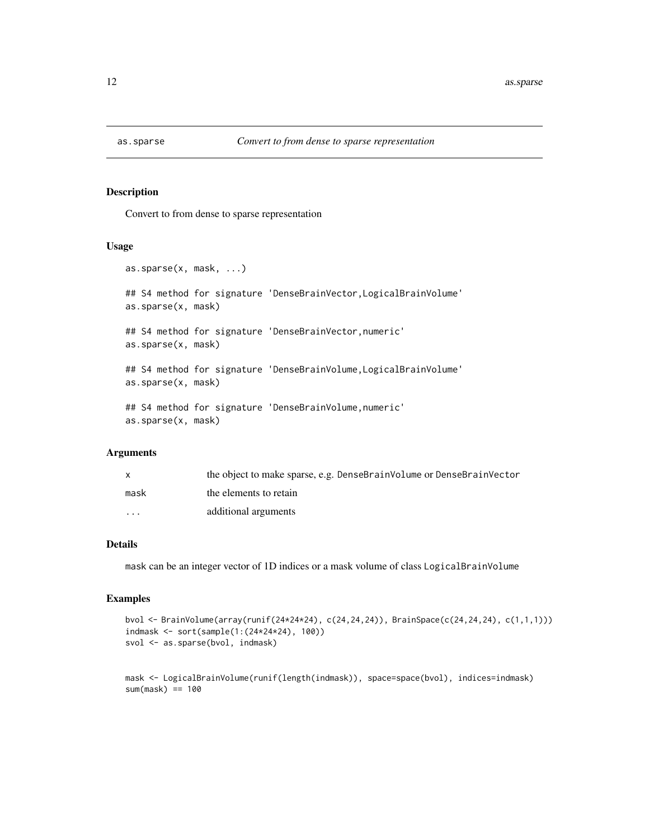<span id="page-11-0"></span>

#### Description

Convert to from dense to sparse representation

#### Usage

```
as.sparse(x, mask, ...)
## S4 method for signature 'DenseBrainVector,LogicalBrainVolume'
as.sparse(x, mask)
## S4 method for signature 'DenseBrainVector,numeric'
as.sparse(x, mask)
## S4 method for signature 'DenseBrainVolume,LogicalBrainVolume'
as.sparse(x, mask)
## S4 method for signature 'DenseBrainVolume, numeric'
as.sparse(x, mask)
```
#### Arguments

|                         | the object to make sparse, e.g. DenseBrainVolume or DenseBrainVector |
|-------------------------|----------------------------------------------------------------------|
| mask                    | the elements to retain                                               |
| $\cdot$ $\cdot$ $\cdot$ | additional arguments                                                 |

#### Details

mask can be an integer vector of 1D indices or a mask volume of class LogicalBrainVolume

#### Examples

```
bvol <- BrainVolume(array(runif(24*24*24), c(24,24,24)), BrainSpace(c(24,24,24), c(1,1,1)))
indmask <- sort(sample(1:(24*24*24), 100))
svol <- as.sparse(bvol, indmask)
```

```
mask <- LogicalBrainVolume(runif(length(indmask)), space=space(bvol), indices=indmask)
sum(maxk) == 100
```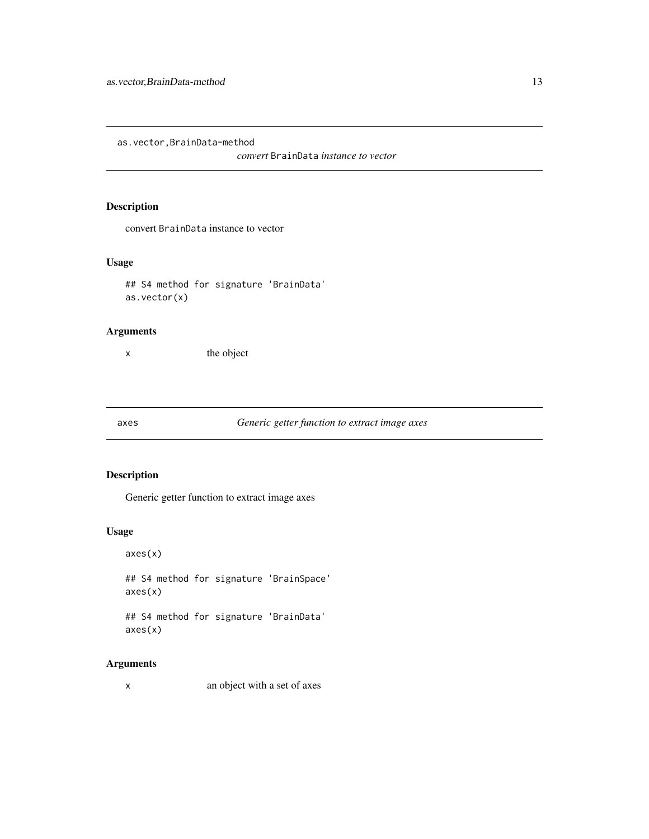<span id="page-12-0"></span>as.vector,BrainData-method

*convert* BrainData *instance to vector*

# Description

convert BrainData instance to vector

#### Usage

```
## S4 method for signature 'BrainData'
as.vector(x)
```
## Arguments

x the object

axes *Generic getter function to extract image axes*

## Description

Generic getter function to extract image axes

#### Usage

axes(x) ## S4 method for signature 'BrainSpace' axes(x)

## S4 method for signature 'BrainData' axes(x)

## Arguments

x an object with a set of axes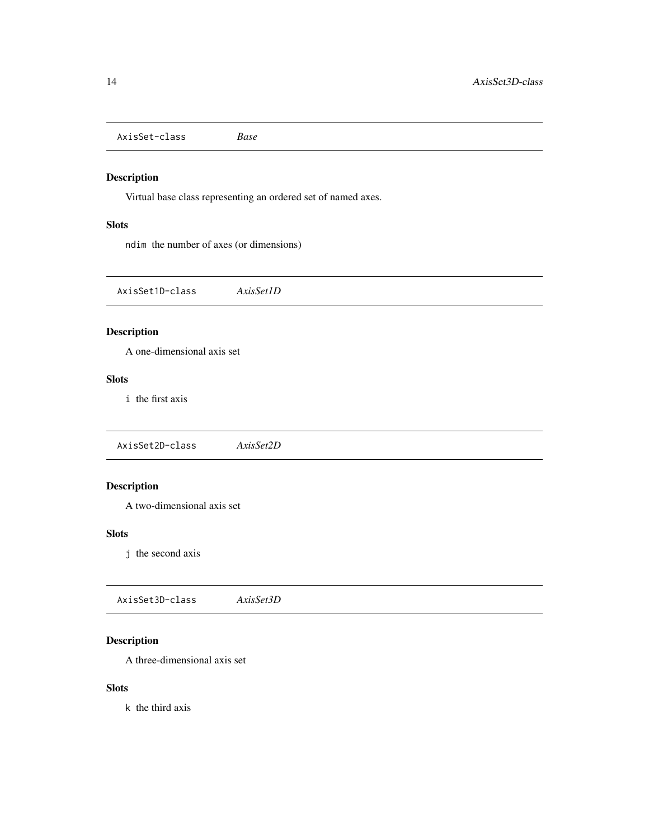<span id="page-13-0"></span>AxisSet-class *Base*

## Description

Virtual base class representing an ordered set of named axes.

# Slots

ndim the number of axes (or dimensions)

AxisSet1D-class *AxisSet1D*

# Description

A one-dimensional axis set

## Slots

i the first axis

AxisSet2D-class *AxisSet2D*

# Description

A two-dimensional axis set

#### Slots

j the second axis

AxisSet3D-class *AxisSet3D*

# Description

A three-dimensional axis set

#### Slots

k the third axis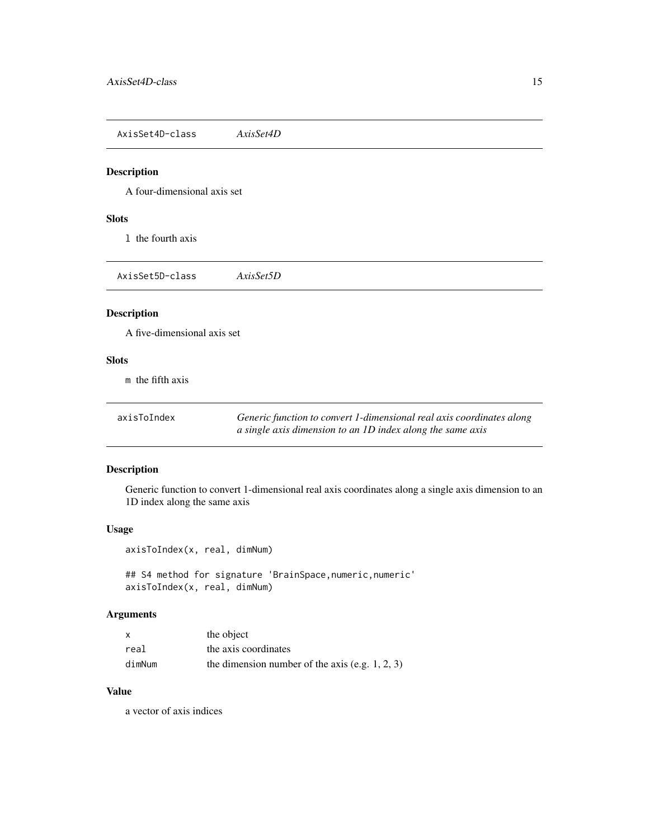<span id="page-14-0"></span>AxisSet4D-class *AxisSet4D*

#### Description

A four-dimensional axis set

#### **Slots**

l the fourth axis

AxisSet5D-class *AxisSet5D*

## Description

A five-dimensional axis set

#### Slots

m the fifth axis

axisToIndex *Generic function to convert 1-dimensional real axis coordinates along a single axis dimension to an 1D index along the same axis*

## Description

Generic function to convert 1-dimensional real axis coordinates along a single axis dimension to an 1D index along the same axis

#### Usage

axisToIndex(x, real, dimNum)

## S4 method for signature 'BrainSpace, numeric, numeric' axisToIndex(x, real, dimNum)

#### Arguments

| x      | the object                                         |
|--------|----------------------------------------------------|
| real   | the axis coordinates                               |
| dimNum | the dimension number of the axis (e.g. $1, 2, 3$ ) |

## Value

a vector of axis indices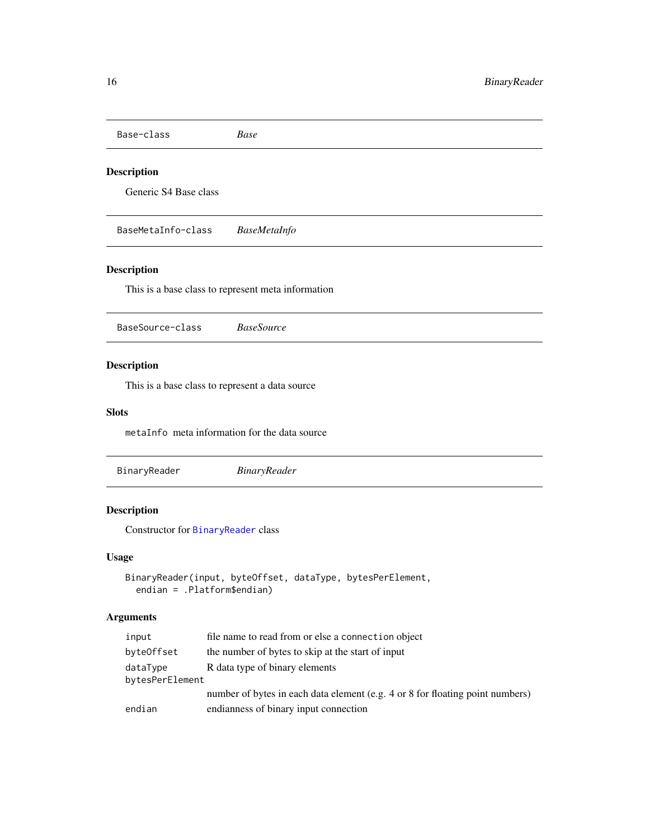<span id="page-15-0"></span>Base-class *Base*

## Description

Generic S4 Base class

BaseMetaInfo-class *BaseMetaInfo*

## Description

This is a base class to represent meta information

<span id="page-15-1"></span>BaseSource-class *BaseSource*

## Description

This is a base class to represent a data source

## Slots

metaInfo meta information for the data source

BinaryReader *BinaryReader*

## Description

Constructor for [BinaryReader](#page-16-1) class

## Usage

```
BinaryReader(input, byteOffset, dataType, bytesPerElement,
  endian = .Platform$endian)
```
## Arguments

| input                       | file name to read from or else a connection object                            |
|-----------------------------|-------------------------------------------------------------------------------|
| byteOffset                  | the number of bytes to skip at the start of input                             |
| dataType<br>bytesPerElement | R data type of binary elements                                                |
|                             | number of bytes in each data element (e.g. 4 or 8 for floating point numbers) |
| endian                      | endianness of binary input connection                                         |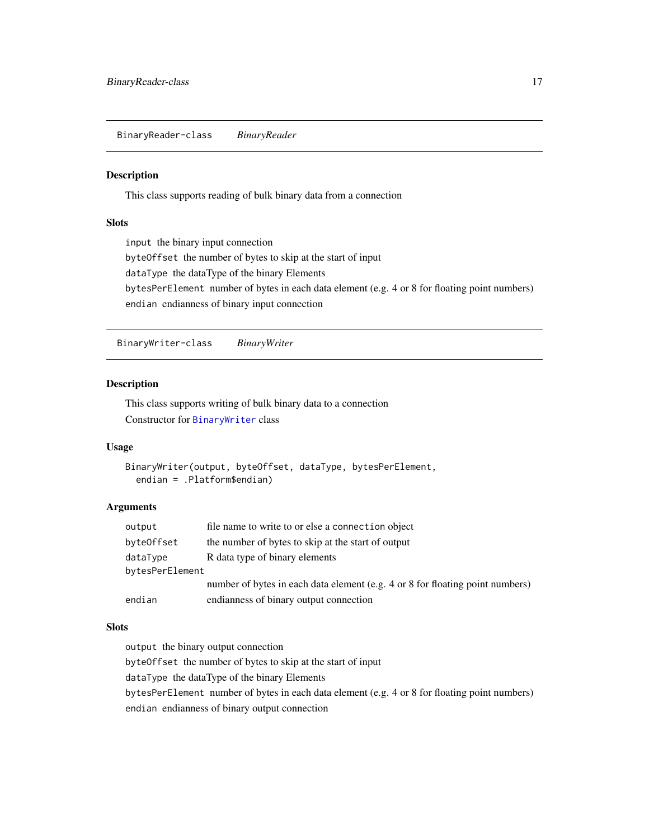<span id="page-16-1"></span><span id="page-16-0"></span>BinaryReader-class *BinaryReader*

#### Description

This class supports reading of bulk binary data from a connection

## Slots

input the binary input connection byteOffset the number of bytes to skip at the start of input dataType the dataType of the binary Elements bytesPerElement number of bytes in each data element (e.g. 4 or 8 for floating point numbers) endian endianness of binary input connection

<span id="page-16-2"></span>BinaryWriter-class *BinaryWriter*

## Description

This class supports writing of bulk binary data to a connection Constructor for [BinaryWriter](#page-16-2) class

#### Usage

```
BinaryWriter(output, byteOffset, dataType, bytesPerElement,
  endian = .Platform$endian)
```
## Arguments

| output          | file name to write to or else a connection object                             |  |
|-----------------|-------------------------------------------------------------------------------|--|
| byteOffset      | the number of bytes to skip at the start of output                            |  |
| dataType        | R data type of binary elements                                                |  |
| bytesPerElement |                                                                               |  |
|                 | number of bytes in each data element (e.g. 4 or 8 for floating point numbers) |  |
| endian          | endianness of binary output connection                                        |  |

#### **Slots**

output the binary output connection

byteOffset the number of bytes to skip at the start of input

dataType the dataType of the binary Elements

bytesPerElement number of bytes in each data element (e.g. 4 or 8 for floating point numbers)

endian endianness of binary output connection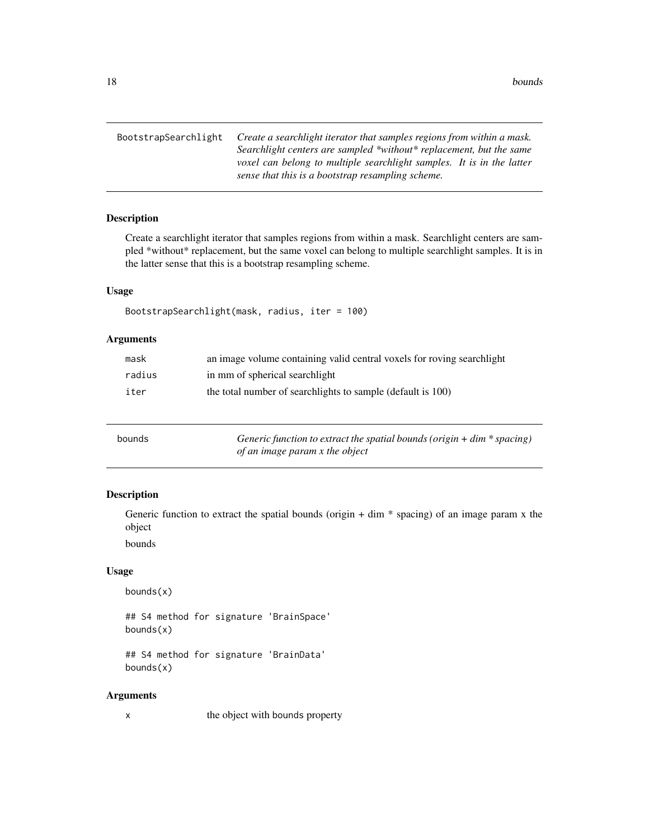<span id="page-17-0"></span>BootstrapSearchlight *Create a searchlight iterator that samples regions from within a mask. Searchlight centers are sampled \*without\* replacement, but the same voxel can belong to multiple searchlight samples. It is in the latter sense that this is a bootstrap resampling scheme.*

#### Description

Create a searchlight iterator that samples regions from within a mask. Searchlight centers are sampled \*without\* replacement, but the same voxel can belong to multiple searchlight samples. It is in the latter sense that this is a bootstrap resampling scheme.

## Usage

```
BootstrapSearchlight(mask, radius, iter = 100)
```
## Arguments

| mask   | an image volume containing valid central voxels for roving searchlight |
|--------|------------------------------------------------------------------------|
| radius | in mm of spherical searchlight                                         |
| iter   | the total number of searchlights to sample (default is 100)            |

| bounds | Generic function to extract the spatial bounds (origin $+$ dim $*$ spacing) |
|--------|-----------------------------------------------------------------------------|
|        | of an image param x the object                                              |

#### Description

Generic function to extract the spatial bounds (origin  $+ \dim *$  spacing) of an image param x the object

bounds

#### Usage

bounds(x)

## S4 method for signature 'BrainSpace' bounds(x)

## S4 method for signature 'BrainData' bounds(x)

#### Arguments

x the object with bounds property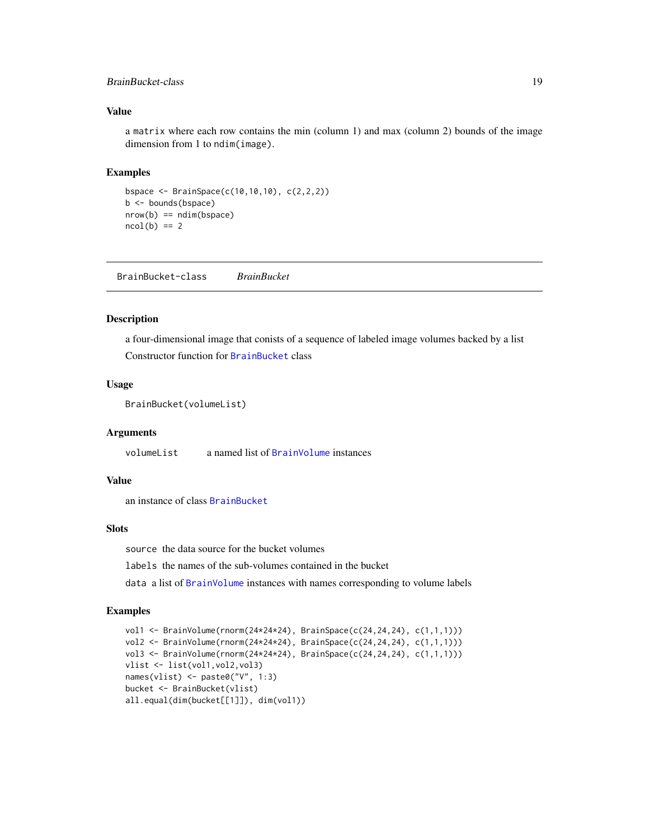#### <span id="page-18-0"></span>BrainBucket-class 19

#### Value

a matrix where each row contains the min (column 1) and max (column 2) bounds of the image dimension from 1 to ndim(image).

#### Examples

```
bspace <- BrainSpace(c(10,10,10), c(2,2,2))
b <- bounds(bspace)
nrow(b) == ndim(bspace)ncol(b) == 2
```
<span id="page-18-1"></span>BrainBucket-class *BrainBucket*

#### Description

a four-dimensional image that conists of a sequence of labeled image volumes backed by a list Constructor function for [BrainBucket](#page-18-1) class

#### Usage

```
BrainBucket(volumeList)
```
#### Arguments

volumeList a named list of [BrainVolume](#page-28-1) instances

#### Value

an instance of class [BrainBucket](#page-18-1)

#### **Slots**

source the data source for the bucket volumes

labels the names of the sub-volumes contained in the bucket

data a list of [BrainVolume](#page-28-1) instances with names corresponding to volume labels

## Examples

```
vol1 <- BrainVolume(rnorm(24*24*24), BrainSpace(c(24,24,24), c(1,1,1)))
vol2 <- BrainVolume(rnorm(24*24*24), BrainSpace(c(24,24,24), c(1,1,1)))
vol3 <- BrainVolume(rnorm(24*24*24), BrainSpace(c(24,24,24), c(1,1,1)))
vlist <- list(vol1,vol2,vol3)
names(vlist) <- paste0("V", 1:3)
bucket <- BrainBucket(vlist)
all.equal(dim(bucket[[1]]), dim(vol1))
```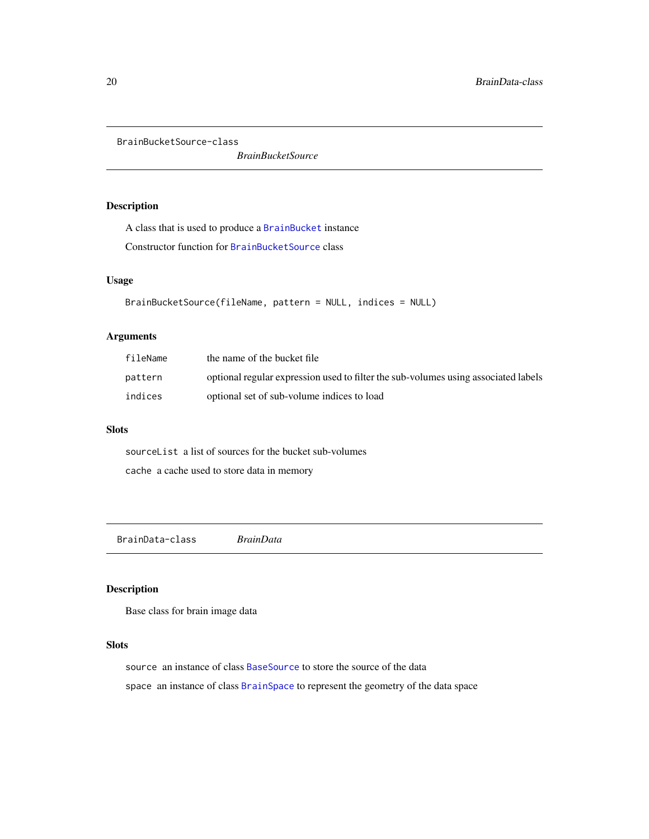<span id="page-19-1"></span><span id="page-19-0"></span>BrainBucketSource-class

*BrainBucketSource*

# Description

A class that is used to produce a [BrainBucket](#page-18-1) instance

Constructor function for [BrainBucketSource](#page-19-1) class

#### Usage

```
BrainBucketSource(fileName, pattern = NULL, indices = NULL)
```
## Arguments

| fileName | the name of the bucket file                                                        |
|----------|------------------------------------------------------------------------------------|
| pattern  | optional regular expression used to filter the sub-volumes using associated labels |
| indices  | optional set of sub-volume indices to load                                         |

#### Slots

sourceList a list of sources for the bucket sub-volumes cache a cache used to store data in memory

BrainData-class *BrainData*

## Description

Base class for brain image data

# Slots

source an instance of class [BaseSource](#page-15-1) to store the source of the data space an instance of class [BrainSpace](#page-24-1) to represent the geometry of the data space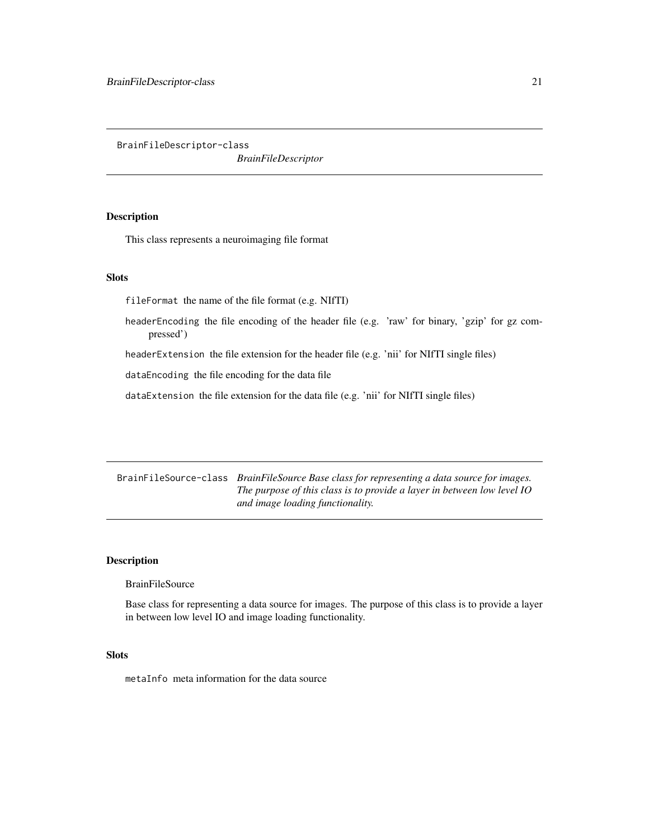<span id="page-20-0"></span>BrainFileDescriptor-class

*BrainFileDescriptor*

#### Description

This class represents a neuroimaging file format

#### **Slots**

fileFormat the name of the file format (e.g. NIfTI)

headerEncoding the file encoding of the header file (e.g. 'raw' for binary, 'gzip' for gz compressed')

headerExtension the file extension for the header file (e.g. 'nii' for NIfTI single files)

dataEncoding the file encoding for the data file

dataExtension the file extension for the data file (e.g. 'nii' for NIfTI single files)

BrainFileSource-class *BrainFileSource Base class for representing a data source for images. The purpose of this class is to provide a layer in between low level IO and image loading functionality.*

#### Description

**BrainFileSource** 

Base class for representing a data source for images. The purpose of this class is to provide a layer in between low level IO and image loading functionality.

#### **Slots**

metaInfo meta information for the data source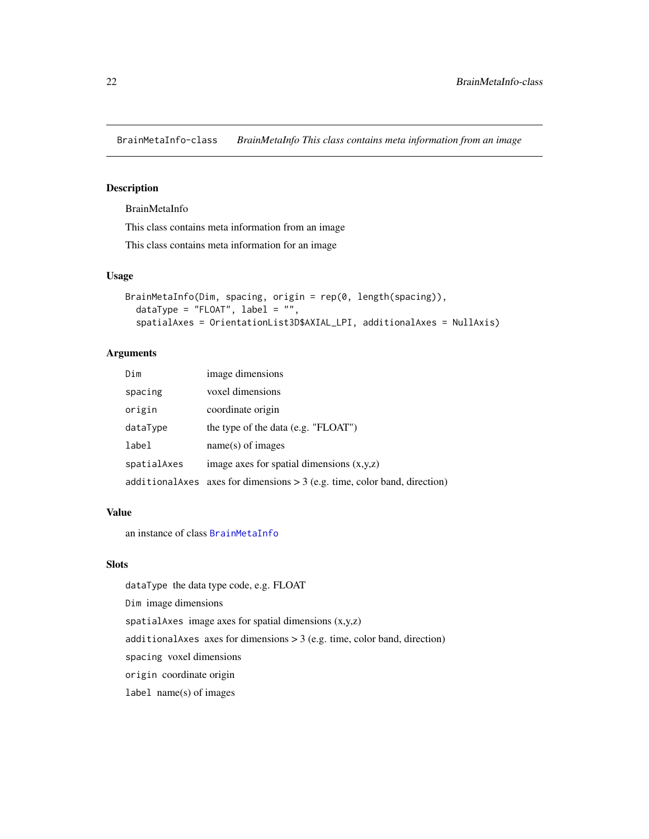<span id="page-21-1"></span><span id="page-21-0"></span>BrainMetaInfo-class *BrainMetaInfo This class contains meta information from an image*

### Description

## BrainMetaInfo

This class contains meta information from an image

This class contains meta information for an image

#### Usage

```
BrainMetaInfo(Dim, spacing, origin = rep(0, length(spacing)),
  dataType = "FLOAT", label = "",spatialAxes = OrientationList3D$AXIAL_LPI, additionalAxes = NullAxis)
```
## Arguments

| Dim         | image dimensions                                                             |  |
|-------------|------------------------------------------------------------------------------|--|
| spacing     | voxel dimensions                                                             |  |
| origin      | coordinate origin                                                            |  |
| dataType    | the type of the data (e.g. "FLOAT")                                          |  |
| label       | $name(s)$ of images                                                          |  |
| spatialAxes | image axes for spatial dimensions $(x,y,z)$                                  |  |
|             | additional Axes axes for dimensions $> 3$ (e.g. time, color band, direction) |  |

#### Value

an instance of class [BrainMetaInfo](#page-21-1)

#### Slots

dataType the data type code, e.g. FLOAT

Dim image dimensions

spatialAxes image axes for spatial dimensions  $(x,y,z)$ 

additionalAxes axes for dimensions  $>$  3 (e.g. time, color band, direction)

spacing voxel dimensions

origin coordinate origin

label name(s) of images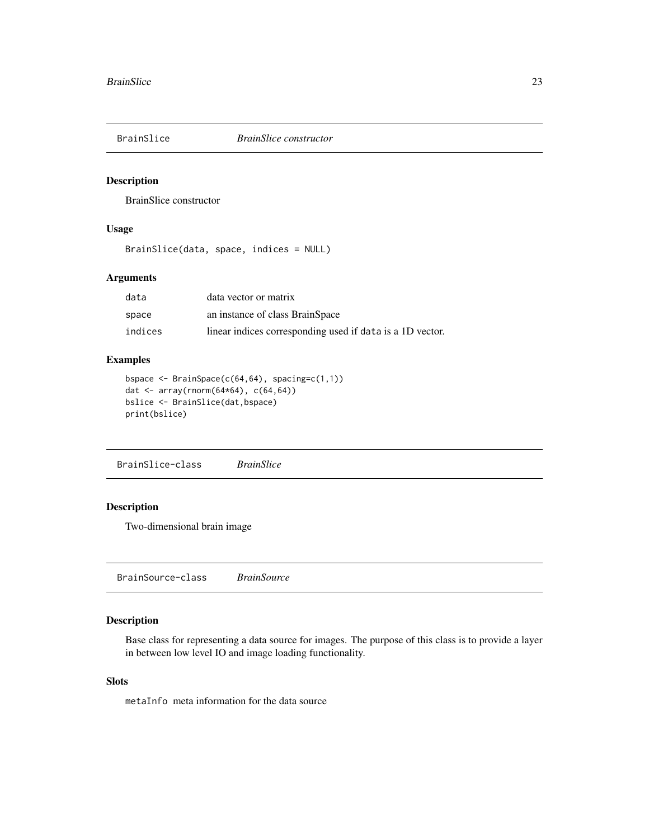<span id="page-22-0"></span>

#### Description

BrainSlice constructor

#### Usage

BrainSlice(data, space, indices = NULL)

## Arguments

| data    | data vector or matrix                                     |
|---------|-----------------------------------------------------------|
| space   | an instance of class BrainSpace                           |
| indices | linear indices corresponding used if data is a 1D vector. |

#### Examples

```
bspace <- BrainSpace(c(64,64), spacing=c(1,1))
dat <- array(rnorm(64*64), c(64,64))
bslice <- BrainSlice(dat,bspace)
print(bslice)
```
BrainSlice-class *BrainSlice*

## Description

Two-dimensional brain image

<span id="page-22-1"></span>BrainSource-class *BrainSource*

## Description

Base class for representing a data source for images. The purpose of this class is to provide a layer in between low level IO and image loading functionality.

## Slots

metaInfo meta information for the data source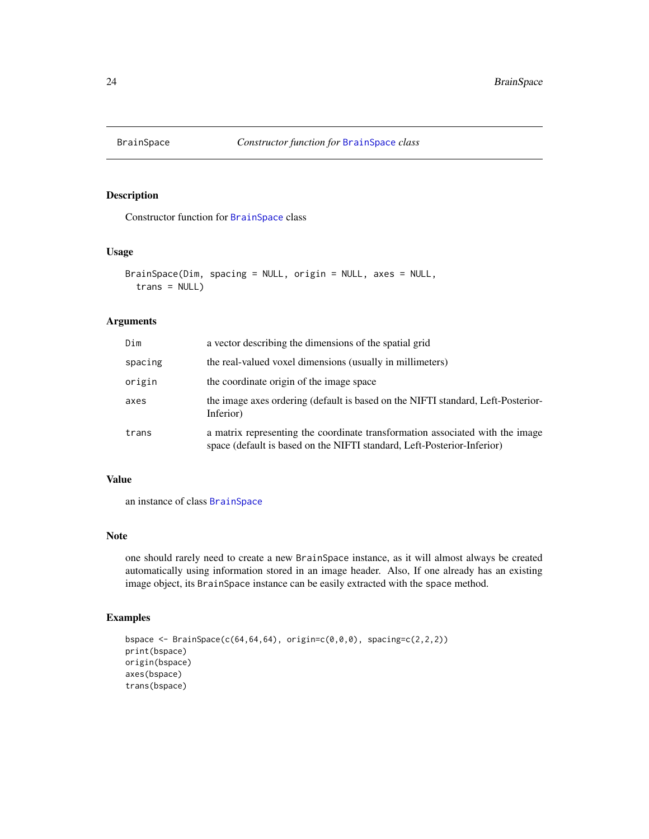<span id="page-23-0"></span>

### Description

Constructor function for [BrainSpace](#page-24-1) class

#### Usage

```
BrainSpace(Dim, spacing = NULL, origin = NULL, axes = NULL,
  trans = NULL)
```
#### Arguments

| Dim     | a vector describing the dimensions of the spatial grid                                                                                                   |
|---------|----------------------------------------------------------------------------------------------------------------------------------------------------------|
| spacing | the real-valued voxel dimensions (usually in millimeters)                                                                                                |
| origin  | the coordinate origin of the image space                                                                                                                 |
| axes    | the image axes ordering (default is based on the NIFTI standard, Left-Posterior-<br>Inferior)                                                            |
| trans   | a matrix representing the coordinate transformation associated with the image<br>space (default is based on the NIFTI standard, Left-Posterior-Inferior) |

## Value

an instance of class [BrainSpace](#page-24-1)

## Note

one should rarely need to create a new BrainSpace instance, as it will almost always be created automatically using information stored in an image header. Also, If one already has an existing image object, its BrainSpace instance can be easily extracted with the space method.

### Examples

```
bspace <- BrainSpace(c(64,64,64), origin=c(0,0,0), spacing=c(2,2,2))
print(bspace)
origin(bspace)
axes(bspace)
trans(bspace)
```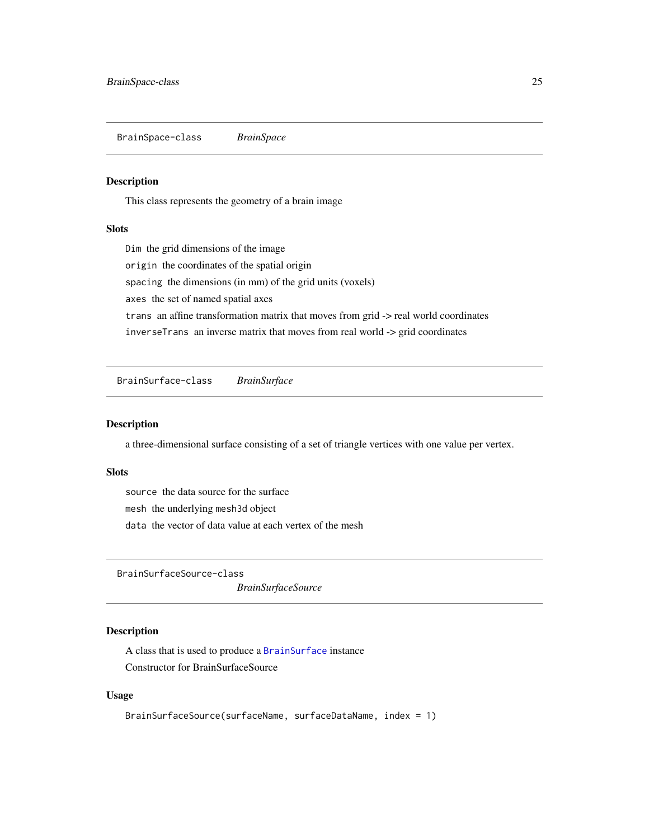<span id="page-24-1"></span><span id="page-24-0"></span>BrainSpace-class *BrainSpace*

## Description

This class represents the geometry of a brain image

#### Slots

Dim the grid dimensions of the image origin the coordinates of the spatial origin spacing the dimensions (in mm) of the grid units (voxels) axes the set of named spatial axes trans an affine transformation matrix that moves from grid -> real world coordinates inverseTrans an inverse matrix that moves from real world -> grid coordinates

<span id="page-24-2"></span>BrainSurface-class *BrainSurface*

#### Description

a three-dimensional surface consisting of a set of triangle vertices with one value per vertex.

#### Slots

source the data source for the surface mesh the underlying mesh3d object data the vector of data value at each vertex of the mesh

BrainSurfaceSource-class

*BrainSurfaceSource*

### Description

A class that is used to produce a [BrainSurface](#page-24-2) instance Constructor for BrainSurfaceSource

#### Usage

```
BrainSurfaceSource(surfaceName, surfaceDataName, index = 1)
```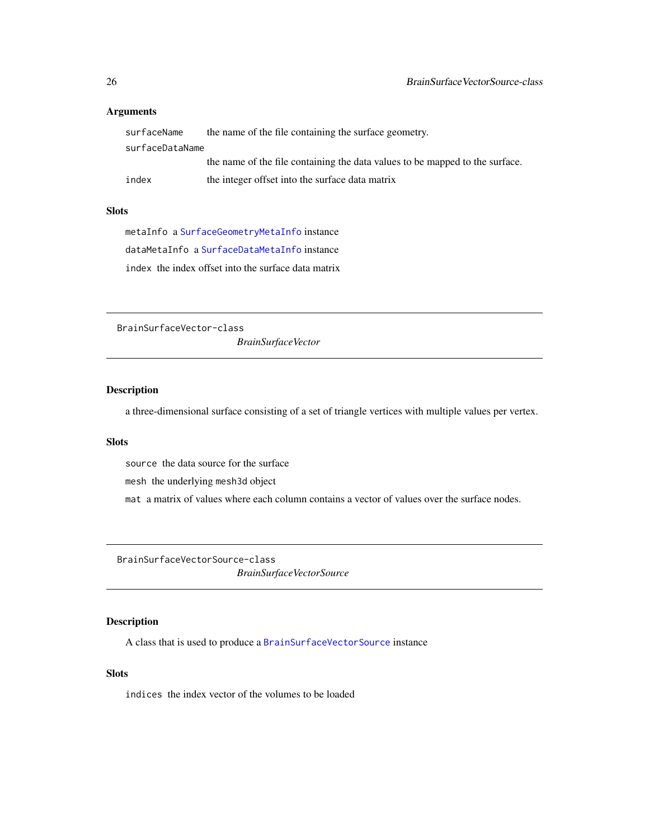### <span id="page-25-0"></span>Arguments

| surfaceName     | the name of the file containing the surface geometry.                        |  |
|-----------------|------------------------------------------------------------------------------|--|
| surfaceDataName |                                                                              |  |
|                 | the name of the file containing the data values to be mapped to the surface. |  |
| index           | the integer offset into the surface data matrix                              |  |

## Slots

metaInfo a [SurfaceGeometryMetaInfo](#page-104-1) instance dataMetaInfo a [SurfaceDataMetaInfo](#page-103-1) instance index the index offset into the surface data matrix

BrainSurfaceVector-class

*BrainSurfaceVector*

# Description

a three-dimensional surface consisting of a set of triangle vertices with multiple values per vertex.

#### **Slots**

source the data source for the surface

mesh the underlying mesh3d object

mat a matrix of values where each column contains a vector of values over the surface nodes.

<span id="page-25-1"></span>BrainSurfaceVectorSource-class *BrainSurfaceVectorSource*

## Description

A class that is used to produce a [BrainSurfaceVectorSource](#page-25-1) instance

#### Slots

indices the index vector of the volumes to be loaded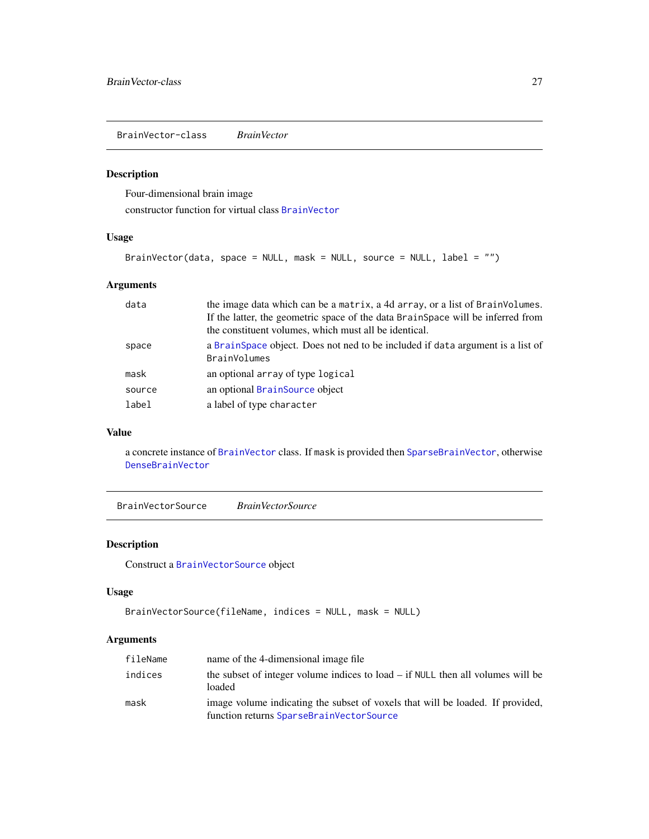<span id="page-26-1"></span><span id="page-26-0"></span>BrainVector-class *BrainVector*

## Description

Four-dimensional brain image constructor function for virtual class [BrainVector](#page-26-1)

#### Usage

```
BrainVector(data, space = NULL, mask = NULL, source = NULL, label = "")
```
## Arguments

| data   | the image data which can be a matrix, a 4d array, or a list of BrainVolumes.                           |
|--------|--------------------------------------------------------------------------------------------------------|
|        | If the latter, the geometric space of the data BrainSpace will be inferred from                        |
|        | the constituent volumes, which must all be identical.                                                  |
| space  | a Brain Space object. Does not ned to be included if data argument is a list of<br><b>BrainVolumes</b> |
| mask   | an optional array of type logical                                                                      |
| source | an optional BrainSource object                                                                         |
| label  | a label of type character                                                                              |

# Value

a concrete instance of [BrainVector](#page-26-1) class. If mask is provided then [SparseBrainVector](#page-96-1), otherwise [DenseBrainVector](#page-37-1)

BrainVectorSource *BrainVectorSource*

## Description

Construct a [BrainVectorSource](#page-27-1) object

#### Usage

```
BrainVectorSource(fileName, indices = NULL, mask = NULL)
```
## Arguments

| fileName | name of the 4-dimensional image file                                                                                       |
|----------|----------------------------------------------------------------------------------------------------------------------------|
| indices  | the subset of integer volume indices to load $-$ if NULL then all volumes will be<br>loaded                                |
| mask     | image volume indicating the subset of voxels that will be loaded. If provided,<br>function returns SparseBrainVectorSource |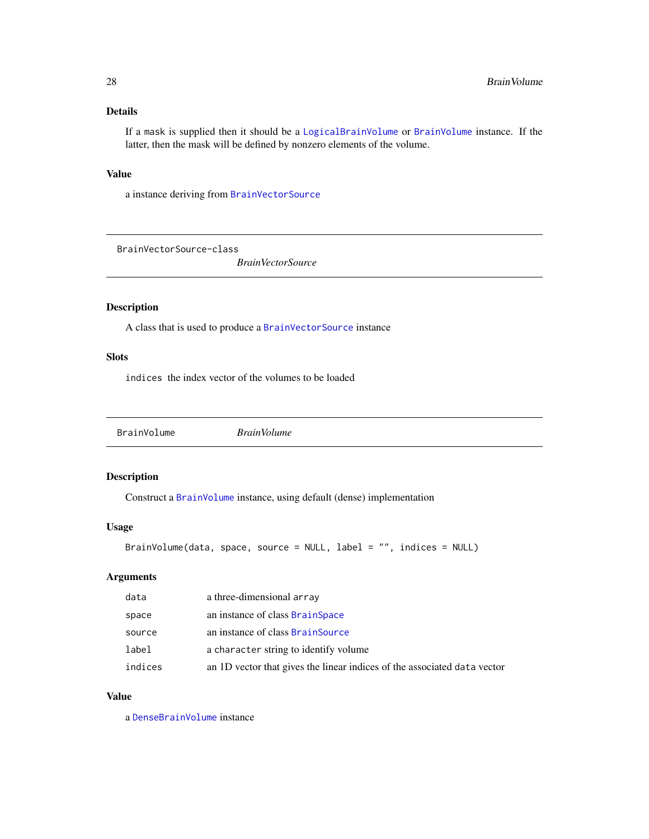## <span id="page-27-0"></span>Details

If a mask is supplied then it should be a [LogicalBrainVolume](#page-60-1) or [BrainVolume](#page-28-1) instance. If the latter, then the mask will be defined by nonzero elements of the volume.

#### Value

a instance deriving from [BrainVectorSource](#page-27-1)

<span id="page-27-1"></span>BrainVectorSource-class

*BrainVectorSource*

#### Description

A class that is used to produce a [BrainVectorSource](#page-27-1) instance

# Slots

indices the index vector of the volumes to be loaded

BrainVolume *BrainVolume*

## Description

Construct a [BrainVolume](#page-28-1) instance, using default (dense) implementation

## Usage

```
BrainVolume(data, space, source = NULL, label = "", indices = NULL)
```
## Arguments

| data    | a three-dimensional array                                                |
|---------|--------------------------------------------------------------------------|
| space   | an instance of class BrainSpace                                          |
| source  | an instance of class BrainSource                                         |
| label   | a character string to identify volume                                    |
| indices | an 1D vector that gives the linear indices of the associated data vector |

#### Value

a [DenseBrainVolume](#page-38-1) instance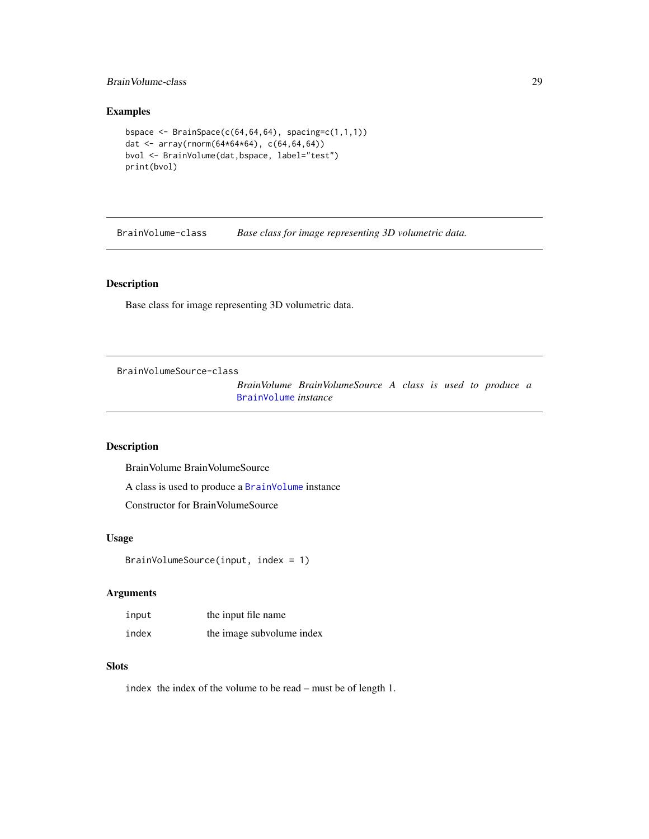#### <span id="page-28-0"></span>BrainVolume-class 29

### Examples

```
bspace \leq BrainSpace(c(64,64,64), spacing=c(1,1,1))
dat <- array(rnorm(64*64*64), c(64,64,64))
bvol <- BrainVolume(dat,bspace, label="test")
print(bvol)
```
<span id="page-28-1"></span>BrainVolume-class *Base class for image representing 3D volumetric data.*

## Description

Base class for image representing 3D volumetric data.

BrainVolumeSource-class

*BrainVolume BrainVolumeSource A class is used to produce a* [BrainVolume](#page-28-1) *instance*

## Description

BrainVolume BrainVolumeSource

A class is used to produce a [BrainVolume](#page-28-1) instance

Constructor for BrainVolumeSource

### Usage

```
BrainVolumeSource(input, index = 1)
```
## Arguments

| input | the input file name       |
|-------|---------------------------|
| index | the image subvolume index |

## **Slots**

index the index of the volume to be read – must be of length 1.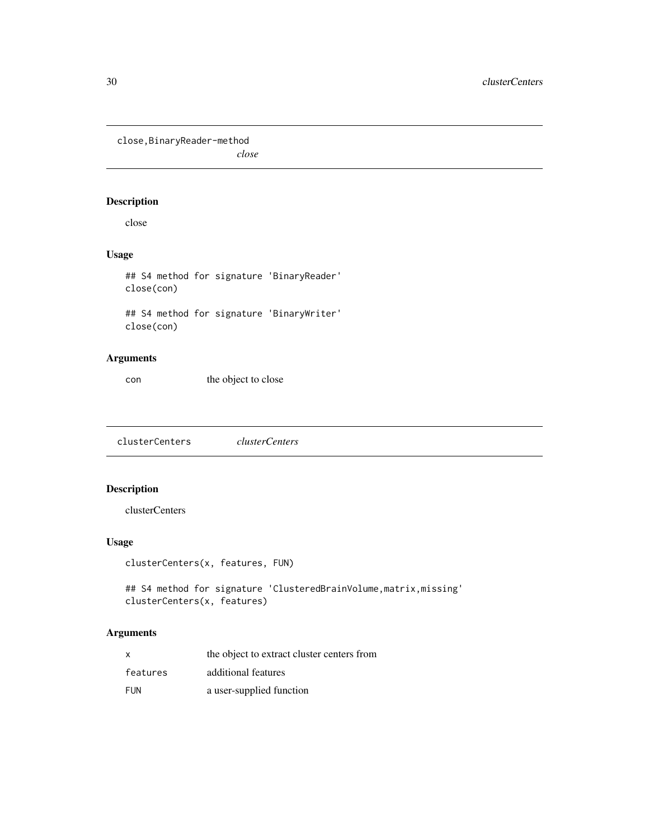<span id="page-29-0"></span>close,BinaryReader-method

*close*

## Description

close

## Usage

## S4 method for signature 'BinaryReader' close(con)

## S4 method for signature 'BinaryWriter' close(con)

## Arguments

con the object to close

clusterCenters *clusterCenters*

# Description

clusterCenters

# Usage

```
clusterCenters(x, features, FUN)
```
## S4 method for signature 'ClusteredBrainVolume, matrix, missing' clusterCenters(x, features)

## Arguments

| $\mathsf{x}$ | the object to extract cluster centers from |
|--------------|--------------------------------------------|
| features     | additional features                        |
| <b>FUN</b>   | a user-supplied function                   |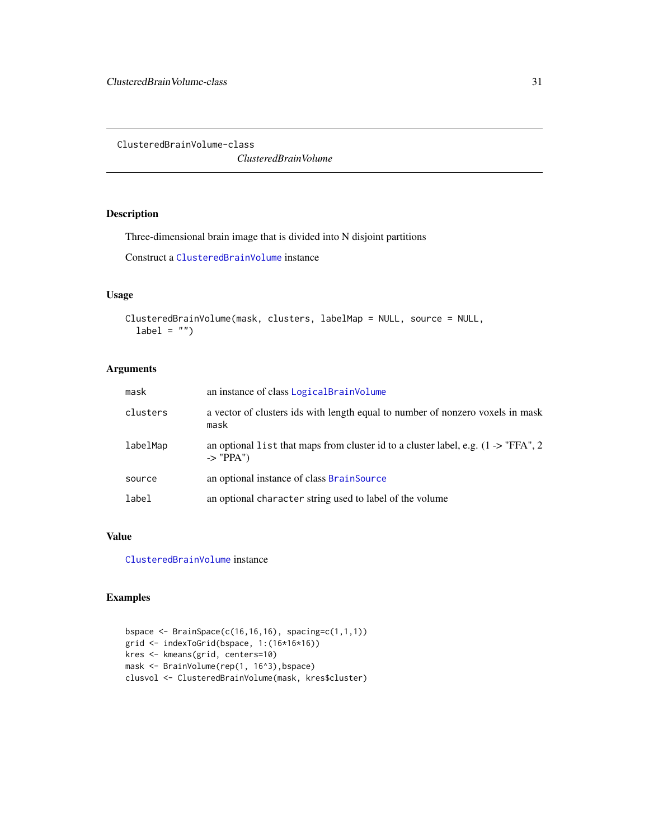<span id="page-30-1"></span><span id="page-30-0"></span>ClusteredBrainVolume-class

*ClusteredBrainVolume*

## Description

Three-dimensional brain image that is divided into N disjoint partitions

Construct a [ClusteredBrainVolume](#page-30-1) instance

#### Usage

```
ClusteredBrainVolume(mask, clusters, labelMap = NULL, source = NULL,
  label = "")
```
### Arguments

| mask     | an instance of class LogicalBrainVolume                                                                       |
|----------|---------------------------------------------------------------------------------------------------------------|
| clusters | a vector of clusters ids with length equal to number of nonzero voxels in mask<br>mask                        |
| labelMap | an optional list that maps from cluster id to a cluster label, e.g. $(1 -$ > "FFA", 2<br>$\rightarrow$ "PPA") |
| source   | an optional instance of class BrainSource                                                                     |
| label    | an optional character string used to label of the volume                                                      |

#### Value

[ClusteredBrainVolume](#page-30-1) instance

## Examples

```
bspace <- BrainSpace(c(16,16,16), spacing=c(1,1,1))
grid <- indexToGrid(bspace, 1:(16*16*16))
kres <- kmeans(grid, centers=10)
mask <- BrainVolume(rep(1, 16^3),bspace)
clusvol <- ClusteredBrainVolume(mask, kres$cluster)
```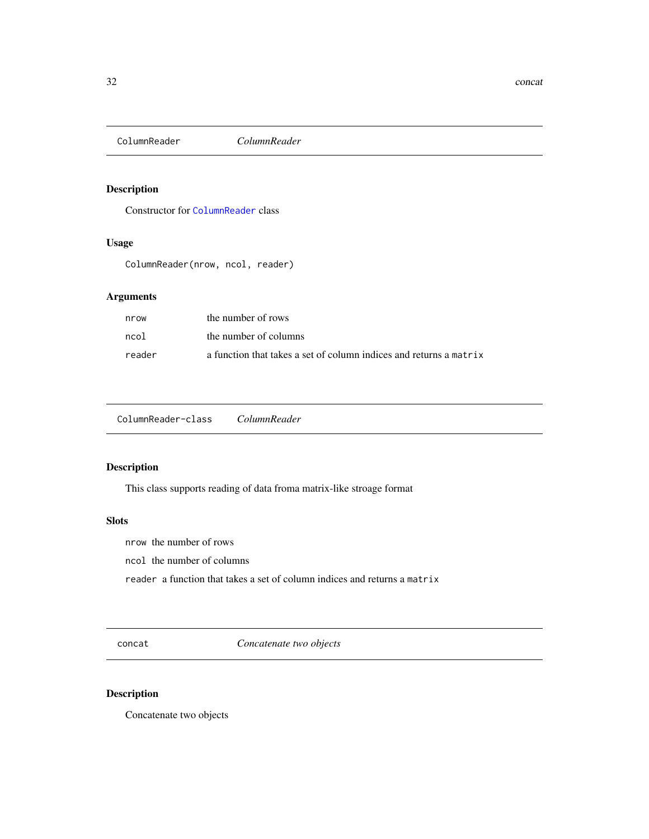<span id="page-31-0"></span>

# Description

Constructor for [ColumnReader](#page-31-1) class

#### Usage

ColumnReader(nrow, ncol, reader)

# Arguments

| nrow   | the number of rows                                                 |
|--------|--------------------------------------------------------------------|
| ncol   | the number of columns                                              |
| reader | a function that takes a set of column indices and returns a matrix |

<span id="page-31-1"></span>ColumnReader-class *ColumnReader*

## Description

This class supports reading of data froma matrix-like stroage format

#### **Slots**

nrow the number of rows

ncol the number of columns

reader a function that takes a set of column indices and returns a matrix

concat *Concatenate two objects*

# Description

Concatenate two objects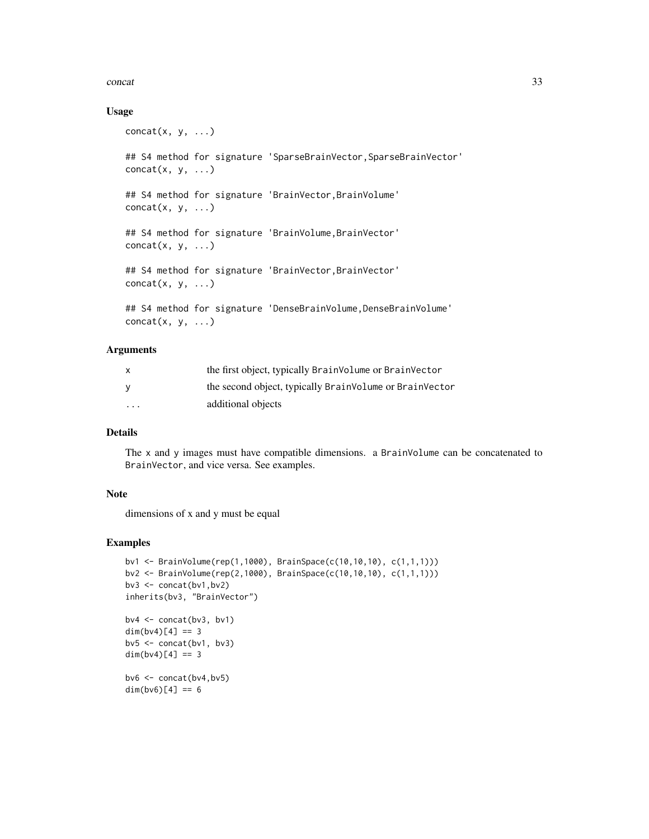#### concat 33

#### Usage

```
concat(x, y, \ldots)## S4 method for signature 'SparseBrainVector, SparseBrainVector'
concat(x, y, \ldots)## S4 method for signature 'BrainVector,BrainVolume'
concat(x, y, \ldots)## S4 method for signature 'BrainVolume,BrainVector'
concat(x, y, \ldots)## S4 method for signature 'BrainVector,BrainVector'
concat(x, y, \ldots)## S4 method for signature 'DenseBrainVolume, DenseBrainVolume'
concat(x, y, \ldots)
```
# Arguments

| x       | the first object, typically BrainVolume or BrainVector  |
|---------|---------------------------------------------------------|
| v       | the second object, typically BrainVolume or BrainVector |
| $\cdot$ | additional objects                                      |

# Details

The x and y images must have compatible dimensions. a BrainVolume can be concatenated to BrainVector, and vice versa. See examples.

#### Note

dimensions of x and y must be equal

#### Examples

```
bv1 <- BrainVolume(rep(1,1000), BrainSpace(c(10,10,10), c(1,1,1)))
bv2 <- BrainVolume(rep(2,1000), BrainSpace(c(10,10,10), c(1,1,1)))
bv3 <- concat(bv1,bv2)
inherits(bv3, "BrainVector")
b\vee 4 \leq concat(b\vee 3, b\vee 1)
dim(bv4)[4] == 3b\nu5 \leq -\text{concat}(b\nu1, b\nu3)dim(bv4)[4] == 3b\vee 6 \leftarrow \text{concat}(b\vee 4, b\vee 5)dim(b \vee 6)[4] == 6
```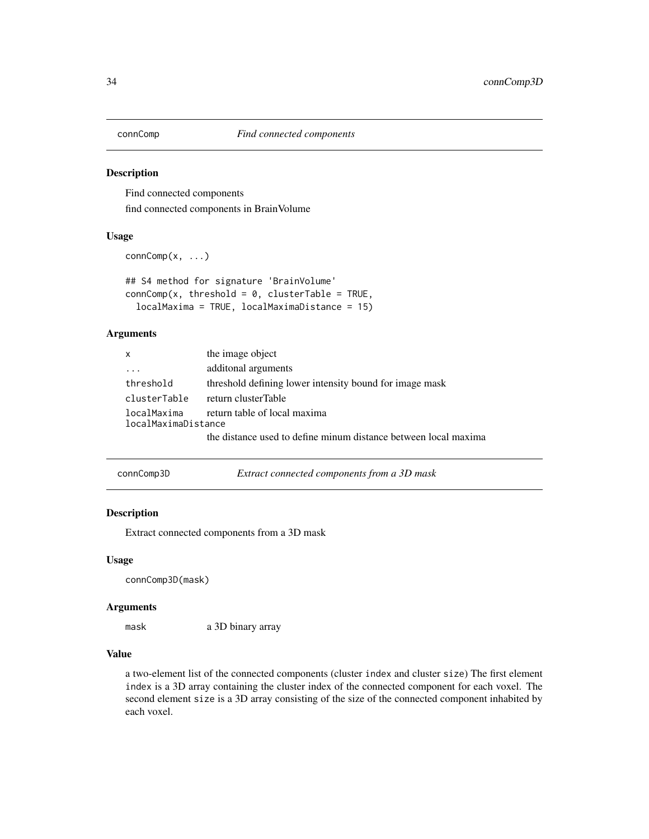<span id="page-33-0"></span>

#### Description

Find connected components find connected components in BrainVolume

#### Usage

```
connComp(x, ...)
```

```
## S4 method for signature 'BrainVolume'
connComp(x, threshold = 0, clusterTable = TRUE,localMaxima = TRUE, localMaximaDistance = 15)
```
## Arguments

| $\mathsf{x}$                                                       | the image object                                                |
|--------------------------------------------------------------------|-----------------------------------------------------------------|
| $\cdot$ $\cdot$ $\cdot$                                            | additonal arguments                                             |
| threshold                                                          | threshold defining lower intensity bound for image mask         |
| clusterTable                                                       | return clusterTable                                             |
| return table of local maxima<br>localMaxima<br>localMaximaDistance |                                                                 |
|                                                                    | the distance used to define minum distance between local maxima |

| connComp3D | Extract connected components from a 3D mask |
|------------|---------------------------------------------|
|------------|---------------------------------------------|

### Description

Extract connected components from a 3D mask

#### Usage

connComp3D(mask)

#### Arguments

mask a 3D binary array

# Value

a two-element list of the connected components (cluster index and cluster size) The first element index is a 3D array containing the cluster index of the connected component for each voxel. The second element size is a 3D array consisting of the size of the connected component inhabited by each voxel.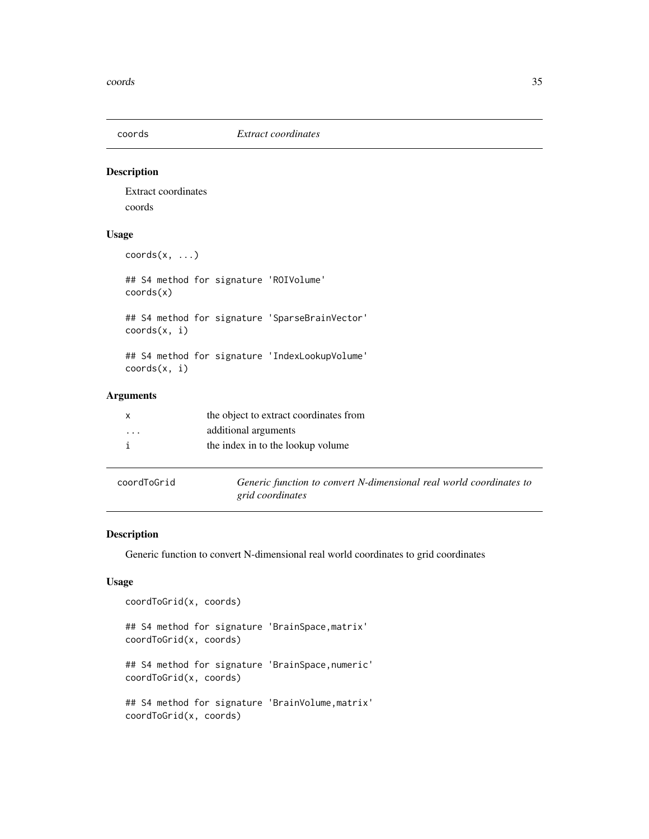<span id="page-34-0"></span>

#### Description

Extract coordinates coords

#### Usage

coords(x, ...)

## S4 method for signature 'ROIVolume' coords(x)

## S4 method for signature 'SparseBrainVector' coords(x, i)

## S4 method for signature 'IndexLookupVolume' coords(x, i)

## Arguments

|                         | the object to extract coordinates from |
|-------------------------|----------------------------------------|
| $\cdot$ $\cdot$ $\cdot$ | additional arguments                   |
|                         | the index in to the lookup volume      |
|                         |                                        |
|                         |                                        |

| <u>CUULUIUULIU</u> |  |  |
|--------------------|--|--|
|                    |  |  |
|                    |  |  |

coordToGrid *Generic function to convert N-dimensional real world coordinates to grid coordinates*

#### Description

Generic function to convert N-dimensional real world coordinates to grid coordinates

#### Usage

```
coordToGrid(x, coords)
## S4 method for signature 'BrainSpace,matrix'
coordToGrid(x, coords)
## S4 method for signature 'BrainSpace,numeric'
coordToGrid(x, coords)
## S4 method for signature 'BrainVolume,matrix'
coordToGrid(x, coords)
```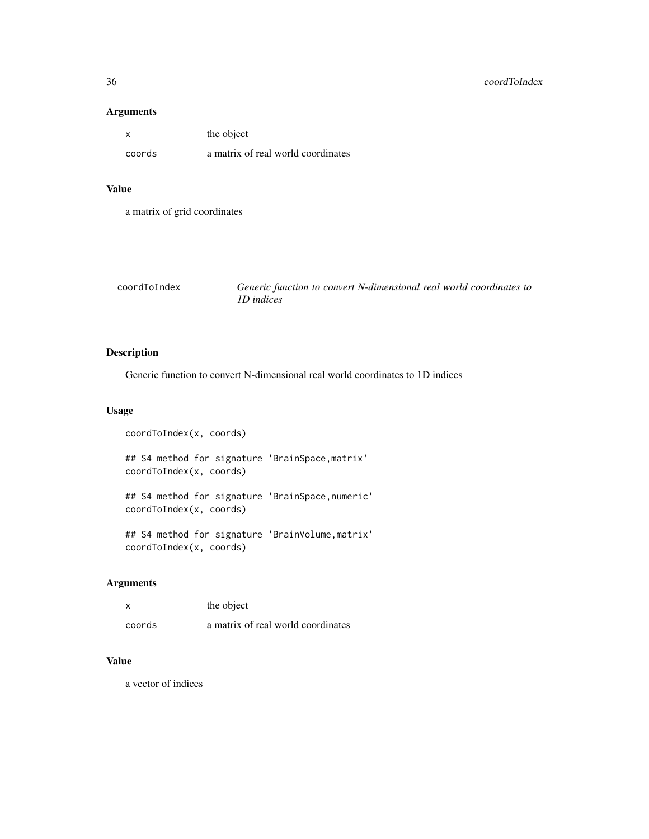## Arguments

| $\boldsymbol{\mathsf{x}}$ | the object                         |
|---------------------------|------------------------------------|
| coords                    | a matrix of real world coordinates |

## Value

a matrix of grid coordinates

| coordToIndex | Generic function to convert N-dimensional real world coordinates to |
|--------------|---------------------------------------------------------------------|
|              | <i>ID</i> indices                                                   |

# Description

Generic function to convert N-dimensional real world coordinates to 1D indices

## Usage

```
coordToIndex(x, coords)
## S4 method for signature 'BrainSpace,matrix'
coordToIndex(x, coords)
## S4 method for signature 'BrainSpace,numeric'
coordToIndex(x, coords)
## S4 method for signature 'BrainVolume,matrix'
coordToIndex(x, coords)
```
# Arguments

|        | the object                         |
|--------|------------------------------------|
| coords | a matrix of real world coordinates |

#### Value

a vector of indices

<span id="page-35-0"></span>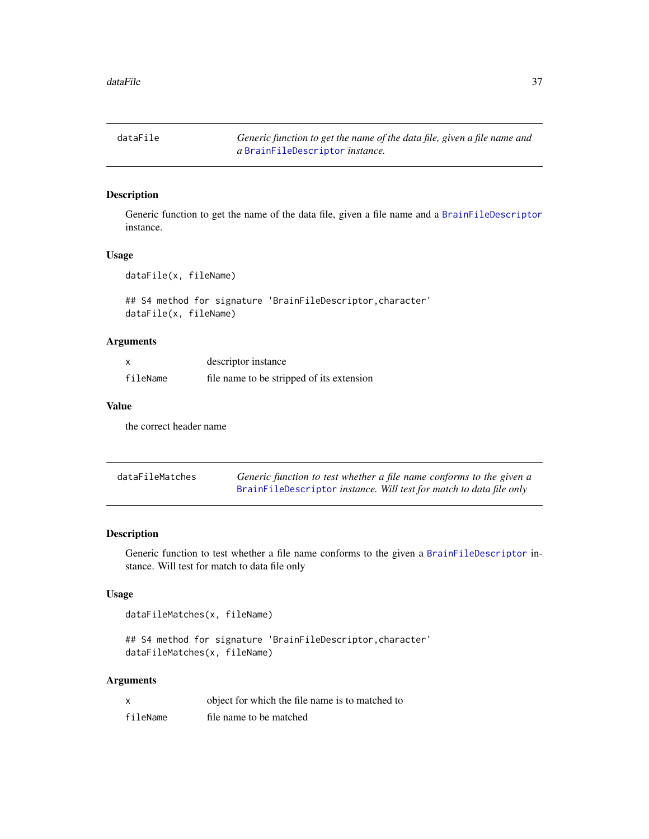dataFile *Generic function to get the name of the data file, given a file name and a* [BrainFileDescriptor](#page-20-0) *instance.*

## Description

Generic function to get the name of the data file, given a file name and a [BrainFileDescriptor](#page-20-0) instance.

#### Usage

dataFile(x, fileName)

## S4 method for signature 'BrainFileDescriptor,character' dataFile(x, fileName)

#### Arguments

|          | descriptor instance                       |
|----------|-------------------------------------------|
| fileName | file name to be stripped of its extension |

## Value

the correct header name

| dataFileMatches | Generic function to test whether a file name conforms to the given a |
|-----------------|----------------------------------------------------------------------|
|                 | BrainFileDescriptor instance. Will test for match to data file only  |

#### Description

Generic function to test whether a file name conforms to the given a [BrainFileDescriptor](#page-20-0) instance. Will test for match to data file only

### Usage

dataFileMatches(x, fileName)

## S4 method for signature 'BrainFileDescriptor, character' dataFileMatches(x, fileName)

| x        | object for which the file name is to matched to |
|----------|-------------------------------------------------|
| fileName | file name to be matched                         |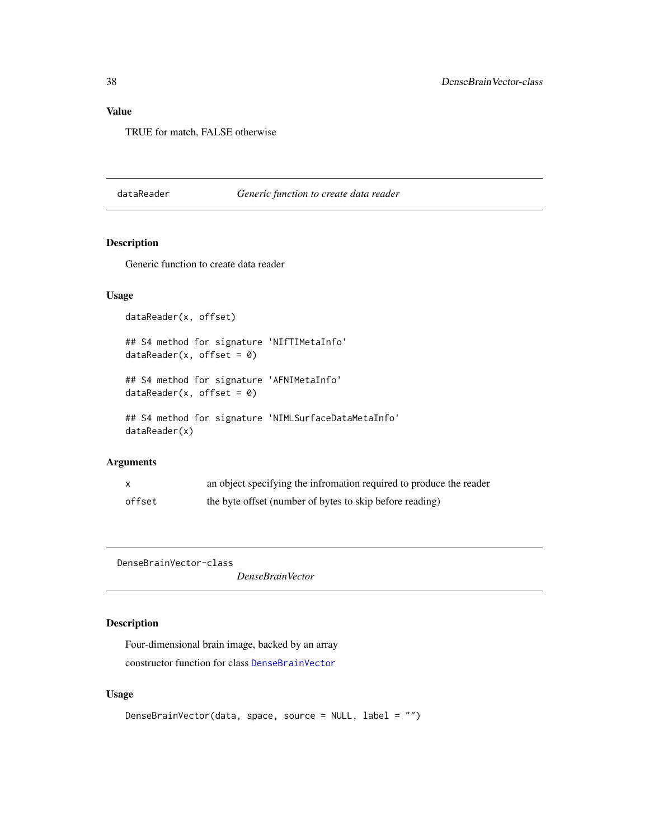# Value

TRUE for match, FALSE otherwise

#### dataReader *Generic function to create data reader*

## Description

Generic function to create data reader

## Usage

```
dataReader(x, offset)
## S4 method for signature 'NIfTIMetaInfo'
dataReader(x, offset = 0)## S4 method for signature 'AFNIMetaInfo'
dataReader(x, offset = 0)## S4 method for signature 'NIMLSurfaceDataMetaInfo'
dataReader(x)
```
#### Arguments

| X      | an object specifying the infromation required to produce the reader |
|--------|---------------------------------------------------------------------|
| offset | the byte offset (number of bytes to skip before reading)            |

<span id="page-37-0"></span>DenseBrainVector-class

*DenseBrainVector*

## Description

Four-dimensional brain image, backed by an array constructor function for class [DenseBrainVector](#page-37-0)

## Usage

```
DenseBrainVector(data, space, source = NULL, label = "")
```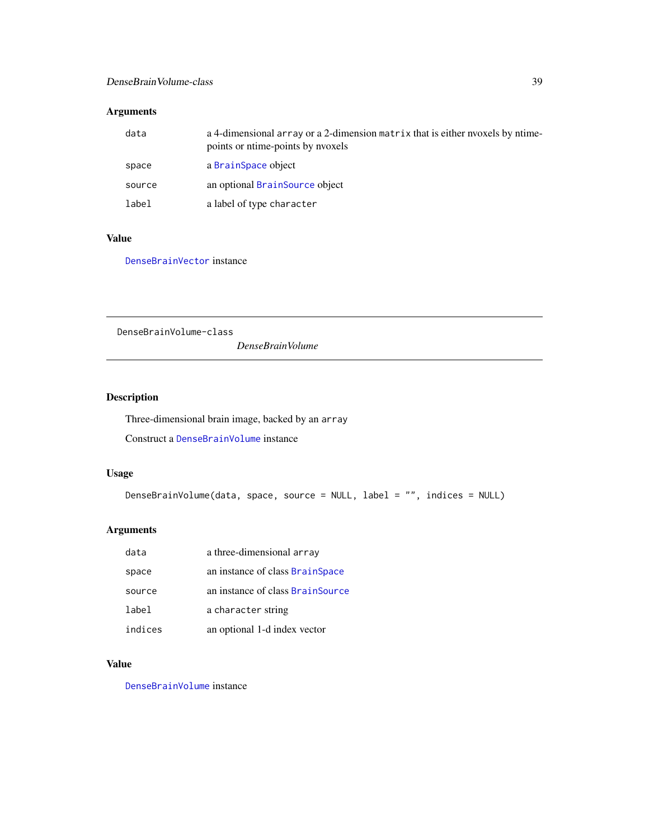# DenseBrainVolume-class 39

## Arguments

| data   | a 4-dimensional array or a 2-dimension matrix that is either nyoxels by ntime-<br>points or ntime-points by nyoxels |
|--------|---------------------------------------------------------------------------------------------------------------------|
| space  | a BrainSpace object                                                                                                 |
| source | an optional BrainSource object                                                                                      |
| label  | a label of type character                                                                                           |

## Value

[DenseBrainVector](#page-37-0) instance

<span id="page-38-0"></span>DenseBrainVolume-class

*DenseBrainVolume*

# Description

Three-dimensional brain image, backed by an array

Construct a [DenseBrainVolume](#page-38-0) instance

# Usage

```
DenseBrainVolume(data, space, source = NULL, label = "", indices = NULL)
```
## Arguments

| data    | a three-dimensional array        |
|---------|----------------------------------|
| space   | an instance of class BrainSpace  |
| source  | an instance of class BrainSource |
| label   | a character string               |
| indices | an optional 1-d index vector     |

# Value

[DenseBrainVolume](#page-38-0) instance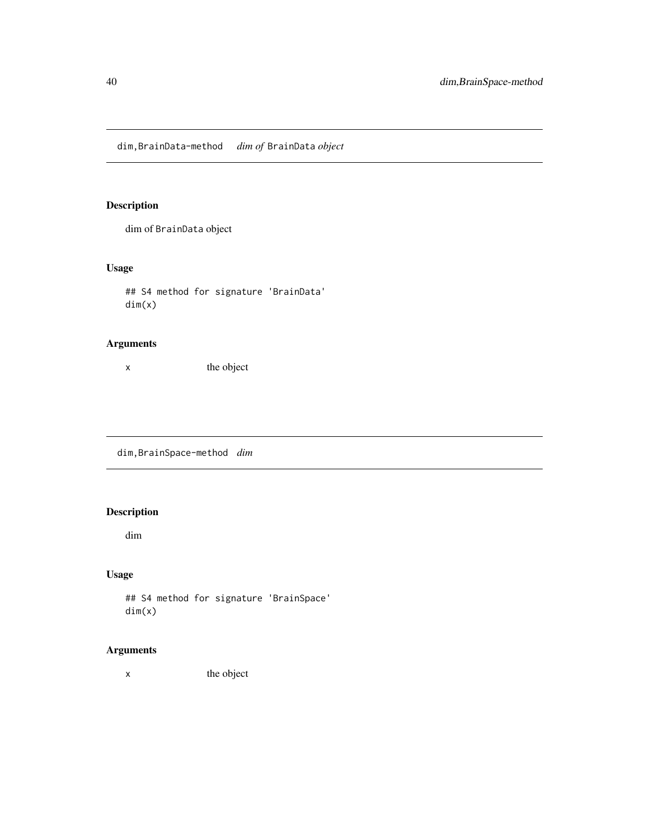dim,BrainData-method *dim of* BrainData *object*

# Description

dim of BrainData object

# Usage

## S4 method for signature 'BrainData' dim(x)

# Arguments

x the object

dim,BrainSpace-method *dim*

## Description

dim

## Usage

## S4 method for signature 'BrainSpace' dim(x)

# Arguments

x the object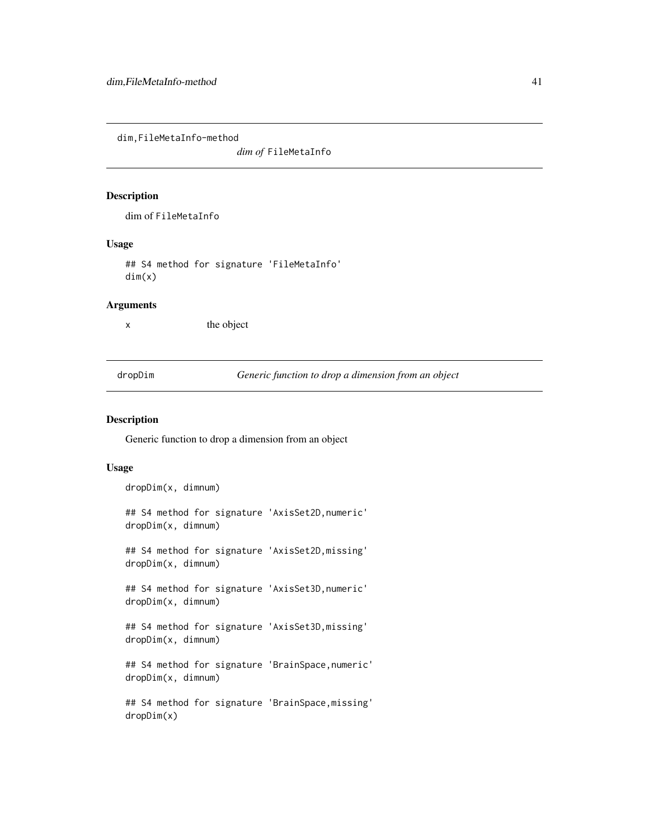dim,FileMetaInfo-method

*dim of* FileMetaInfo

#### Description

dim of FileMetaInfo

#### Usage

## S4 method for signature 'FileMetaInfo' dim(x)

#### Arguments

x the object

dropDim *Generic function to drop a dimension from an object*

#### Description

Generic function to drop a dimension from an object

## Usage

dropDim(x, dimnum)

## S4 method for signature 'AxisSet2D,numeric' dropDim(x, dimnum)

## S4 method for signature 'AxisSet2D,missing' dropDim(x, dimnum)

## S4 method for signature 'AxisSet3D,numeric' dropDim(x, dimnum)

## S4 method for signature 'AxisSet3D,missing' dropDim(x, dimnum)

## S4 method for signature 'BrainSpace,numeric' dropDim(x, dimnum)

## S4 method for signature 'BrainSpace,missing' dropDim(x)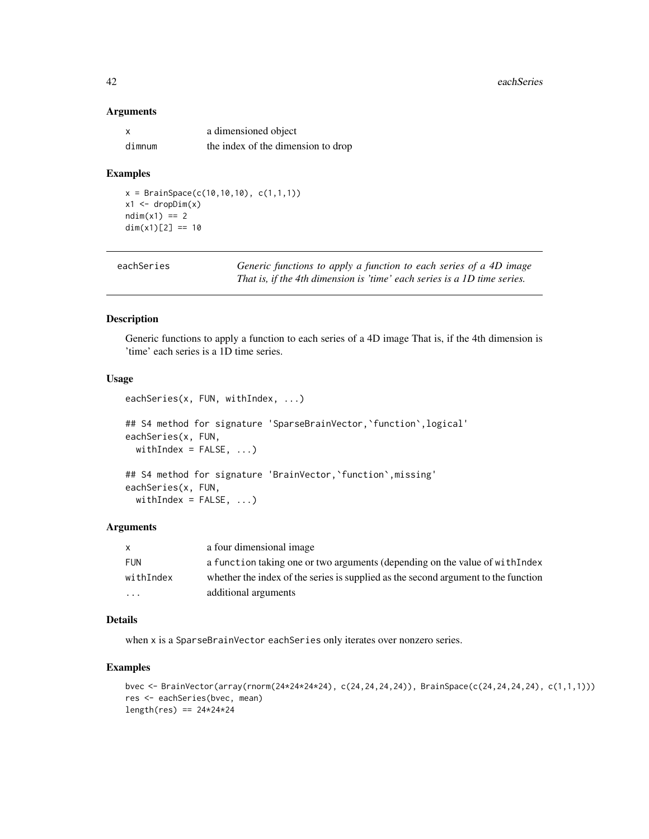#### Arguments

|        | a dimensioned object               |
|--------|------------------------------------|
| dimnum | the index of the dimension to drop |

## Examples

 $x = BrainSpace(c(10, 10, 10), c(1, 1, 1))$  $x1 \leftarrow dropDim(x)$  $ndim(x1) == 2$  $dim(x1)[2] == 10$ 

| eachSeries | Generic functions to apply a function to each series of a 4D image       |
|------------|--------------------------------------------------------------------------|
|            | That is, if the 4th dimension is 'time' each series is a 1D time series. |

#### Description

Generic functions to apply a function to each series of a 4D image That is, if the 4th dimension is 'time' each series is a 1D time series.

## Usage

```
eachSeries(x, FUN, withIndex, ...)
## S4 method for signature 'SparseBrainVector, 'function', logical'
eachSeries(x, FUN,
 withIndex = FALSE, ...)
## S4 method for signature 'BrainVector,`function`,missing'
eachSeries(x, FUN,
 withIndex = FALSE, ...)
```
#### Arguments

| X          | a four dimensional image                                                           |
|------------|------------------------------------------------------------------------------------|
| <b>FUN</b> | a function taking one or two arguments (depending on the value of with Index       |
| withIndex  | whether the index of the series is supplied as the second argument to the function |
| .          | additional arguments                                                               |

#### Details

when x is a SparseBrainVector eachSeries only iterates over nonzero series.

#### Examples

```
bvec <- BrainVector(array(rnorm(24*24*24*24), c(24,24,24,24)), BrainSpace(c(24,24,24,24), c(1,1,1)))
res <- eachSeries(bvec, mean)
length(res) == 24*24*24
```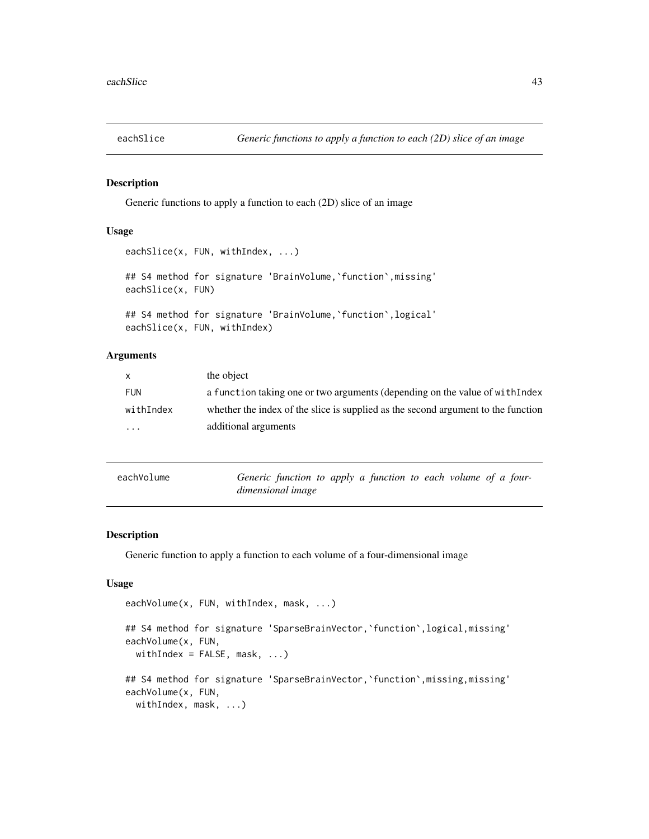#### Description

Generic functions to apply a function to each (2D) slice of an image

#### Usage

```
eachSlice(x, FUN, withIndex, ...)
## S4 method for signature 'BrainVolume, 'function', missing'
eachSlice(x, FUN)
## S4 method for signature 'BrainVolume,`function`,logical'
eachSlice(x, FUN, withIndex)
```
## Arguments

| $\mathsf{X}$            | the object                                                                        |
|-------------------------|-----------------------------------------------------------------------------------|
| <b>FUN</b>              | a function taking one or two arguments (depending on the value of with Index      |
| withIndex               | whether the index of the slice is supplied as the second argument to the function |
| $\cdot$ $\cdot$ $\cdot$ | additional arguments                                                              |

| eachVolume | Generic function to apply a function to each volume of a four- |
|------------|----------------------------------------------------------------|
|            | dimensional image                                              |

## Description

Generic function to apply a function to each volume of a four-dimensional image

#### Usage

```
eachVolume(x, FUN, withIndex, mask, ...)
## S4 method for signature 'SparseBrainVector,`function`,logical,missing'
eachVolume(x, FUN,
 withIndex = FALSE, mask, ...## S4 method for signature 'SparseBrainVector, 'function', missing, missing'
eachVolume(x, FUN,
 withIndex, mask, ...)
```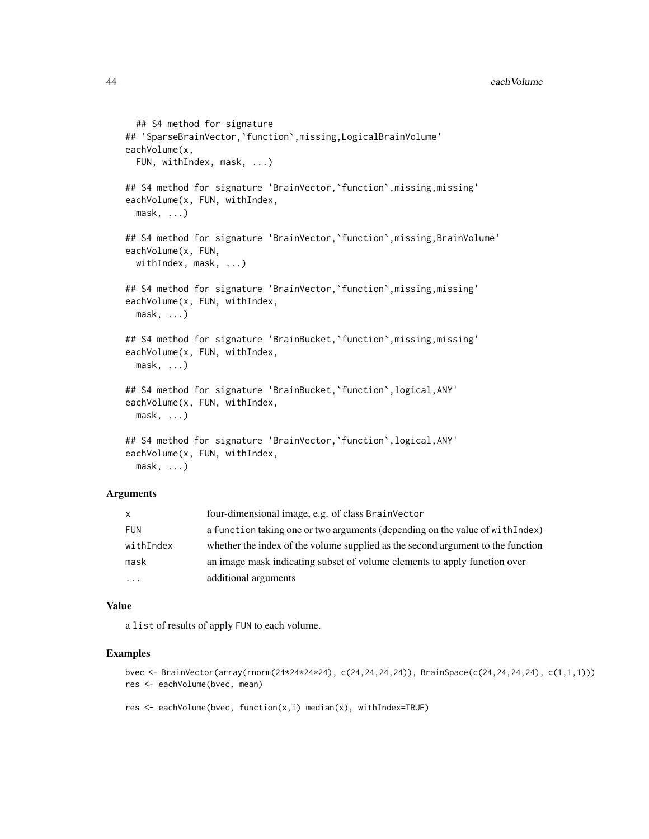```
## S4 method for signature
## 'SparseBrainVector,`function`,missing,LogicalBrainVolume'
eachVolume(x,
  FUN, withIndex, mask, ...)
## S4 method for signature 'BrainVector, 'function', missing, missing'
eachVolume(x, FUN, withIndex,
 mask, ...)
## S4 method for signature 'BrainVector,`function`,missing,BrainVolume'
eachVolume(x, FUN,
 withIndex, mask, ...)
## S4 method for signature 'BrainVector,`function`,missing,missing'
eachVolume(x, FUN, withIndex,
 mask, ...)
## S4 method for signature 'BrainBucket, 'function', missing, missing'
eachVolume(x, FUN, withIndex,
 mask, ...)
## S4 method for signature 'BrainBucket,`function`,logical,ANY'
eachVolume(x, FUN, withIndex,
 mask, ...)
## S4 method for signature 'BrainVector,`function`,logical,ANY'
eachVolume(x, FUN, withIndex,
```
mask, ...)

#### Arguments

| X          | four-dimensional image, e.g. of class BrainVector                               |
|------------|---------------------------------------------------------------------------------|
| <b>FUN</b> | a function taking one or two arguments (depending on the value of with Index)   |
| withIndex  | whether the index of the volume supplied as the second argument to the function |
| mask       | an image mask indicating subset of volume elements to apply function over       |
| $\cdots$   | additional arguments                                                            |

#### Value

a list of results of apply FUN to each volume.

#### Examples

```
bvec <- BrainVector(array(rnorm(24*24*24*24), c(24,24,24,24)), BrainSpace(c(24,24,24,24), c(1,1,1)))
res <- eachVolume(bvec, mean)
```
res  $\leq$  eachVolume(bvec, function(x,i) median(x), withIndex=TRUE)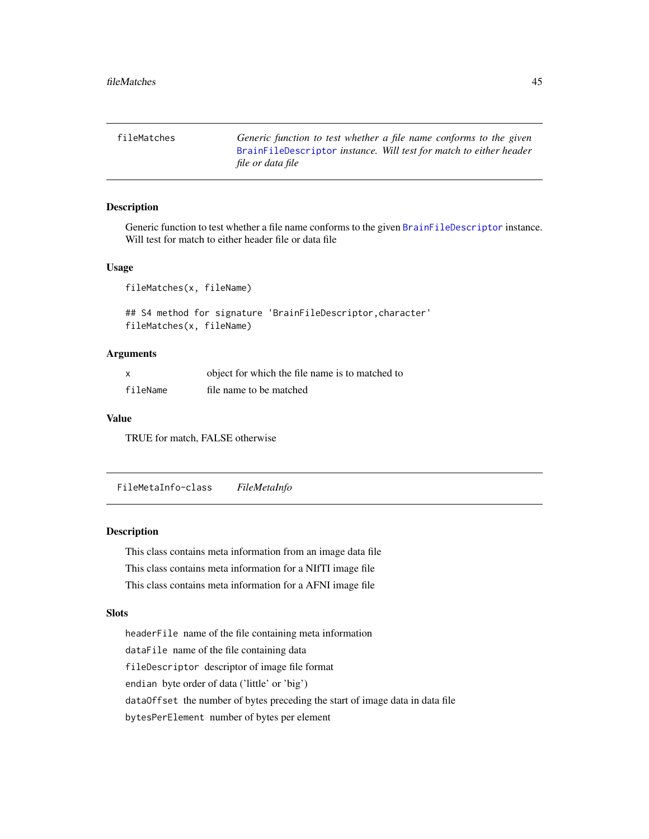fileMatches *Generic function to test whether a file name conforms to the given* [BrainFileDescriptor](#page-20-0) *instance. Will test for match to either header file or data file*

#### Description

Generic function to test whether a file name conforms to the given [BrainFileDescriptor](#page-20-0) instance. Will test for match to either header file or data file

## Usage

fileMatches(x, fileName)

## S4 method for signature 'BrainFileDescriptor,character' fileMatches(x, fileName)

#### Arguments

| x        | object for which the file name is to matched to |
|----------|-------------------------------------------------|
| fileName | file name to be matched                         |

#### Value

TRUE for match, FALSE otherwise

FileMetaInfo-class *FileMetaInfo*

#### <span id="page-44-0"></span>Description

This class contains meta information from an image data file This class contains meta information for a NIfTI image file This class contains meta information for a AFNI image file

#### **Slots**

headerFile name of the file containing meta information dataFile name of the file containing data fileDescriptor descriptor of image file format endian byte order of data ('little' or 'big') dataOffset the number of bytes preceding the start of image data in data file bytesPerElement number of bytes per element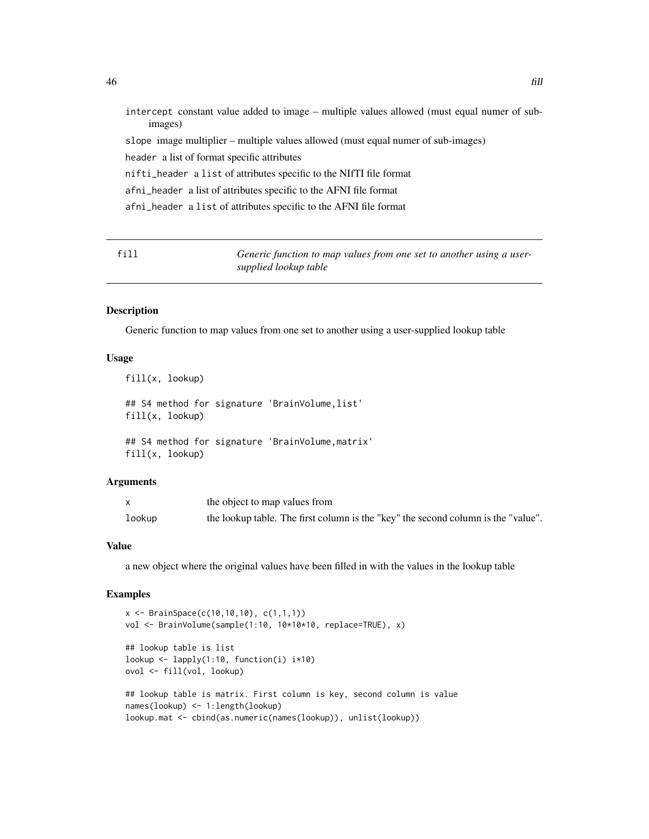| intercept constant value added to image – multiple values allowed (must equal numer of sub-<br>images) |
|--------------------------------------------------------------------------------------------------------|
| slope image multiplier – multiple values allowed (must equal numer of sub-images)                      |
| header a list of format specific attributes                                                            |
| nifti_header a list of attributes specific to the NIfTI file format                                    |
| afni_header a list of attributes specific to the AFNI file format                                      |
| afni_header a list of attributes specific to the AFNI file format                                      |
|                                                                                                        |

fill *Generic function to map values from one set to another using a usersupplied lookup table*

#### Description

Generic function to map values from one set to another using a user-supplied lookup table

#### Usage

fill(x, lookup)

## S4 method for signature 'BrainVolume, list' fill(x, lookup)

## S4 method for signature 'BrainVolume,matrix' fill(x, lookup)

## Arguments

|        | the object to map values from                                                     |
|--------|-----------------------------------------------------------------------------------|
| lookup | the lookup table. The first column is the "key" the second column is the "value". |

## Value

a new object where the original values have been filled in with the values in the lookup table

## Examples

```
x <- BrainSpace(c(10,10,10), c(1,1,1))
vol <- BrainVolume(sample(1:10, 10*10*10, replace=TRUE), x)
## lookup table is list
lookup <- lapply(1:10, function(i) i*10)
ovol <- fill(vol, lookup)
## lookup table is matrix. First column is key, second column is value
names(lookup) <- 1:length(lookup)
lookup.mat <- cbind(as.numeric(names(lookup)), unlist(lookup))
```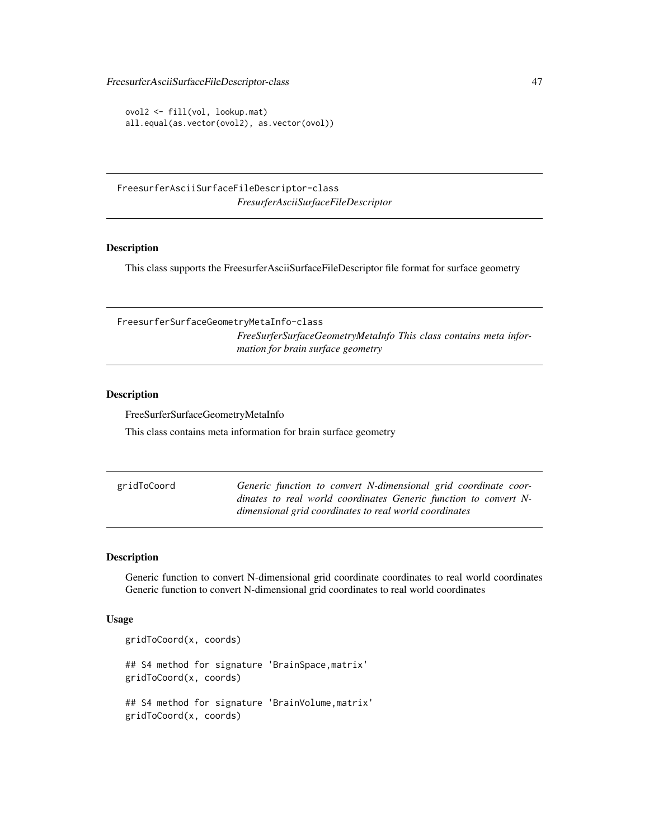FreesurferAsciiSurfaceFileDescriptor-class 47

```
ovol2 <- fill(vol, lookup.mat)
all.equal(as.vector(ovol2), as.vector(ovol))
```
FreesurferAsciiSurfaceFileDescriptor-class *FresurferAsciiSurfaceFileDescriptor*

#### Description

This class supports the FreesurferAsciiSurfaceFileDescriptor file format for surface geometry

FreesurferSurfaceGeometryMetaInfo-class *FreeSurferSurfaceGeometryMetaInfo This class contains meta information for brain surface geometry*

#### Description

FreeSurferSurfaceGeometryMetaInfo

This class contains meta information for brain surface geometry

| gridToCoord | Generic function to convert N-dimensional grid coordinate coor-  |
|-------------|------------------------------------------------------------------|
|             | dinates to real world coordinates Generic function to convert N- |
|             | dimensional grid coordinates to real world coordinates           |

#### Description

Generic function to convert N-dimensional grid coordinate coordinates to real world coordinates Generic function to convert N-dimensional grid coordinates to real world coordinates

#### Usage

```
gridToCoord(x, coords)
## S4 method for signature 'BrainSpace,matrix'
gridToCoord(x, coords)
## S4 method for signature 'BrainVolume,matrix'
gridToCoord(x, coords)
```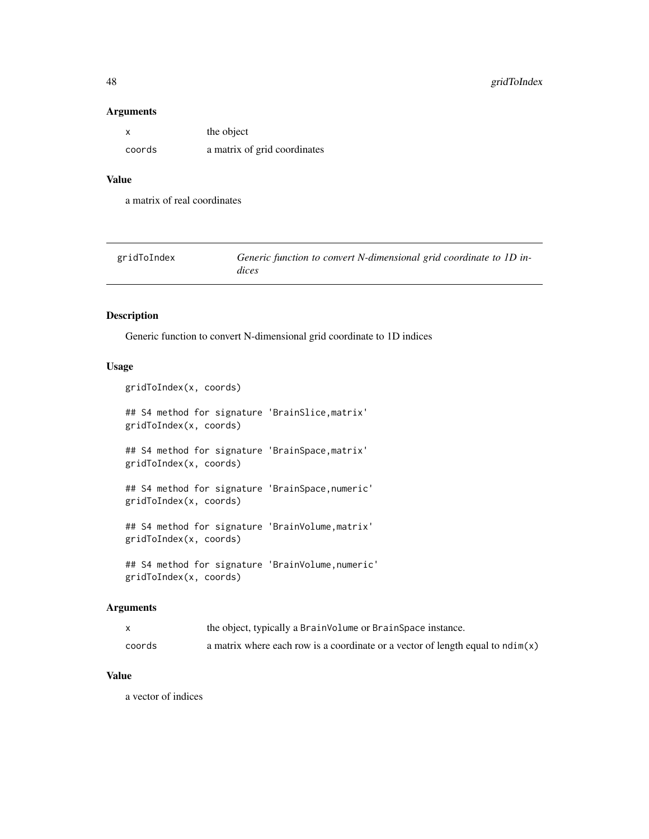#### Arguments

| x      | the object                   |
|--------|------------------------------|
| coords | a matrix of grid coordinates |

## Value

a matrix of real coordinates

| gridToIndex | Generic function to convert N-dimensional grid coordinate to 1D in- |
|-------------|---------------------------------------------------------------------|
|             | dices                                                               |

## Description

Generic function to convert N-dimensional grid coordinate to 1D indices

## Usage

```
gridToIndex(x, coords)
## S4 method for signature 'BrainSlice,matrix'
gridToIndex(x, coords)
## S4 method for signature 'BrainSpace,matrix'
gridToIndex(x, coords)
## S4 method for signature 'BrainSpace,numeric'
gridToIndex(x, coords)
## S4 method for signature 'BrainVolume,matrix'
gridToIndex(x, coords)
## S4 method for signature 'BrainVolume,numeric'
gridToIndex(x, coords)
```
#### Arguments

|        | the object, typically a BrainVolume or BrainSpace instance.                             |
|--------|-----------------------------------------------------------------------------------------|
| coords | a matrix where each row is a coordinate or a vector of length equal to $\text{ndim}(x)$ |

# Value

a vector of indices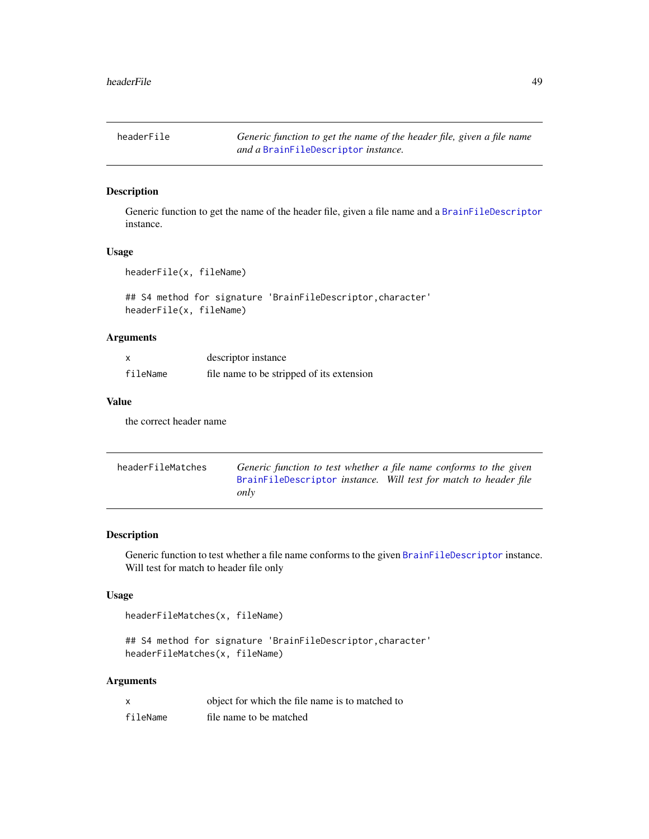headerFile *Generic function to get the name of the header file, given a file name and a* [BrainFileDescriptor](#page-20-0) *instance.*

# Description

Generic function to get the name of the header file, given a file name and a [BrainFileDescriptor](#page-20-0) instance.

#### Usage

headerFile(x, fileName)

## S4 method for signature 'BrainFileDescriptor,character' headerFile(x, fileName)

## Arguments

| X        | descriptor instance                       |
|----------|-------------------------------------------|
| fileName | file name to be stripped of its extension |

# Value

the correct header name

| headerFileMatches |                                                                  | Generic function to test whether a file name conforms to the given |
|-------------------|------------------------------------------------------------------|--------------------------------------------------------------------|
|                   | BrainFileDescriptor instance. Will test for match to header file |                                                                    |
|                   | only                                                             |                                                                    |

## Description

Generic function to test whether a file name conforms to the given [BrainFileDescriptor](#page-20-0) instance. Will test for match to header file only

#### Usage

headerFileMatches(x, fileName)

```
## S4 method for signature 'BrainFileDescriptor,character'
headerFileMatches(x, fileName)
```

| X        | object for which the file name is to matched to |
|----------|-------------------------------------------------|
| fileName | file name to be matched                         |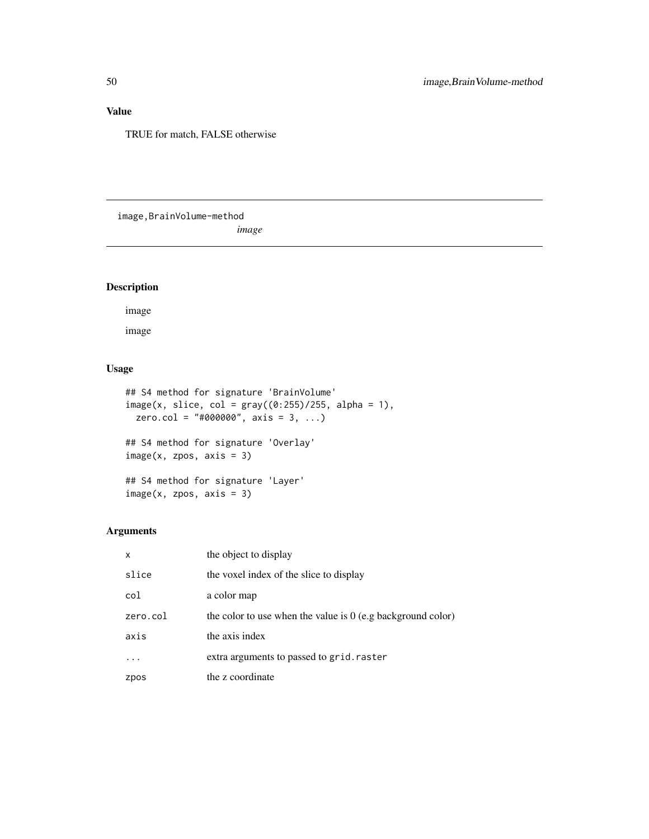# Value

TRUE for match, FALSE otherwise

image,BrainVolume-method

*image*

# Description

image

image

## Usage

```
## S4 method for signature 'BrainVolume'
image(x, slice, col = gray((0:255)/255, alpha = 1),zero.col = "#000000", axis = 3, ...)
## S4 method for signature 'Overlay'
image(x, zpos, axis = 3)## S4 method for signature 'Layer'
image(x, zpos, axis = 3)
```

| $\mathsf{x}$ | the object to display                                         |
|--------------|---------------------------------------------------------------|
| slice        | the voxel index of the slice to display                       |
| col          | a color map                                                   |
| zero.col     | the color to use when the value is $0$ (e.g background color) |
| axis         | the axis index                                                |
|              | extra arguments to passed to grid. raster                     |
| zpos         | the z coordinate                                              |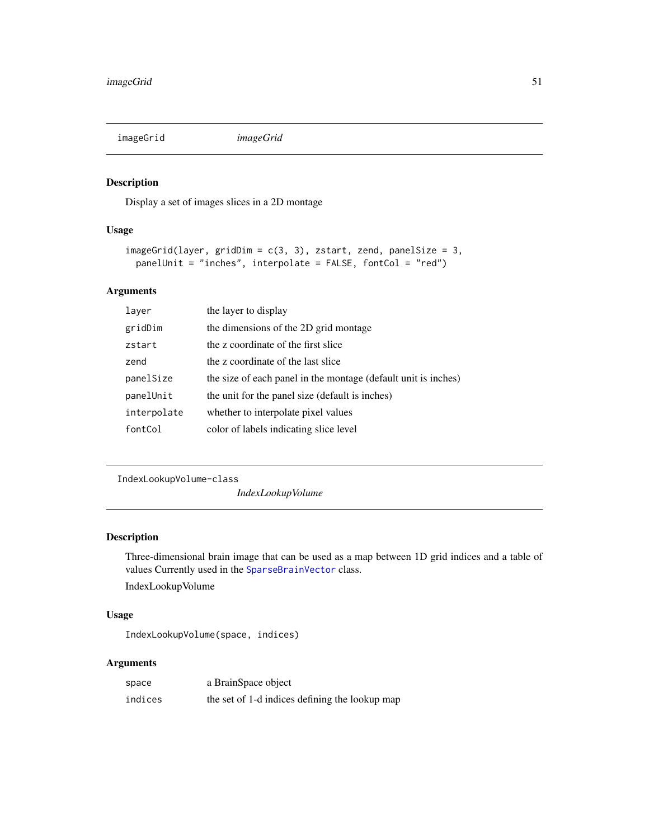imageGrid *imageGrid*

## Description

Display a set of images slices in a 2D montage

## Usage

```
imageGrid(layer, gridDim = c(3, 3), zstart, zend, panelSize = 3,panelUnit = "inches", interpolate = FALSE, fontCol = "red")
```
# Arguments

| layer       | the layer to display                                           |
|-------------|----------------------------------------------------------------|
| gridDim     | the dimensions of the 2D grid montage                          |
| zstart      | the z coordinate of the first slice                            |
| zend        | the z coordinate of the last slice                             |
| panelSize   | the size of each panel in the montage (default unit is inches) |
| panelUnit   | the unit for the panel size (default is inches)                |
| interpolate | whether to interpolate pixel values                            |
| fontCol     | color of labels indicating slice level                         |

IndexLookupVolume-class

*IndexLookupVolume*

## Description

Three-dimensional brain image that can be used as a map between 1D grid indices and a table of values Currently used in the [SparseBrainVector](#page-96-0) class.

IndexLookupVolume

## Usage

IndexLookupVolume(space, indices)

| space   | a BrainSpace object                            |
|---------|------------------------------------------------|
| indices | the set of 1-d indices defining the lookup map |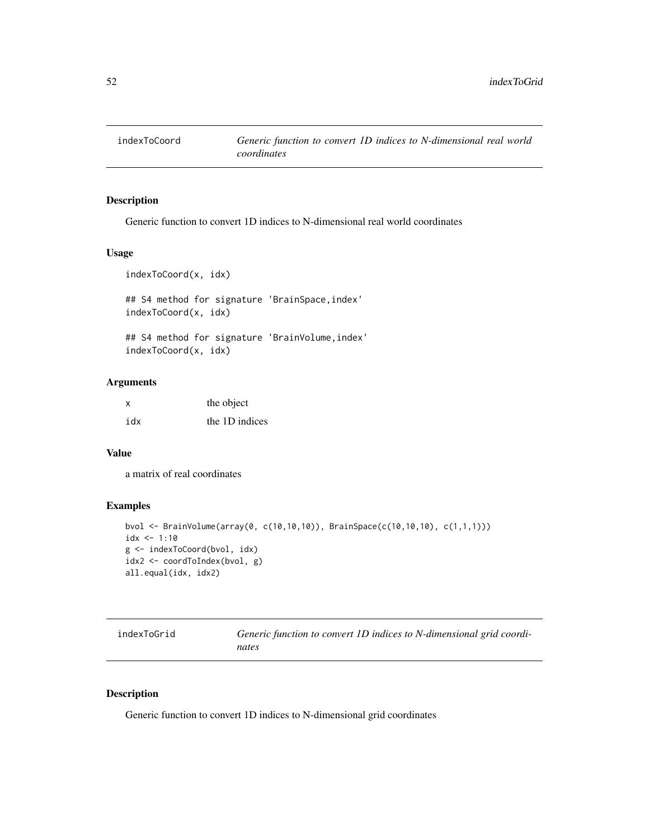#### Description

Generic function to convert 1D indices to N-dimensional real world coordinates

## Usage

```
indexToCoord(x, idx)
```
## S4 method for signature 'BrainSpace,index' indexToCoord(x, idx)

## S4 method for signature 'BrainVolume, index' indexToCoord(x, idx)

#### Arguments

| x   | the object     |
|-----|----------------|
| idx | the 1D indices |

#### Value

a matrix of real coordinates

## Examples

```
bvol <- BrainVolume(array(0, c(10,10,10)), BrainSpace(c(10,10,10), c(1,1,1)))
idx < -1:10g <- indexToCoord(bvol, idx)
idx2 <- coordToIndex(bvol, g)
all.equal(idx, idx2)
```

| indexToGrid | Generic function to convert 1D indices to N-dimensional grid coordi- |
|-------------|----------------------------------------------------------------------|
|             | nates                                                                |

## Description

Generic function to convert 1D indices to N-dimensional grid coordinates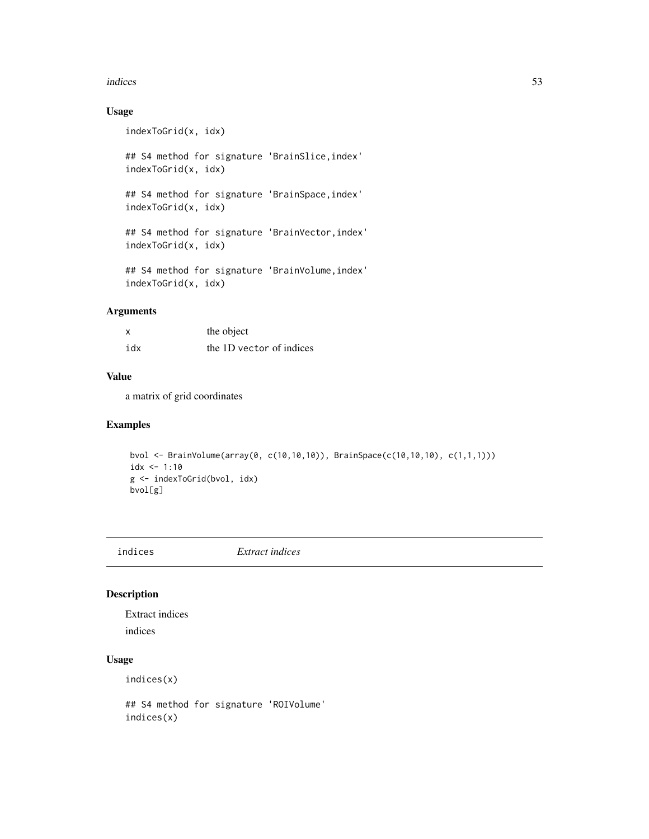#### indices 53

# Usage

indexToGrid(x, idx)

## S4 method for signature 'BrainSlice,index' indexToGrid(x, idx)

## S4 method for signature 'BrainSpace,index' indexToGrid(x, idx)

## S4 method for signature 'BrainVector, index' indexToGrid(x, idx)

## S4 method for signature 'BrainVolume,index' indexToGrid(x, idx)

# Arguments

|     | the object               |
|-----|--------------------------|
| idx | the 1D vector of indices |

## Value

a matrix of grid coordinates

## Examples

```
bvol <- BrainVolume(array(0, c(10,10,10)), BrainSpace(c(10,10,10), c(1,1,1)))
idx < -1:10g <- indexToGrid(bvol, idx)
bvol[g]
```
indices *Extract indices*

# Description

Extract indices

indices

## Usage

indices(x)

## S4 method for signature 'ROIVolume' indices(x)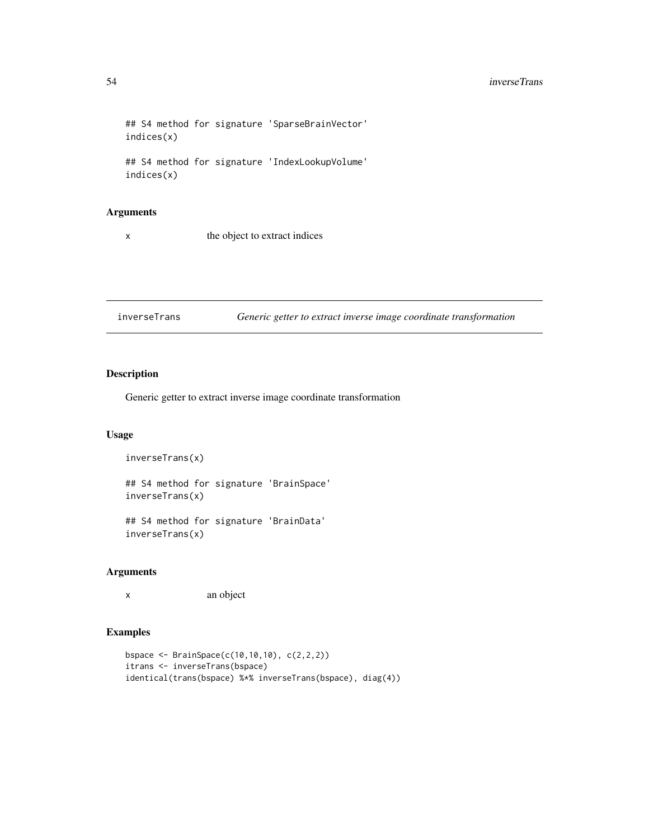```
## S4 method for signature 'SparseBrainVector'
indices(x)
## S4 method for signature 'IndexLookupVolume'
```
indices(x)

#### Arguments

x the object to extract indices

inverseTrans *Generic getter to extract inverse image coordinate transformation*

# Description

Generic getter to extract inverse image coordinate transformation

#### Usage

```
inverseTrans(x)
```

```
## S4 method for signature 'BrainSpace'
inverseTrans(x)
```
## S4 method for signature 'BrainData' inverseTrans(x)

## Arguments

x an object

## Examples

```
bspace <- BrainSpace(c(10,10,10), c(2,2,2))
itrans <- inverseTrans(bspace)
identical(trans(bspace) %*% inverseTrans(bspace), diag(4))
```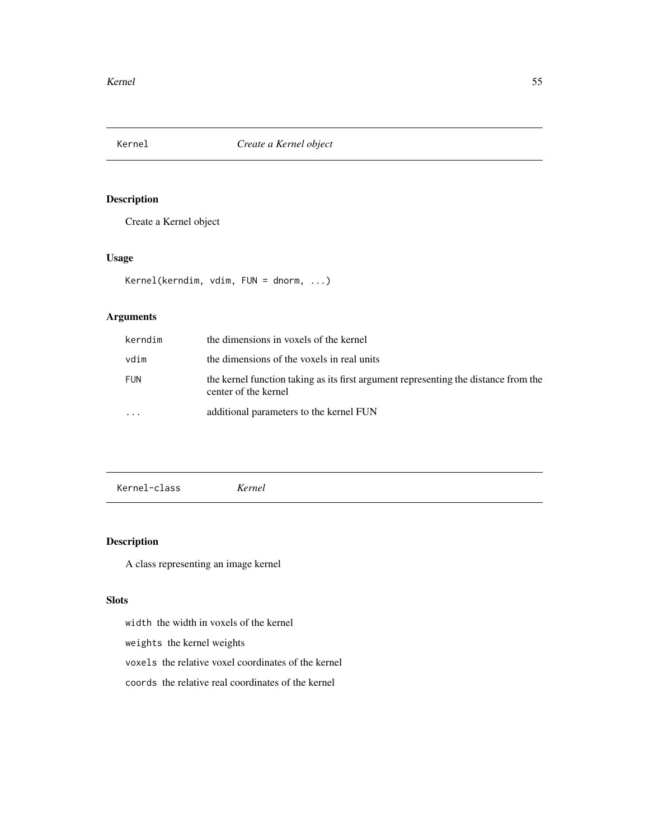# Description

Create a Kernel object

## Usage

Kernel(kerndim, vdim, FUN = dnorm, ...)

## Arguments

| kerndim    | the dimensions in voxels of the kernel                                                                      |
|------------|-------------------------------------------------------------------------------------------------------------|
| vdim       | the dimensions of the voxels in real units                                                                  |
| <b>FUN</b> | the kernel function taking as its first argument representing the distance from the<br>center of the kernel |
|            | additional parameters to the kernel FUN                                                                     |

Kernel-class *Kernel*

# Description

A class representing an image kernel

## Slots

width the width in voxels of the kernel

weights the kernel weights

voxels the relative voxel coordinates of the kernel

coords the relative real coordinates of the kernel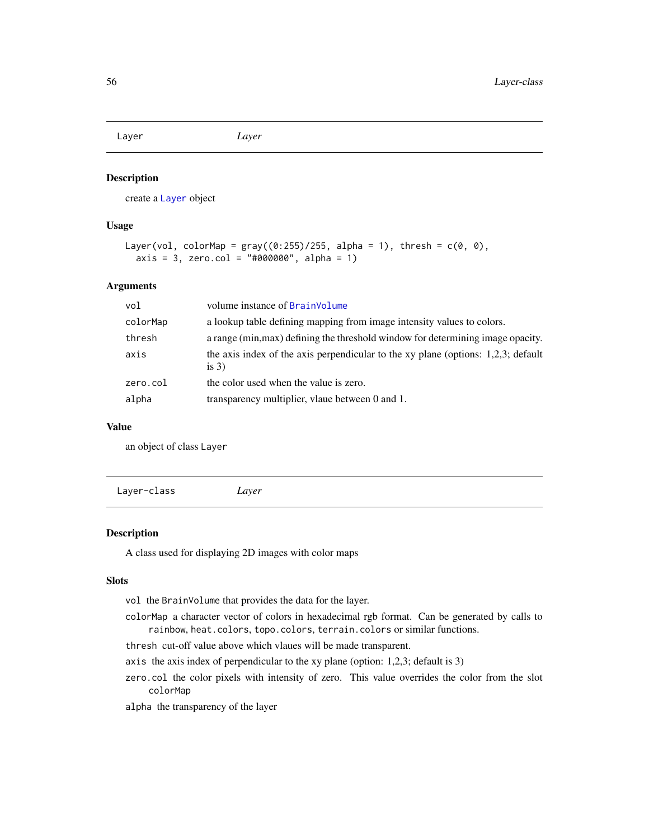Layer *Layer*

#### Description

create a [Layer](#page-55-0) object

#### Usage

```
Layer(vol, colorMap = gray((0:255)/255, alpha = 1), thresh = c(0, 0),
 axis = 3, zero.col = "#000000", alpha = 1)
```
## Arguments

| vol      | volume instance of BrainVolume                                                                  |
|----------|-------------------------------------------------------------------------------------------------|
| colorMap | a lookup table defining mapping from image intensity values to colors.                          |
| thresh   | a range (min, max) defining the threshold window for determining image opacity.                 |
| axis     | the axis index of the axis perpendicular to the xy plane (options: $1,2,3$ ; default<br>is $3)$ |
| zero.col | the color used when the value is zero.                                                          |
| alpha    | transparency multiplier, vlaue between 0 and 1.                                                 |

#### Value

an object of class Layer

<span id="page-55-0"></span>Layer-class *Layer*

## Description

A class used for displaying 2D images with color maps

#### Slots

- vol the BrainVolume that provides the data for the layer.
- colorMap a character vector of colors in hexadecimal rgb format. Can be generated by calls to rainbow, heat.colors, topo.colors, terrain.colors or similar functions.
- thresh cut-off value above which vlaues will be made transparent.
- axis the axis index of perpendicular to the xy plane (option: 1,2,3; default is 3)
- zero.col the color pixels with intensity of zero. This value overrides the color from the slot colorMap
- alpha the transparency of the layer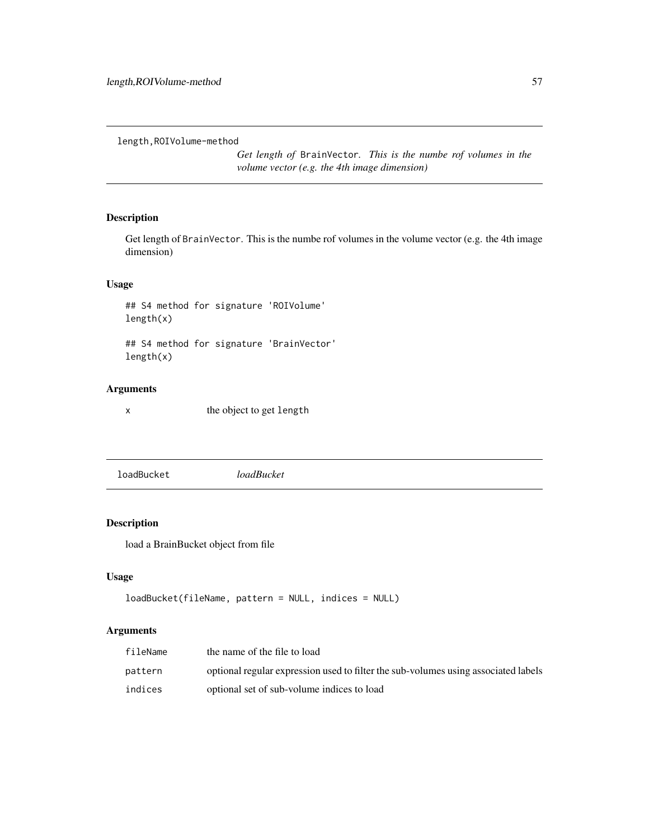length,ROIVolume-method

*Get length of* BrainVector*. This is the numbe rof volumes in the volume vector (e.g. the 4th image dimension)*

## Description

Get length of BrainVector. This is the numbe rof volumes in the volume vector (e.g. the 4th image dimension)

## Usage

## S4 method for signature 'ROIVolume' length(x)

## S4 method for signature 'BrainVector' length(x)

#### Arguments

x the object to get length

loadBucket *loadBucket*

## Description

load a BrainBucket object from file

## Usage

```
loadBucket(fileName, pattern = NULL, indices = NULL)
```

| fileName | the name of the file to load                                                       |
|----------|------------------------------------------------------------------------------------|
| pattern  | optional regular expression used to filter the sub-volumes using associated labels |
| indices  | optional set of sub-volume indices to load                                         |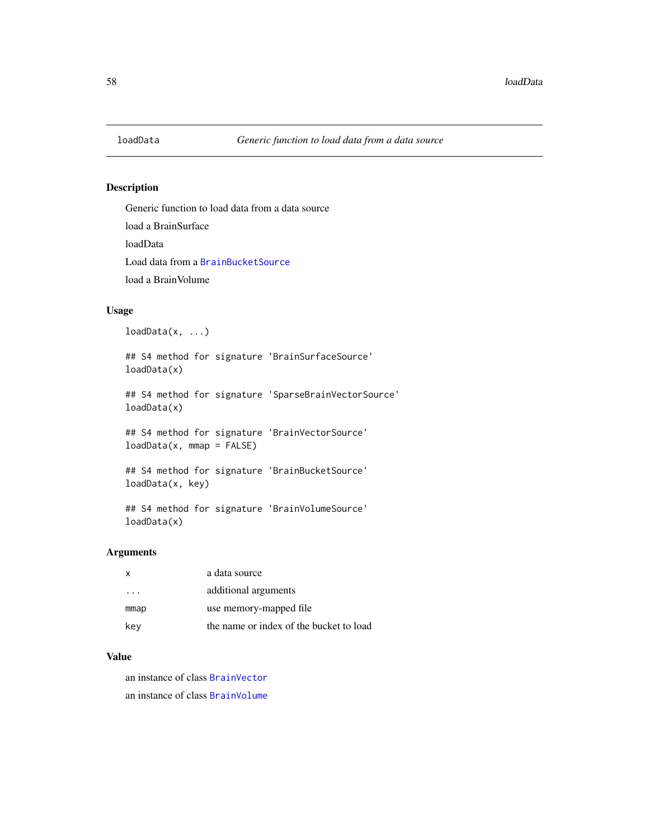#### Description

Generic function to load data from a data source load a BrainSurface loadData Load data from a [BrainBucketSource](#page-19-0) load a BrainVolume

## Usage

 $loadData(x, ...)$ 

## S4 method for signature 'BrainSurfaceSource' loadData(x)

## S4 method for signature 'SparseBrainVectorSource' loadData(x)

## S4 method for signature 'BrainVectorSource' loadData(x, mmap = FALSE)

## S4 method for signature 'BrainBucketSource' loadData(x, key)

## S4 method for signature 'BrainVolumeSource' loadData(x)

## Arguments

| $\mathsf{x}$ | a data source                           |
|--------------|-----------------------------------------|
| $\cdots$     | additional arguments                    |
| mmap         | use memory-mapped file                  |
| key          | the name or index of the bucket to load |

## Value

an instance of class [BrainVector](#page-26-0)

an instance of class [BrainVolume](#page-28-0)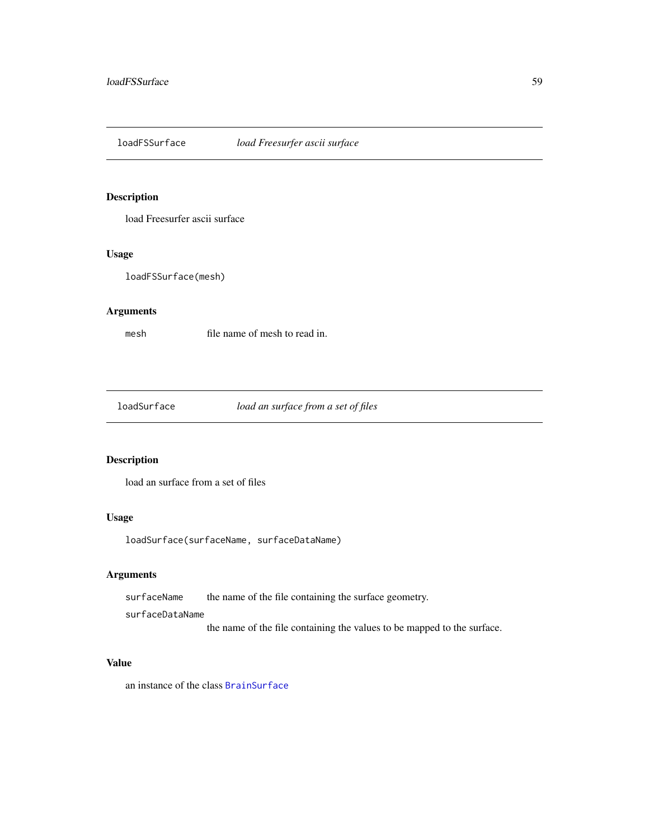loadFSSurface *load Freesurfer ascii surface*

## Description

load Freesurfer ascii surface

## Usage

loadFSSurface(mesh)

## Arguments

mesh file name of mesh to read in.

loadSurface *load an surface from a set of files*

# Description

load an surface from a set of files

## Usage

loadSurface(surfaceName, surfaceDataName)

#### Arguments

surfaceName the name of the file containing the surface geometry.

surfaceDataName

the name of the file containing the values to be mapped to the surface.

#### Value

an instance of the class [BrainSurface](#page-24-1)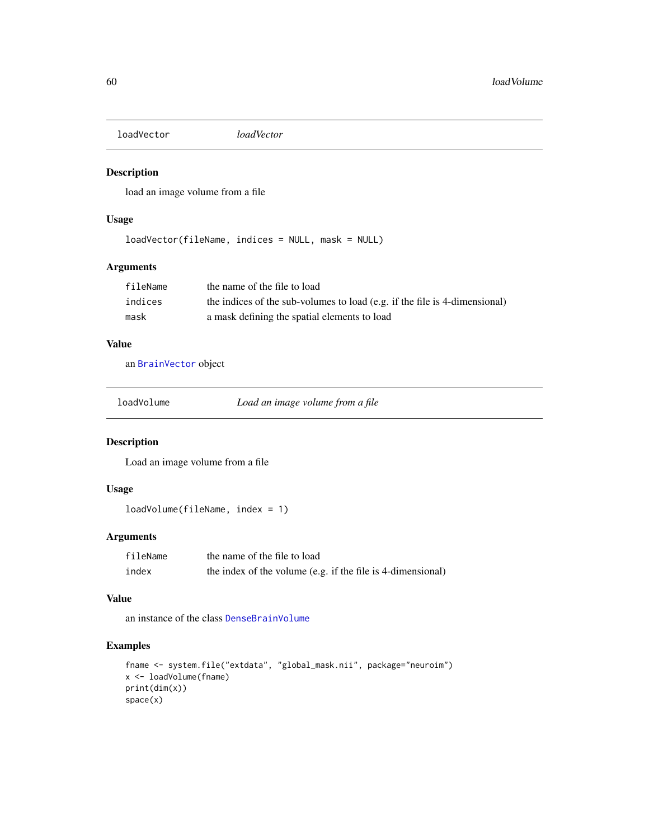loadVector *loadVector*

## Description

load an image volume from a file

### Usage

loadVector(fileName, indices = NULL, mask = NULL)

## Arguments

| fileName | the name of the file to load                                               |
|----------|----------------------------------------------------------------------------|
| indices  | the indices of the sub-volumes to load (e.g. if the file is 4-dimensional) |
| mask     | a mask defining the spatial elements to load                               |

# Value

an [BrainVector](#page-26-0) object

loadVolume *Load an image volume from a file*

## Description

Load an image volume from a file

## Usage

loadVolume(fileName, index = 1)

## Arguments

| fileName | the name of the file to load                                |
|----------|-------------------------------------------------------------|
| index    | the index of the volume (e.g. if the file is 4-dimensional) |

#### Value

an instance of the class [DenseBrainVolume](#page-38-0)

## Examples

```
fname <- system.file("extdata", "global_mask.nii", package="neuroim")
x <- loadVolume(fname)
print(dim(x))
space(x)
```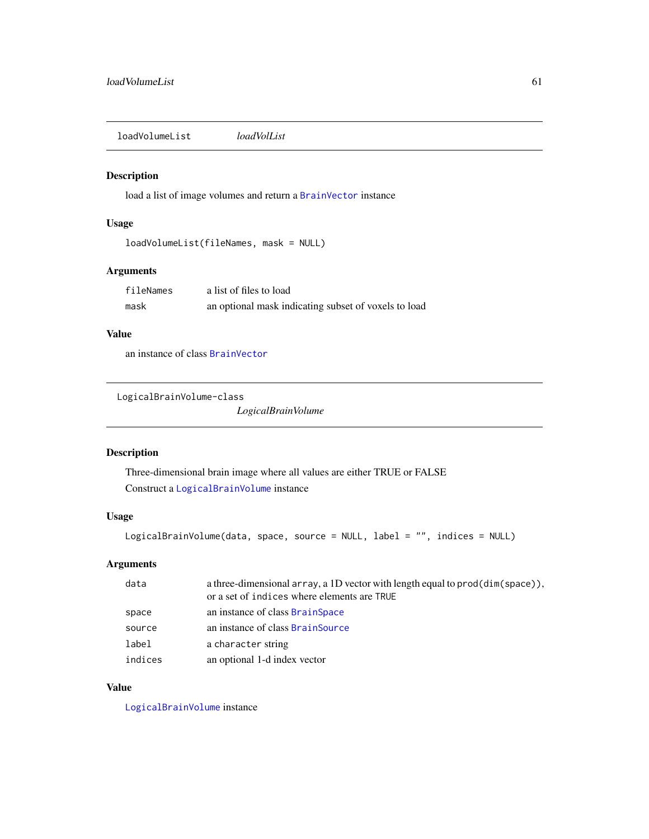loadVolumeList *loadVolList*

#### Description

load a list of image volumes and return a [BrainVector](#page-26-0) instance

## Usage

```
loadVolumeList(fileNames, mask = NULL)
```
## Arguments

| fileNames | a list of files to load                              |
|-----------|------------------------------------------------------|
| mask      | an optional mask indicating subset of voxels to load |

## Value

an instance of class [BrainVector](#page-26-0)

```
LogicalBrainVolume-class
```
*LogicalBrainVolume*

## Description

Three-dimensional brain image where all values are either TRUE or FALSE Construct a [LogicalBrainVolume](#page-60-0) instance

## Usage

```
LogicalBrainVolume(data, space, source = NULL, label = "", indices = NULL)
```
## Arguments

| data    | a three-dimensional array, a 1D vector with length equal to $\text{prod}(dim(\text{space}))$ ,<br>or a set of indices where elements are TRUE |
|---------|-----------------------------------------------------------------------------------------------------------------------------------------------|
| space   | an instance of class BrainSpace                                                                                                               |
| source  | an instance of class BrainSource                                                                                                              |
| label   | a character string                                                                                                                            |
| indices | an optional 1-d index vector                                                                                                                  |

# Value

[LogicalBrainVolume](#page-60-0) instance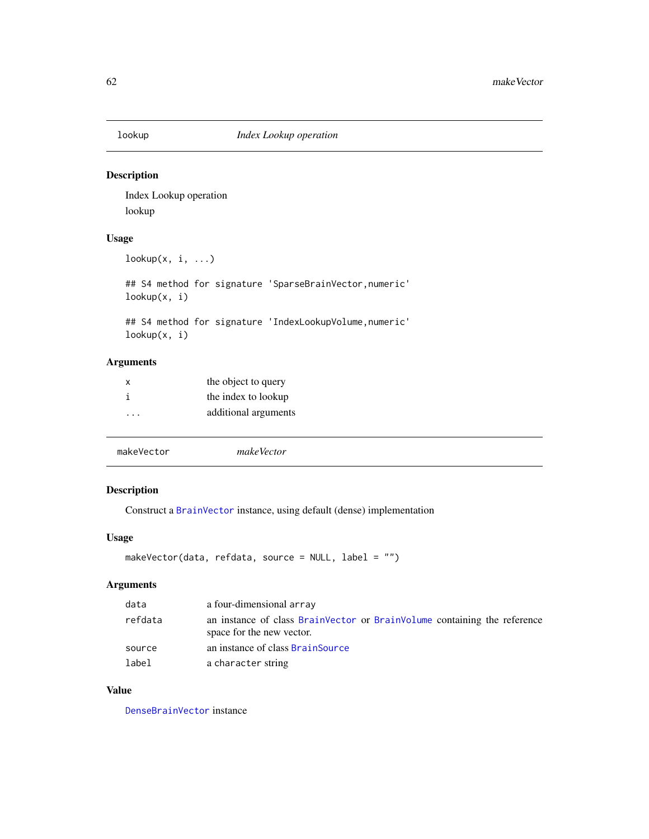# Description

Index Lookup operation lookup

# Usage

```
lookup(x, i, ...)
```
## S4 method for signature 'SparseBrainVector,numeric' lookup(x, i)

## S4 method for signature 'IndexLookupVolume,numeric' lookup(x, i)

## Arguments

| x         | the object to query  |
|-----------|----------------------|
| i         | the index to lookup  |
| $\ddotsc$ | additional arguments |

| makeVector | makeVector |  |  |
|------------|------------|--|--|
|            |            |  |  |

# Description

Construct a [BrainVector](#page-26-0) instance, using default (dense) implementation

## Usage

```
makeVector(data, refdata, source = NULL, label = "")
```
## Arguments

| data    | a four-dimensional array                                                                              |
|---------|-------------------------------------------------------------------------------------------------------|
| refdata | an instance of class BrainVector or BrainVolume containing the reference<br>space for the new vector. |
| source  | an instance of class BrainSource                                                                      |
| label   | a character string                                                                                    |

## Value

[DenseBrainVector](#page-37-0) instance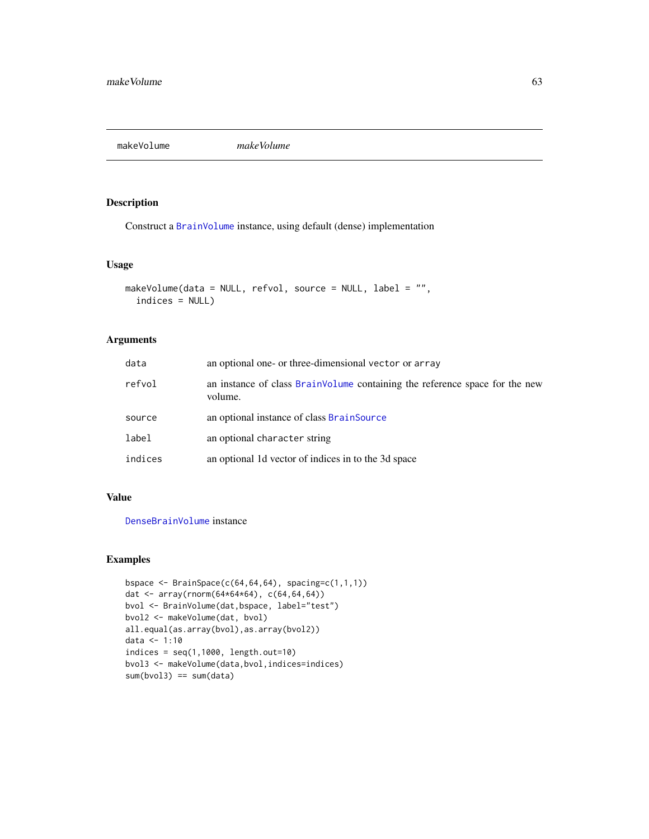makeVolume *makeVolume*

## Description

Construct a [BrainVolume](#page-28-0) instance, using default (dense) implementation

## Usage

```
makeVolume(data = NULL, refvol, source = NULL, label = "",
  indices = NULL)
```
## Arguments

| data    | an optional one- or three-dimensional vector or array                                  |
|---------|----------------------------------------------------------------------------------------|
| refvol  | an instance of class BrainVolume containing the reference space for the new<br>volume. |
| source  | an optional instance of class BrainSource                                              |
| label   | an optional character string                                                           |
| indices | an optional 1d vector of indices in to the 3d space                                    |

## Value

[DenseBrainVolume](#page-38-0) instance

## Examples

```
bspace \leq BrainSpace(c(64,64,64), spacing=c(1,1,1))
dat <- array(rnorm(64*64*64), c(64,64,64))
bvol <- BrainVolume(dat,bspace, label="test")
bvol2 <- makeVolume(dat, bvol)
all.equal(as.array(bvol),as.array(bvol2))
data <- 1:10
indices = seq(1,1000, length.out=10)bvol3 <- makeVolume(data,bvol,indices=indices)
sum(bvol3) == sum(data)
```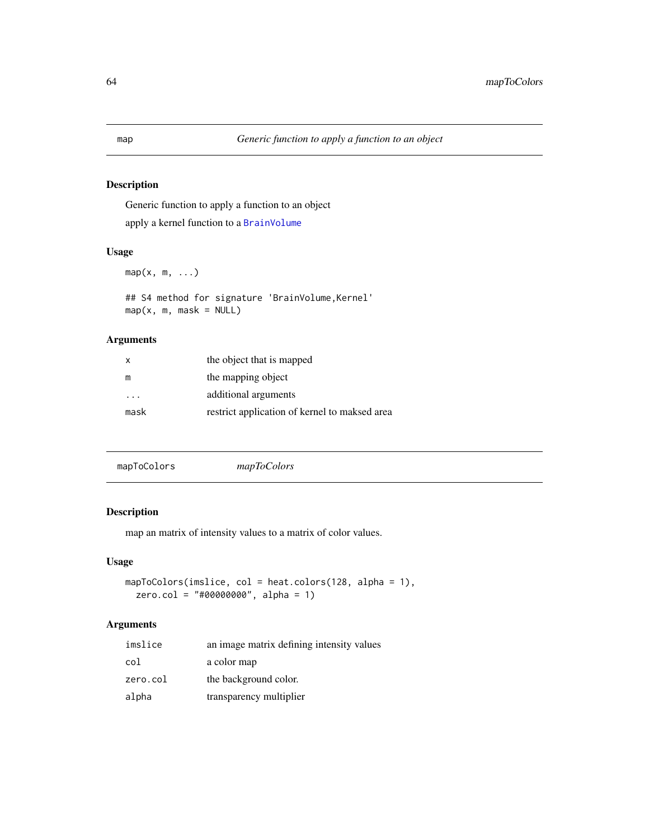## Description

Generic function to apply a function to an object apply a kernel function to a [BrainVolume](#page-28-0)

## Usage

 $map(x, m, \ldots)$ 

## S4 method for signature 'BrainVolume,Kernel'  $map(x, m, mask = NULL)$ 

## Arguments

| X    | the object that is mapped                     |
|------|-----------------------------------------------|
| m    | the mapping object                            |
| .    | additional arguments                          |
| mask | restrict application of kernel to maksed area |

| mapToColors | mapToColors |
|-------------|-------------|
|             |             |

## Description

map an matrix of intensity values to a matrix of color values.

## Usage

```
mapToColors(imslice, col = heat.colors(128, alpha = 1),
 zero.col = "#00000000", alpha = 1)
```

| imslice  | an image matrix defining intensity values |
|----------|-------------------------------------------|
| col      | a color map                               |
| zero.col | the background color.                     |
| alpha    | transparency multiplier                   |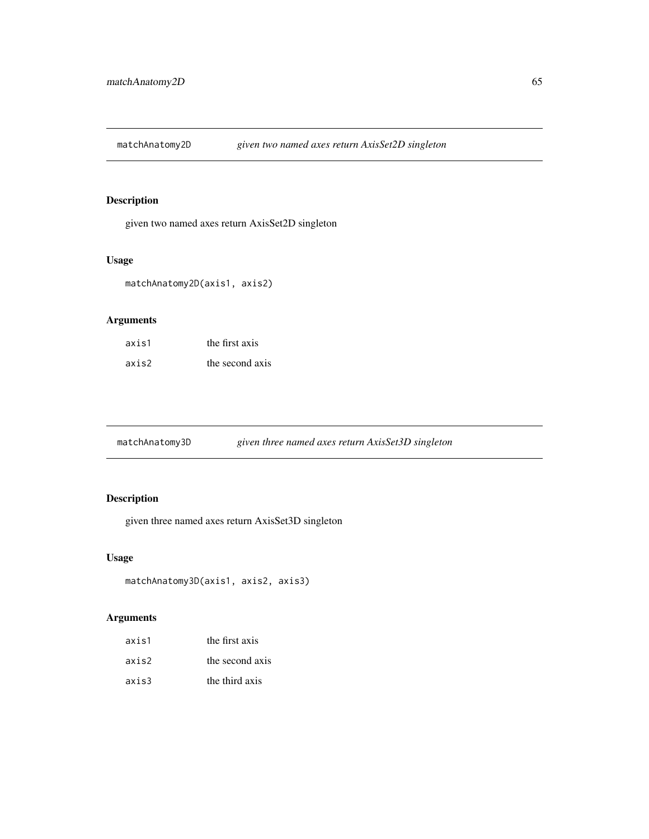matchAnatomy2D *given two named axes return AxisSet2D singleton*

# Description

given two named axes return AxisSet2D singleton

## Usage

matchAnatomy2D(axis1, axis2)

## Arguments

| axis1 | the first axis  |
|-------|-----------------|
| axis2 | the second axis |

matchAnatomy3D *given three named axes return AxisSet3D singleton*

## Description

given three named axes return AxisSet3D singleton

## Usage

```
matchAnatomy3D(axis1, axis2, axis3)
```

| axis1 | the first axis  |
|-------|-----------------|
| axis2 | the second axis |
| axis3 | the third axis  |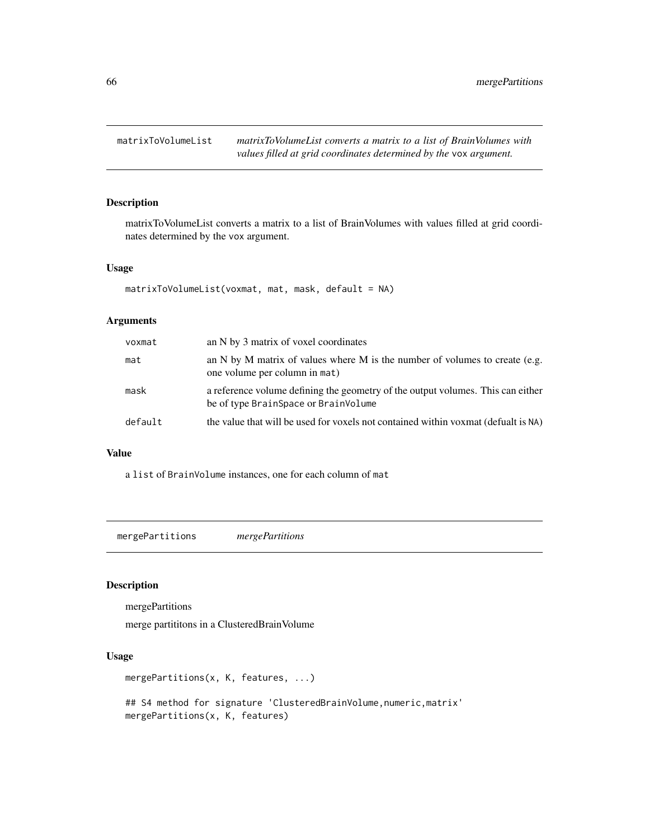matrixToVolumeList *matrixToVolumeList converts a matrix to a list of BrainVolumes with values filled at grid coordinates determined by the* vox *argument.*

## Description

matrixToVolumeList converts a matrix to a list of BrainVolumes with values filled at grid coordinates determined by the vox argument.

## Usage

```
matrixToVolumeList(voxmat, mat, mask, default = NA)
```
## Arguments

| voxmat  | an N by 3 matrix of voxel coordinates                                                                                   |
|---------|-------------------------------------------------------------------------------------------------------------------------|
| mat     | an N by M matrix of values where M is the number of volumes to create (e.g.<br>one volume per column in mat)            |
| mask    | a reference volume defining the geometry of the output volumes. This can either<br>be of type BrainSpace or BrainVolume |
| default | the value that will be used for voxels not contained within voxmat (defualt is NA)                                      |
|         |                                                                                                                         |

#### Value

a list of BrainVolume instances, one for each column of mat

mergePartitions *mergePartitions*

# Description

mergePartitions

merge partititons in a ClusteredBrainVolume

## Usage

```
mergePartitions(x, K, features, ...)
```
## S4 method for signature 'ClusteredBrainVolume, numeric, matrix' mergePartitions(x, K, features)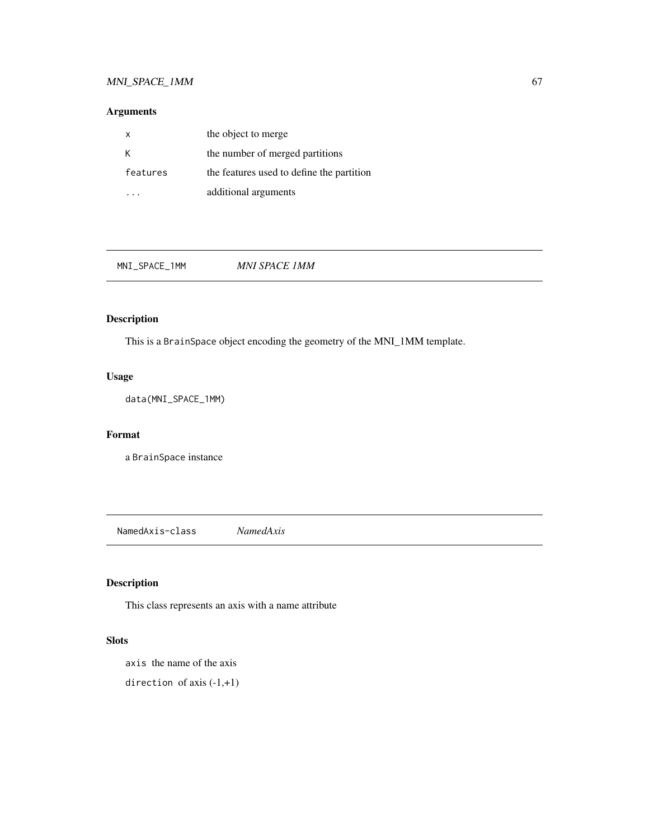# MNI\_SPACE\_1MM 67

# Arguments

| x        | the object to merge                       |
|----------|-------------------------------------------|
| Κ        | the number of merged partitions           |
| features | the features used to define the partition |
|          | additional arguments                      |

MNI\_SPACE\_1MM *MNI SPACE 1MM*

## Description

This is a BrainSpace object encoding the geometry of the MNI\_1MM template.

## Usage

data(MNI\_SPACE\_1MM)

## Format

a BrainSpace instance

NamedAxis-class *NamedAxis*

# Description

This class represents an axis with a name attribute

## Slots

axis the name of the axis

direction of axis (-1,+1)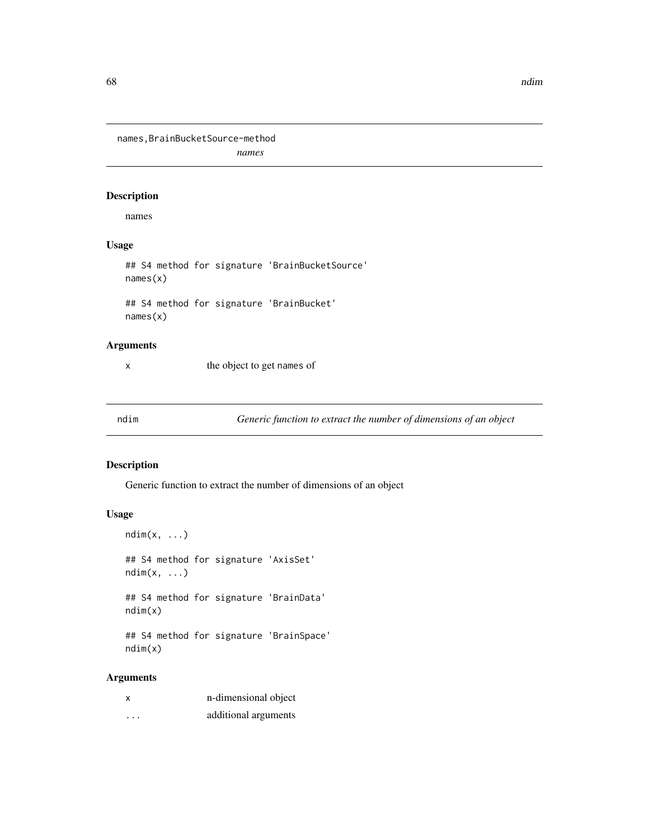68 and the contract of the contract of the contract of the contract of the contract of the contract of the contract of the contract of the contract of the contract of the contract of the contract of the contract of the con

names,BrainBucketSource-method *names*

## Description

names

## Usage

## S4 method for signature 'BrainBucketSource' names(x) ## S4 method for signature 'BrainBucket'

names(x)

# Arguments

x the object to get names of

ndim *Generic function to extract the number of dimensions of an object*

## Description

Generic function to extract the number of dimensions of an object

#### Usage

```
ndim(x, ...)
## S4 method for signature 'AxisSet'
ndim(x, \ldots)## S4 method for signature 'BrainData'
ndim(x)
## S4 method for signature 'BrainSpace'
```
ndim(x)

| X | n-dimensional object |
|---|----------------------|
| . | additional arguments |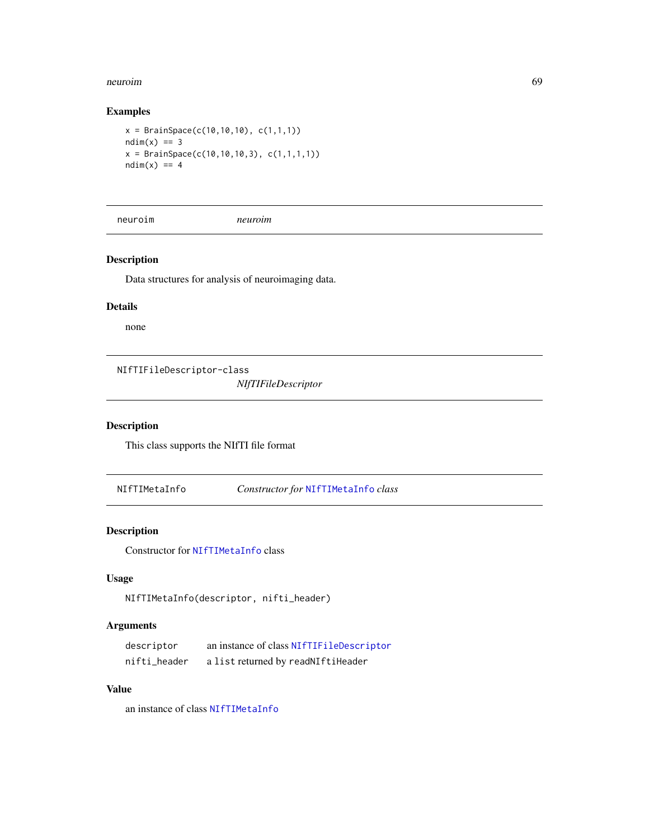#### neuroim 69

## Examples

```
x = \text{BrainSpace}(c(10, 10, 10), c(1, 1, 1))ndim(x) == 3x = \text{BrainSpace}(c(10, 10, 10, 3), c(1, 1, 1, 1))ndim(x) == 4
```
neuroim *neuroim*

## Description

Data structures for analysis of neuroimaging data.

## Details

none

<span id="page-68-0"></span>NIfTIFileDescriptor-class

*NIfTIFileDescriptor*

# Description

This class supports the NIfTI file format

NIfTIMetaInfo *Constructor for* [NIfTIMetaInfo](#page-44-0) *class*

## Description

Constructor for [NIfTIMetaInfo](#page-44-0) class

## Usage

NIfTIMetaInfo(descriptor, nifti\_header)

## Arguments

| descriptor   | an instance of class NIfTIFileDescriptor |
|--------------|------------------------------------------|
| nifti_header | a list returned by readNIftiHeader       |

# Value

an instance of class [NIfTIMetaInfo](#page-44-0)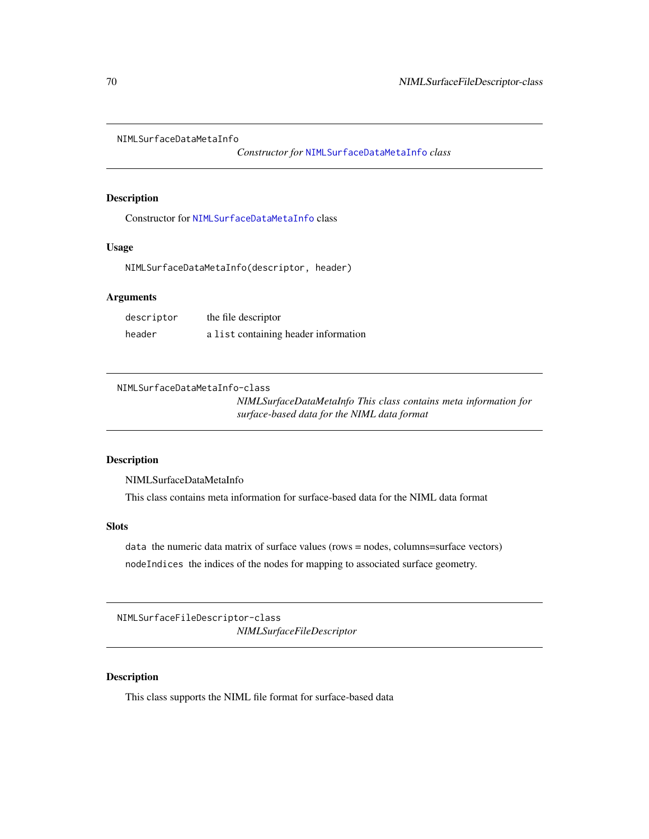NIMLSurfaceDataMetaInfo

*Constructor for* [NIMLSurfaceDataMetaInfo](#page-69-0) *class*

## Description

Constructor for [NIMLSurfaceDataMetaInfo](#page-69-0) class

#### Usage

NIMLSurfaceDataMetaInfo(descriptor, header)

## Arguments

| descriptor | the file descriptor                  |
|------------|--------------------------------------|
| header     | a list containing header information |

<span id="page-69-0"></span>NIMLSurfaceDataMetaInfo-class

*NIMLSurfaceDataMetaInfo This class contains meta information for surface-based data for the NIML data format*

## Description

NIMLSurfaceDataMetaInfo

This class contains meta information for surface-based data for the NIML data format

#### **Slots**

data the numeric data matrix of surface values (rows = nodes, columns=surface vectors) nodeIndices the indices of the nodes for mapping to associated surface geometry.

NIMLSurfaceFileDescriptor-class *NIMLSurfaceFileDescriptor*

## Description

This class supports the NIML file format for surface-based data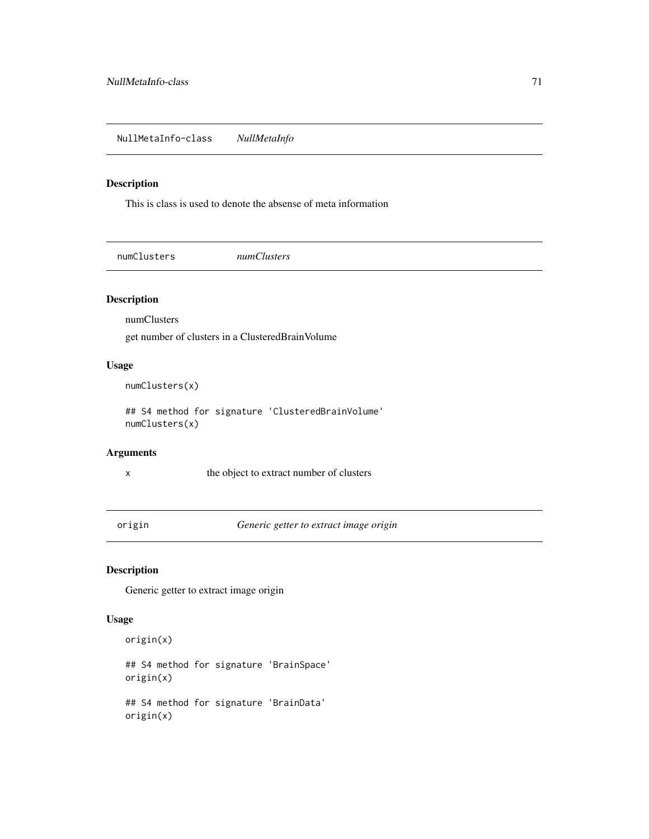NullMetaInfo-class *NullMetaInfo*

## Description

This is class is used to denote the absense of meta information

numClusters *numClusters*

#### Description

numClusters

get number of clusters in a ClusteredBrainVolume

## Usage

numClusters(x)

## S4 method for signature 'ClusteredBrainVolume' numClusters(x)

#### Arguments

x the object to extract number of clusters

origin *Generic getter to extract image origin*

## Description

Generic getter to extract image origin

#### Usage

origin(x) ## S4 method for signature 'BrainSpace' origin(x) ## S4 method for signature 'BrainData' origin(x)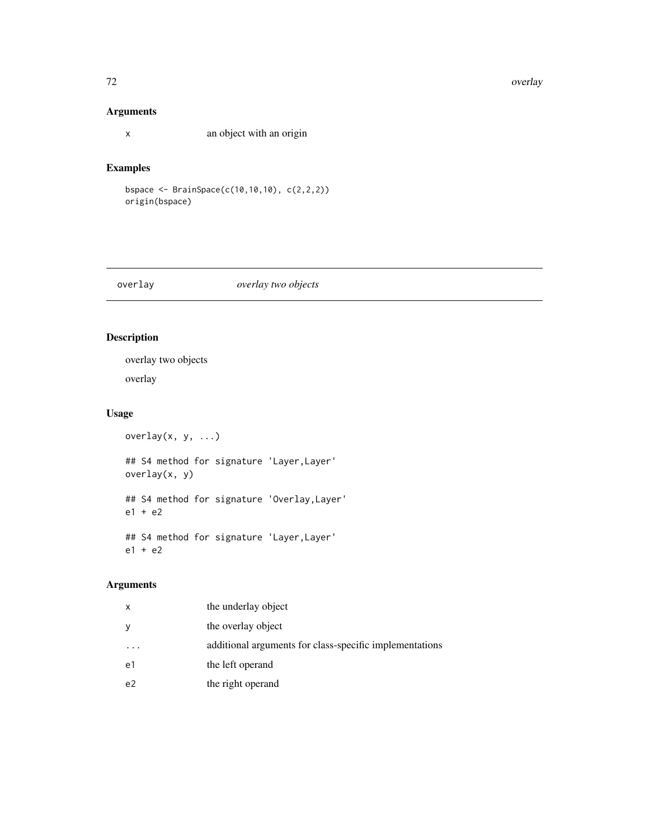#### 72 overlay and the contract of the contract of the contract of the contract of the contract of the contract of the contract of the contract of the contract of the contract of the contract of the contract of the contract of

## Arguments

x an object with an origin

## Examples

bspace <- BrainSpace(c(10,10,10), c(2,2,2)) origin(bspace)

overlay *overlay two objects*

## Description

overlay two objects overlay

# Usage

```
overlay(x, y, ...)
## S4 method for signature 'Layer,Layer'
overlay(x, y)
## S4 method for signature 'Overlay,Layer'
e1 + e2
## S4 method for signature 'Layer,Layer'
e1 + e2
```

| x              | the underlay object                                     |
|----------------|---------------------------------------------------------|
| У              | the overlay object                                      |
| $\cdot$        | additional arguments for class-specific implementations |
| e1             | the left operand                                        |
| e <sub>2</sub> | the right operand                                       |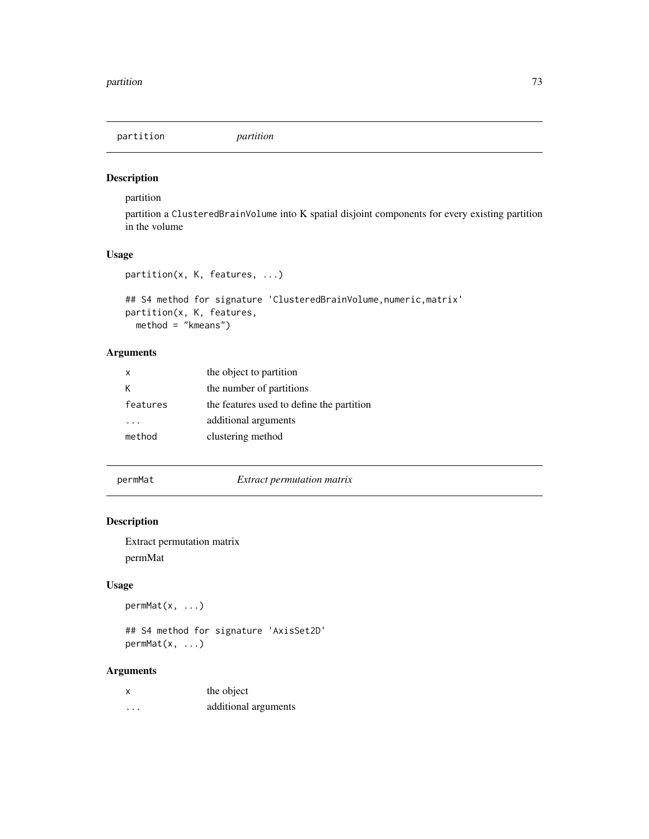# Description

partition

partition a ClusteredBrainVolume into K spatial disjoint components for every existing partition in the volume

# Usage

```
partition(x, K, features, ...)
```

```
## S4 method for signature 'ClusteredBrainVolume, numeric, matrix'
partition(x, K, features,
 method = "kmeans")
```
# Arguments

| x        | the object to partition                   |
|----------|-------------------------------------------|
|          | the number of partitions                  |
| features | the features used to define the partition |
|          | additional arguments                      |
| method   | clustering method                         |

permMat *Extract permutation matrix*

# Description

Extract permutation matrix permMat

### Usage

permMat(x, ...)

## S4 method for signature 'AxisSet2D' permMat(x, ...)

| X        | the object           |
|----------|----------------------|
| $\cdots$ | additional arguments |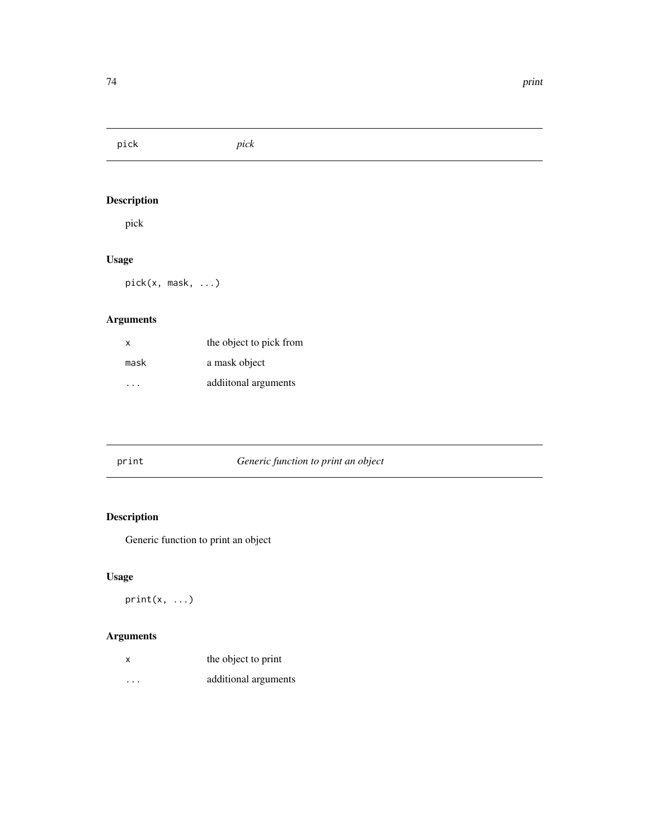pick *pick*

# Description

pick

# Usage

pick(x, mask, ...)

# Arguments

| x    | the object to pick from |
|------|-------------------------|
| mask | a mask object           |
|      | additional arguments    |

| print | Generic function to print an object |  |
|-------|-------------------------------------|--|
|-------|-------------------------------------|--|

# Description

Generic function to print an object

# Usage

 $print(x, \ldots)$ 

| X       | the object to print  |
|---------|----------------------|
| $\cdot$ | additional arguments |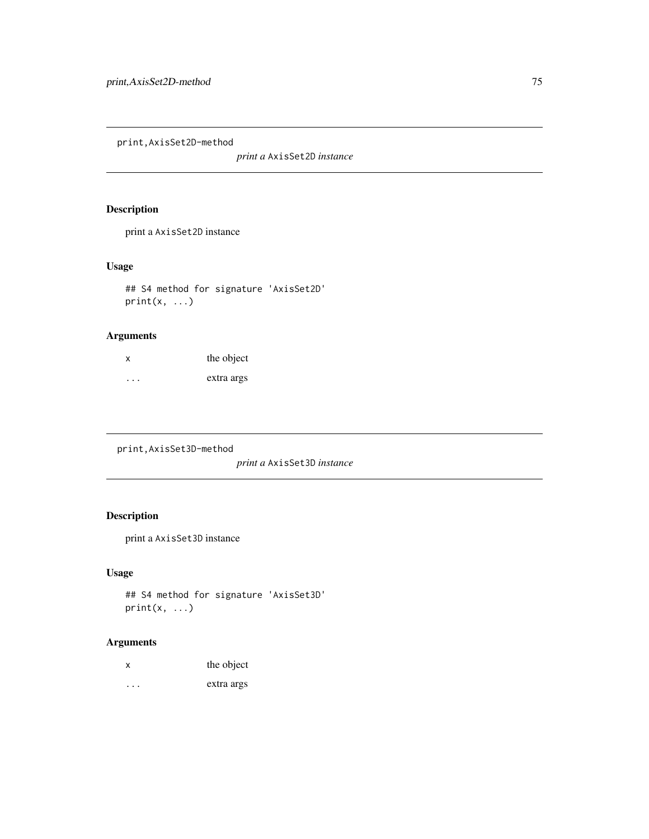print,AxisSet2D-method

*print a* AxisSet2D *instance*

# Description

print a AxisSet2D instance

# Usage

## S4 method for signature 'AxisSet2D'  $print(x, \ldots)$ 

# Arguments

| x       | the object |
|---------|------------|
| $\cdot$ | extra args |

print,AxisSet3D-method

*print a* AxisSet3D *instance*

# Description

print a AxisSet3D instance

# Usage

```
## S4 method for signature 'AxisSet3D'
print(x, \ldots)
```

| X       | the object |
|---------|------------|
| $\cdot$ | extra args |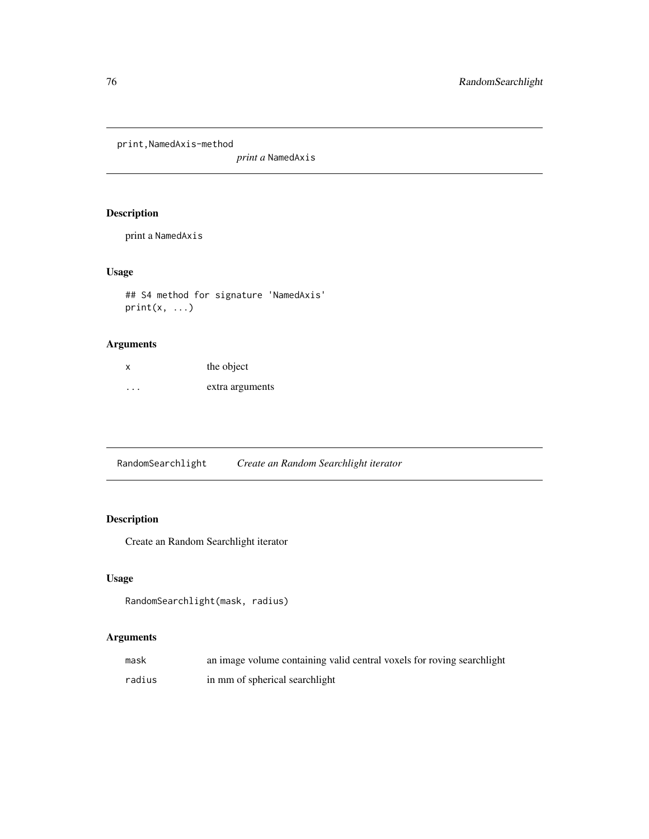print,NamedAxis-method

*print a* NamedAxis

# Description

print a NamedAxis

# Usage

## S4 method for signature 'NamedAxis'  $print(x, \ldots)$ 

# Arguments

| x        | the object      |
|----------|-----------------|
| $\cdots$ | extra arguments |

RandomSearchlight *Create an Random Searchlight iterator*

# Description

Create an Random Searchlight iterator

### Usage

```
RandomSearchlight(mask, radius)
```

| mask   | an image volume containing valid central voxels for roving searchlight |
|--------|------------------------------------------------------------------------|
| radius | in mm of spherical searchlight                                         |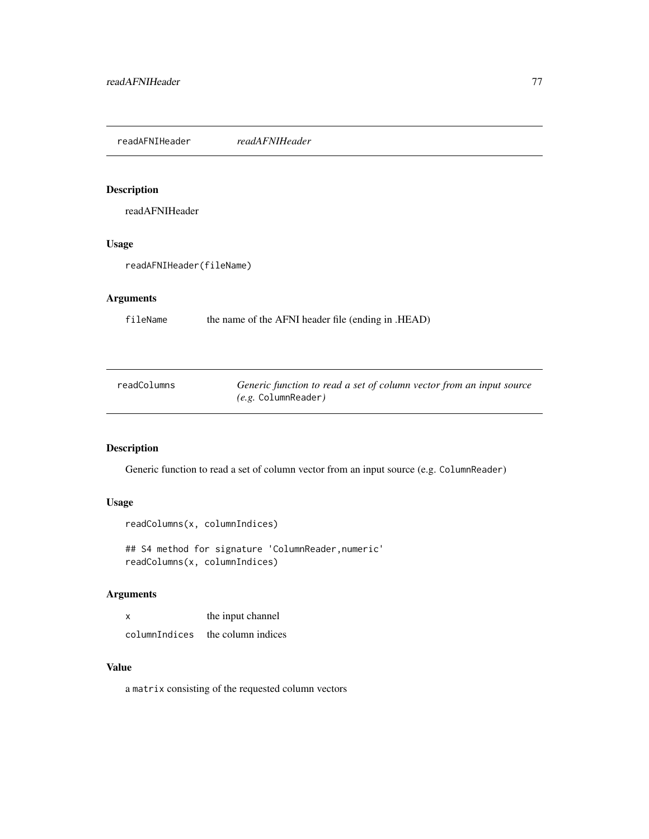readAFNIHeader *readAFNIHeader*

### Description

readAFNIHeader

# Usage

readAFNIHeader(fileName)

# Arguments

fileName the name of the AFNI header file (ending in .HEAD)

| readColumns | Generic function to read a set of column vector from an input source |
|-------------|----------------------------------------------------------------------|
|             | $(e.g.$ Column $\textsf{Reader}$ )                                   |

# Description

Generic function to read a set of column vector from an input source (e.g. ColumnReader)

### Usage

readColumns(x, columnIndices)

## S4 method for signature 'ColumnReader,numeric' readColumns(x, columnIndices)

# Arguments

| X             | the input channel  |
|---------------|--------------------|
| columnIndices | the column indices |

# Value

a matrix consisting of the requested column vectors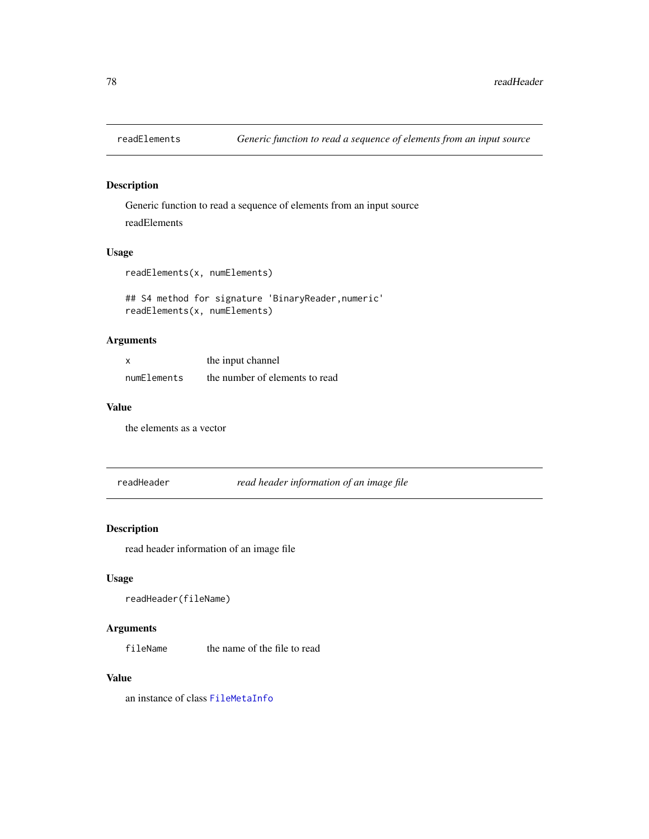# Description

Generic function to read a sequence of elements from an input source readElements

### Usage

readElements(x, numElements)

## S4 method for signature 'BinaryReader,numeric' readElements(x, numElements)

### Arguments

|             | the input channel              |
|-------------|--------------------------------|
| numElements | the number of elements to read |

### Value

the elements as a vector

readHeader *read header information of an image file*

### Description

read header information of an image file

### Usage

```
readHeader(fileName)
```
# Arguments

fileName the name of the file to read

# Value

an instance of class [FileMetaInfo](#page-44-0)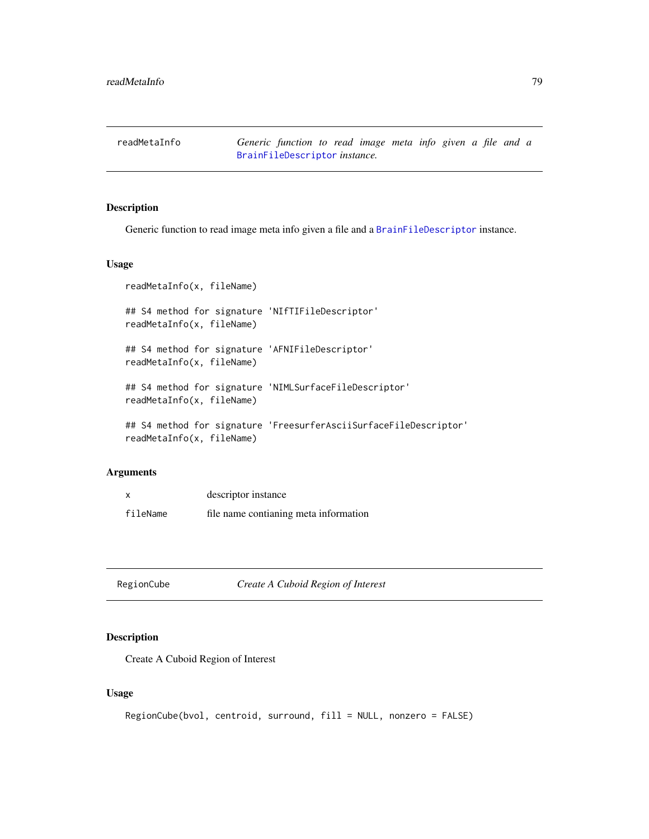readMetaInfo *Generic function to read image meta info given a file and a* [BrainFileDescriptor](#page-20-0) *instance.*

### Description

Generic function to read image meta info given a file and a [BrainFileDescriptor](#page-20-0) instance.

#### Usage

```
readMetaInfo(x, fileName)
## S4 method for signature 'NIfTIFileDescriptor'
readMetaInfo(x, fileName)
## S4 method for signature 'AFNIFileDescriptor'
readMetaInfo(x, fileName)
## S4 method for signature 'NIMLSurfaceFileDescriptor'
readMetaInfo(x, fileName)
## S4 method for signature 'FreesurferAsciiSurfaceFileDescriptor'
readMetaInfo(x, fileName)
```
#### Arguments

|          | descriptor instance                   |
|----------|---------------------------------------|
| fileName | file name contianing meta information |

RegionCube *Create A Cuboid Region of Interest*

# Description

Create A Cuboid Region of Interest

# Usage

```
RegionCube(bvol, centroid, surround, fill = NULL, nonzero = FALSE)
```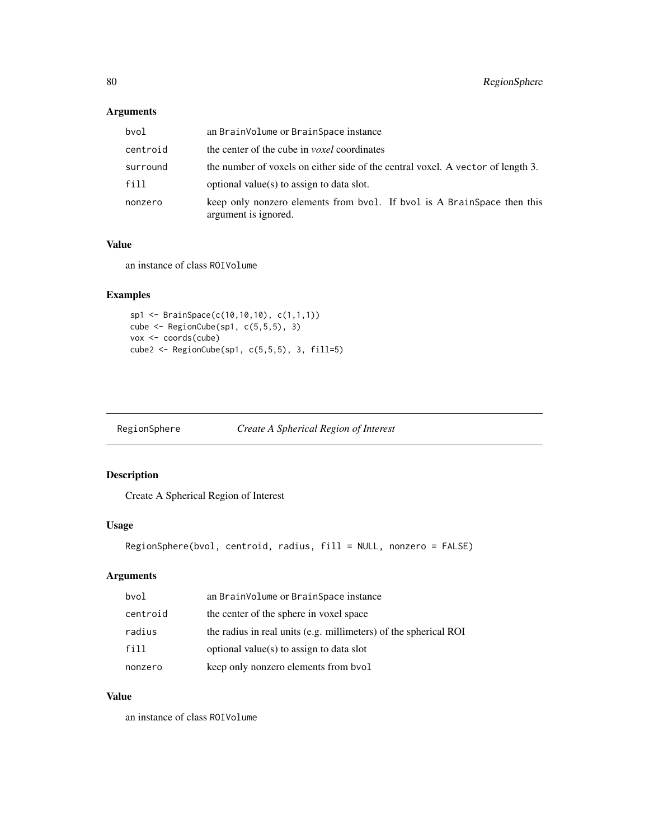# Arguments

| bvol     | an BrainVolume or BrainSpace instance                                                           |
|----------|-------------------------------------------------------------------------------------------------|
| centroid | the center of the cube in <i>voxel</i> coordinates                                              |
| surround | the number of voxels on either side of the central voxel. A vector of length 3.                 |
| fill     | optional value(s) to assign to data slot.                                                       |
| nonzero  | keep only nonzero elements from bvol. If bvol is A BrainSpace then this<br>argument is ignored. |

# Value

an instance of class ROIVolume

# Examples

```
sp1 <- BrainSpace(c(10,10,10), c(1,1,1))
cube <- RegionCube(sp1, c(5,5,5), 3)
vox <- coords(cube)
cube2 <- RegionCube(sp1, c(5,5,5), 3, fill=5)
```
RegionSphere *Create A Spherical Region of Interest*

# Description

Create A Spherical Region of Interest

### Usage

```
RegionSphere(bvol, centroid, radius, fill = NULL, nonzero = FALSE)
```
# Arguments

| bvol     | an BrainVolume or BrainSpace instance                            |
|----------|------------------------------------------------------------------|
| centroid | the center of the sphere in voxel space                          |
| radius   | the radius in real units (e.g. millimeters) of the spherical ROI |
| fill     | optional value(s) to assign to data slot                         |
| nonzero  | keep only nonzero elements from bvol                             |

# Value

an instance of class ROIVolume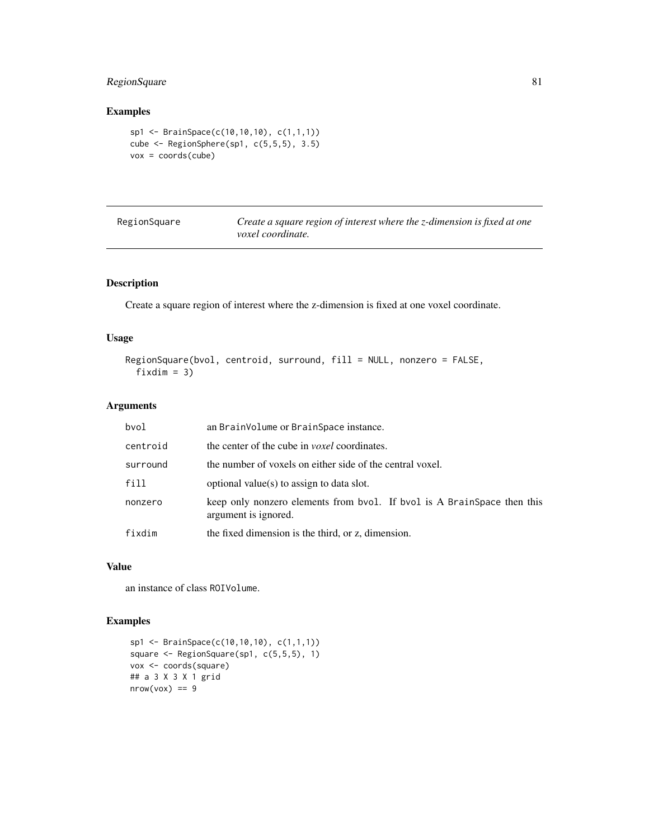# RegionSquare 81

### Examples

```
sp1 <- BrainSpace(c(10,10,10), c(1,1,1))
cube <- RegionSphere(sp1, c(5,5,5), 3.5)
vox = coords(cube)
```
Create a square region of interest where the z-dimension is fixed at one *voxel coordinate.*

# Description

Create a square region of interest where the z-dimension is fixed at one voxel coordinate.

### Usage

```
RegionSquare(bvol, centroid, surround, fill = NULL, nonzero = FALSE,
 fixdim = 3)
```
### Arguments

| bvol     | an BrainVolume or BrainSpace instance.                                                          |
|----------|-------------------------------------------------------------------------------------------------|
| centroid | the center of the cube in <i>voxel</i> coordinates.                                             |
| surround | the number of voxels on either side of the central voxel.                                       |
| fill     | optional value(s) to assign to data slot.                                                       |
| nonzero  | keep only nonzero elements from bvol. If bvol is A BrainSpace then this<br>argument is ignored. |
| fixdim   | the fixed dimension is the third, or z, dimension.                                              |

# Value

an instance of class ROIVolume.

# Examples

```
sp1 <- BrainSpace(c(10,10,10), c(1,1,1))
square <- RegionSquare(sp1, c(5,5,5), 1)
vox <- coords(square)
## a 3 X 3 X 1 grid
nrow(vox) == 9
```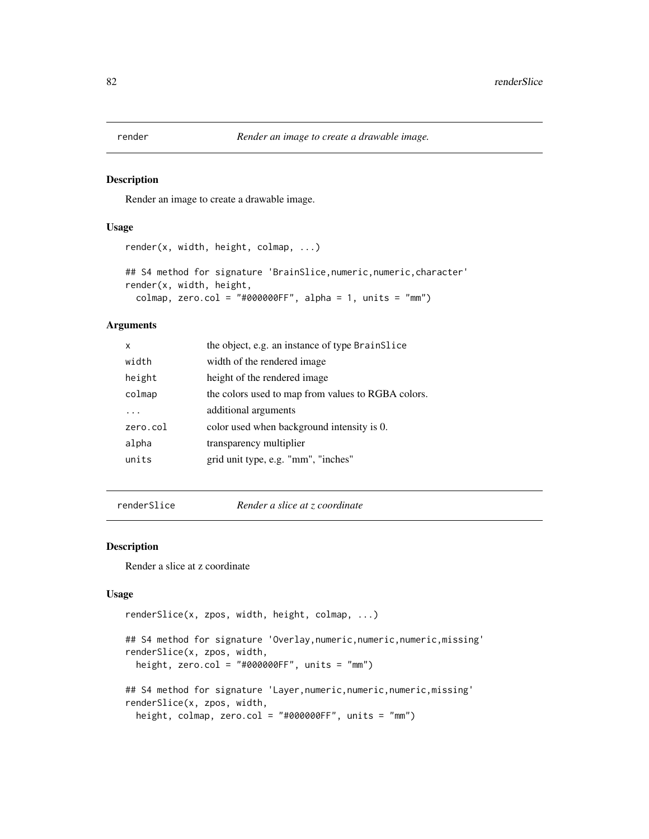#### Description

Render an image to create a drawable image.

# Usage

```
render(x, width, height, colmap, ...)
## S4 method for signature 'BrainSlice, numeric, numeric, character'
render(x, width, height,
  colmap, zero.col = "#000000FF", alpha = 1, units = "mm")
```
### Arguments

| X        | the object, e.g. an instance of type BrainSlice    |
|----------|----------------------------------------------------|
| width    | width of the rendered image.                       |
| height   | height of the rendered image.                      |
| colmap   | the colors used to map from values to RGBA colors. |
|          | additional arguments                               |
| zero.col | color used when background intensity is 0.         |
| alpha    | transparency multiplier                            |
| units    | grid unit type, e.g. "mm", "inches"                |
|          |                                                    |

renderSlice *Render a slice at z coordinate*

### Description

Render a slice at z coordinate

### Usage

```
renderSlice(x, zpos, width, height, colmap, ...)
## S4 method for signature 'Overlay, numeric, numeric, numeric, missing'
renderSlice(x, zpos, width,
  height, zero.col = "#000000FF", units = "mm")
## S4 method for signature 'Layer, numeric, numeric, numeric, missing'
renderSlice(x, zpos, width,
  height, colmap, zero.col = "#000000FF", units = "mm")
```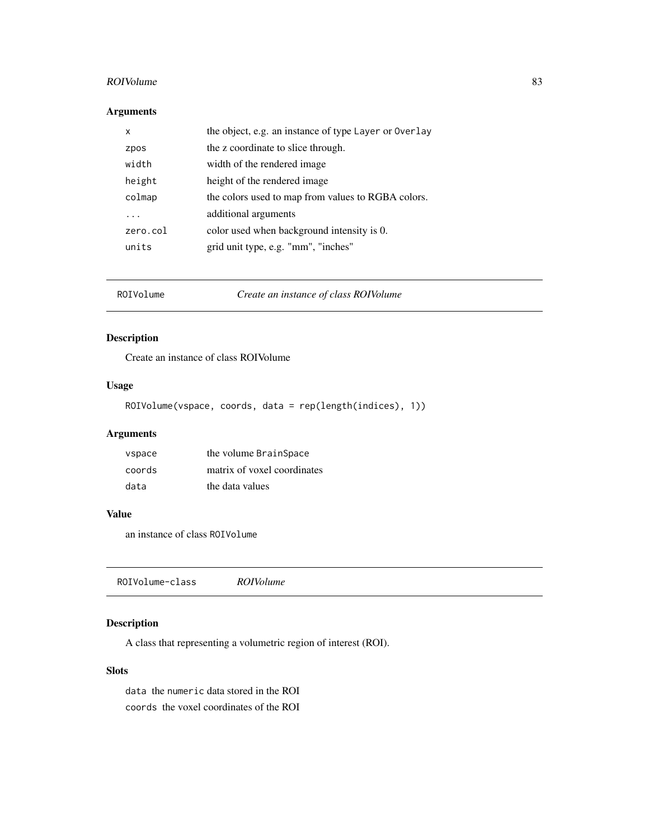#### $ROIVolume$  83

# Arguments

| x        | the object, e.g. an instance of type Layer or Overlay |
|----------|-------------------------------------------------------|
| zpos     | the z coordinate to slice through.                    |
| width    | width of the rendered image.                          |
| height   | height of the rendered image.                         |
| colmap   | the colors used to map from values to RGBA colors.    |
| .        | additional arguments                                  |
| zero.col | color used when background intensity is 0.            |
| units    | grid unit type, e.g. "mm", "inches"                   |

ROIVolume *Create an instance of class ROIVolume*

# Description

Create an instance of class ROIVolume

# Usage

ROIVolume(vspace, coords, data = rep(length(indices), 1))

# Arguments

| vspace | the volume BrainSpace       |
|--------|-----------------------------|
| coords | matrix of voxel coordinates |
| data   | the data values             |

### Value

an instance of class ROIVolume

ROIVolume-class *ROIVolume*

# Description

A class that representing a volumetric region of interest (ROI).

# Slots

data the numeric data stored in the ROI coords the voxel coordinates of the ROI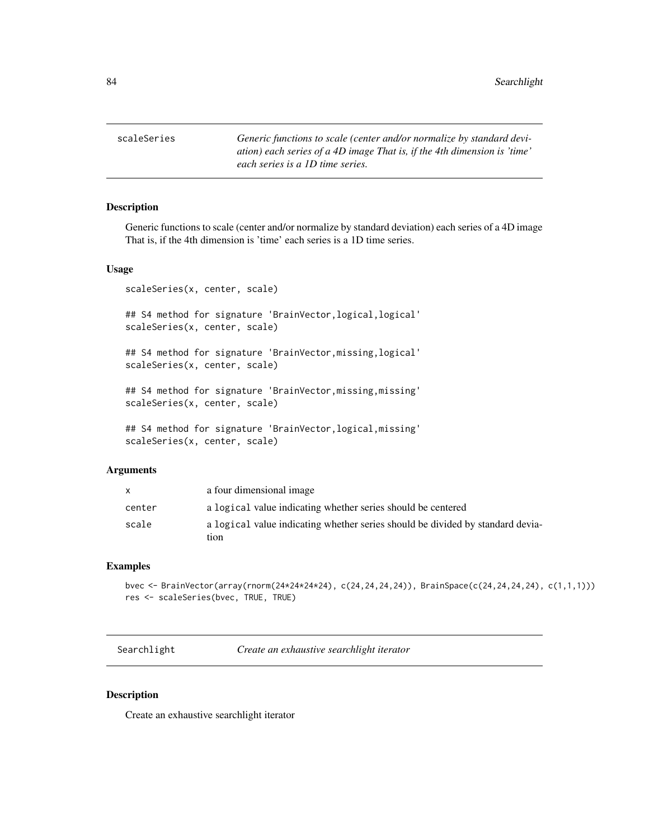scaleSeries *Generic functions to scale (center and/or normalize by standard deviation) each series of a 4D image That is, if the 4th dimension is 'time' each series is a 1D time series.*

#### Description

Generic functions to scale (center and/or normalize by standard deviation) each series of a 4D image That is, if the 4th dimension is 'time' each series is a 1D time series.

### Usage

scaleSeries(x, center, scale)

## S4 method for signature 'BrainVector, logical, logical' scaleSeries(x, center, scale)

## S4 method for signature 'BrainVector, missing, logical' scaleSeries(x, center, scale)

## S4 method for signature 'BrainVector,missing,missing' scaleSeries(x, center, scale)

## S4 method for signature 'BrainVector,logical,missing' scaleSeries(x, center, scale)

#### Arguments

|        | a four dimensional image                                                               |
|--------|----------------------------------------------------------------------------------------|
| center | a logical value indicating whether series should be centered                           |
| scale  | a logical value indicating whether series should be divided by standard devia-<br>tion |

### Examples

```
bvec <- BrainVector(array(rnorm(24*24*24*24), c(24,24,24,24)), BrainSpace(c(24,24,24,24), c(1,1,1)))
res <- scaleSeries(bvec, TRUE, TRUE)
```
Searchlight *Create an exhaustive searchlight iterator*

### Description

Create an exhaustive searchlight iterator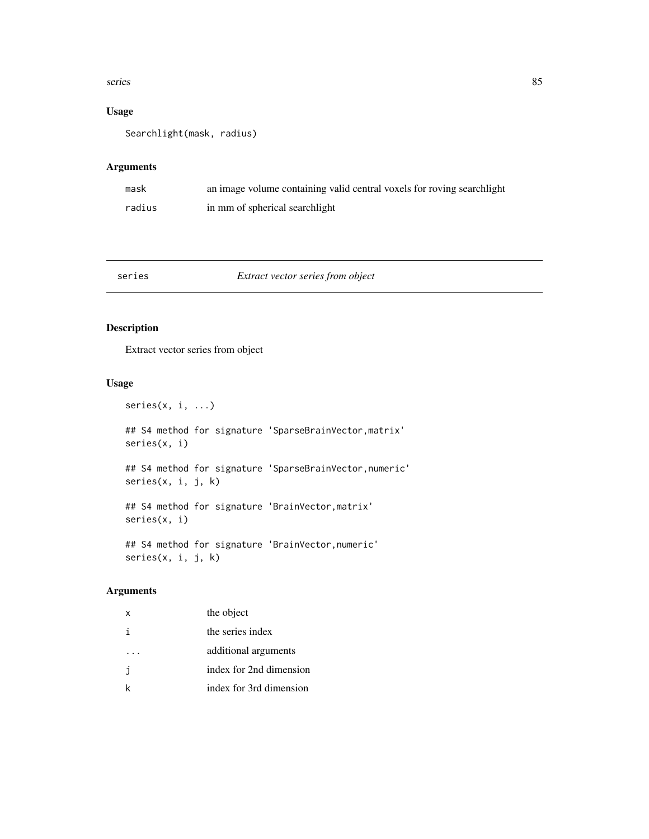#### series 85

# Usage

Searchlight(mask, radius)

### Arguments

| mask   | an image volume containing valid central voxels for roving searchlight |
|--------|------------------------------------------------------------------------|
| radius | in mm of spherical searchlight                                         |

### series *Extract vector series from object*

# Description

Extract vector series from object

# Usage

```
series(x, i, ...)
```
## S4 method for signature 'SparseBrainVector,matrix' series(x, i)

## S4 method for signature 'SparseBrainVector,numeric' series(x, i, j, k)

## S4 method for signature 'BrainVector,matrix' series(x, i)

## S4 method for signature 'BrainVector,numeric' series(x, i, j, k)

| $\mathsf{x}$ | the object              |
|--------------|-------------------------|
|              | the series index        |
|              | additional arguments    |
| -i           | index for 2nd dimension |
|              | index for 3rd dimension |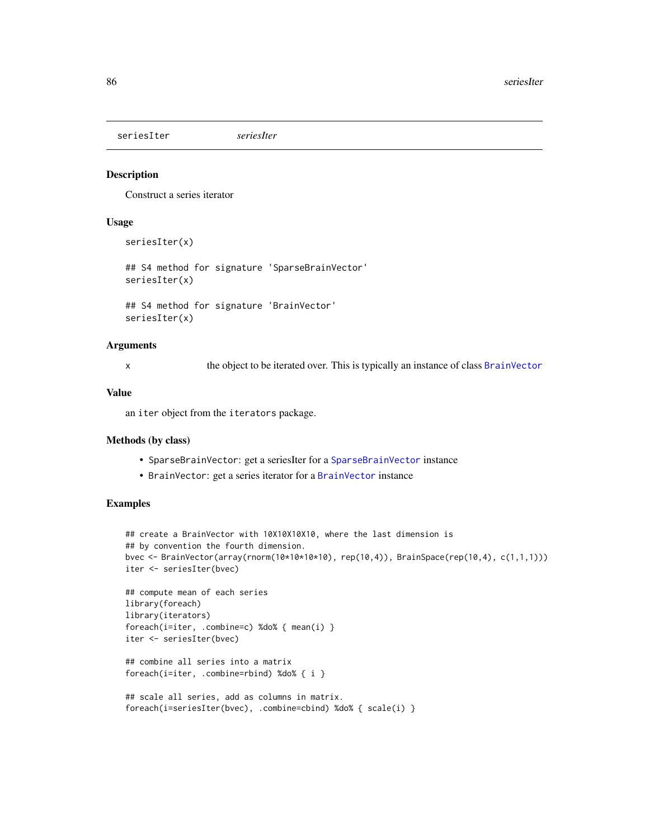seriesIter *seriesIter*

# Description

Construct a series iterator

# Usage

seriesIter(x)

## S4 method for signature 'SparseBrainVector' seriesIter(x)

## S4 method for signature 'BrainVector' seriesIter(x)

## **Arguments**

x the object to be iterated over. This is typically an instance of class [BrainVector](#page-26-0)

### Value

an iter object from the iterators package.

#### Methods (by class)

- SparseBrainVector: get a seriesIter for a [SparseBrainVector](#page-96-0) instance
- BrainVector: get a series iterator for a [BrainVector](#page-26-0) instance

#### Examples

```
## create a BrainVector with 10X10X10X10, where the last dimension is
## by convention the fourth dimension.
bvec <- BrainVector(array(rnorm(10*10*10*10), rep(10,4)), BrainSpace(rep(10,4), c(1,1,1)))
iter <- seriesIter(bvec)
```

```
## compute mean of each series
library(foreach)
library(iterators)
foreach(i=iter, .combine=c) %do% { mean(i) }
iter <- seriesIter(bvec)
```

```
## combine all series into a matrix
foreach(i=iter, .combine=rbind) %do% { i }
```

```
## scale all series, add as columns in matrix.
foreach(i=seriesIter(bvec), .combine=cbind) %do% { scale(i) }
```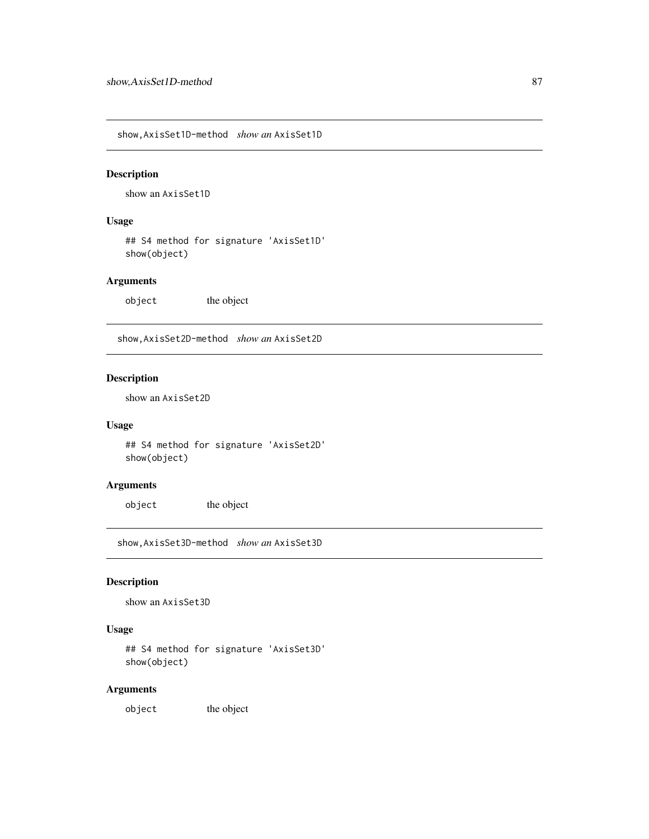show,AxisSet1D-method *show an* AxisSet1D

### Description

show an AxisSet1D

# Usage

## S4 method for signature 'AxisSet1D' show(object)

### Arguments

object the object

show,AxisSet2D-method *show an* AxisSet2D

# Description

show an AxisSet2D

# Usage

## S4 method for signature 'AxisSet2D' show(object)

### Arguments

object the object

show,AxisSet3D-method *show an* AxisSet3D

# Description

show an AxisSet3D

# Usage

## S4 method for signature 'AxisSet3D' show(object)

### Arguments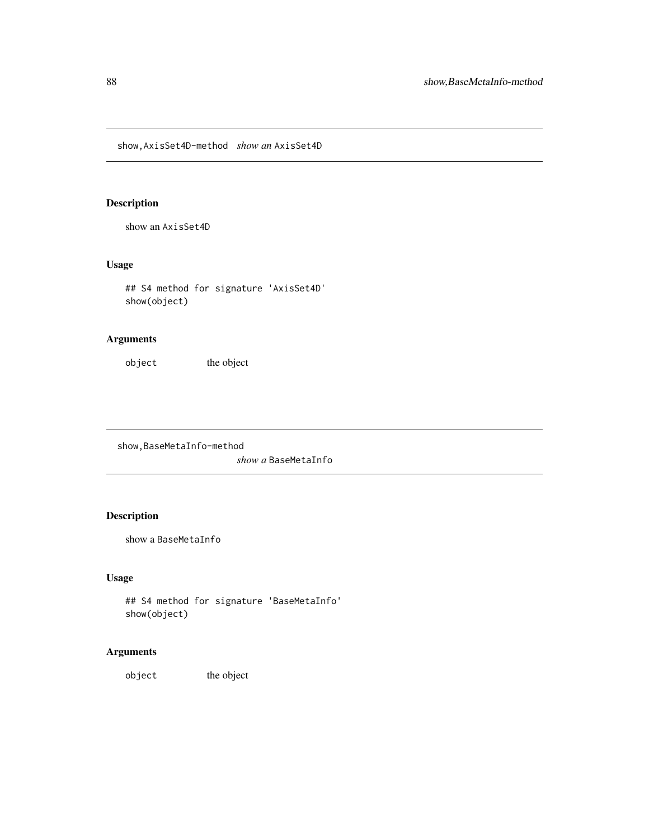show,AxisSet4D-method *show an* AxisSet4D

# Description

show an AxisSet4D

### Usage

## S4 method for signature 'AxisSet4D' show(object)

# Arguments

object the object

show,BaseMetaInfo-method *show a* BaseMetaInfo

# Description

show a BaseMetaInfo

# Usage

```
## S4 method for signature 'BaseMetaInfo'
show(object)
```
# Arguments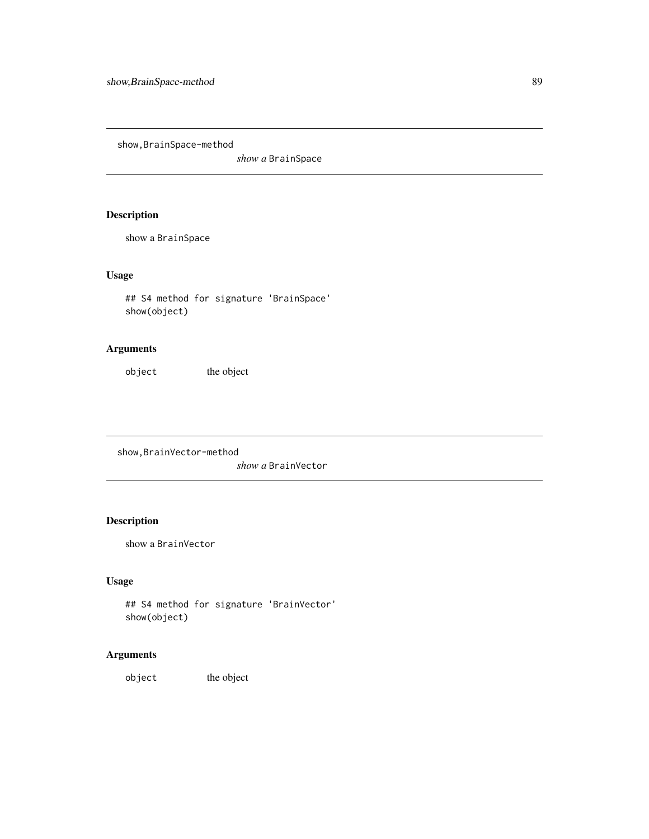show,BrainSpace-method

*show a* BrainSpace

# Description

show a BrainSpace

# Usage

```
## S4 method for signature 'BrainSpace'
show(object)
```
# Arguments

object the object

show,BrainVector-method

*show a* BrainVector

# Description

show a BrainVector

# Usage

```
## S4 method for signature 'BrainVector'
show(object)
```
# Arguments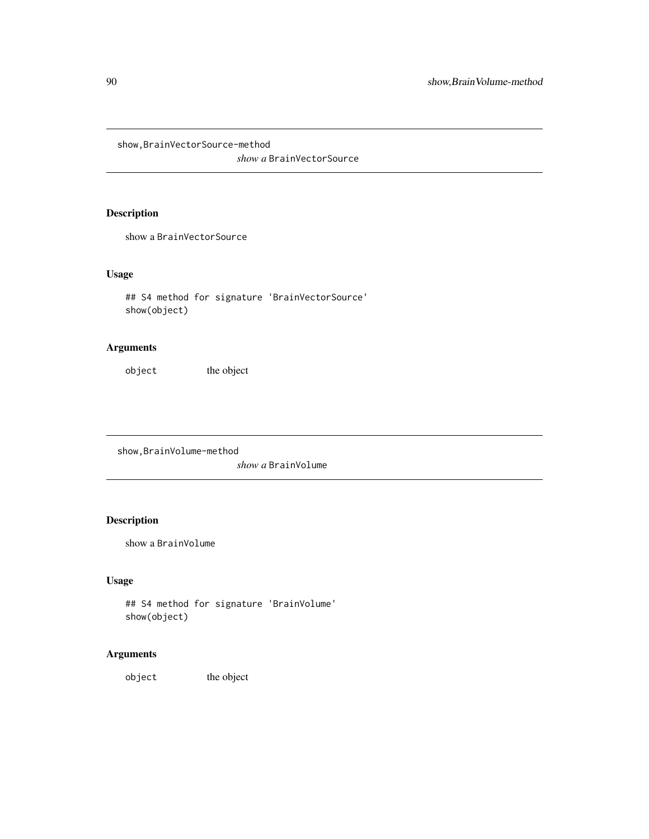show,BrainVectorSource-method

*show a* BrainVectorSource

# Description

show a BrainVectorSource

# Usage

```
## S4 method for signature 'BrainVectorSource'
show(object)
```
# Arguments

object the object

show,BrainVolume-method

*show a* BrainVolume

# Description

show a BrainVolume

# Usage

```
## S4 method for signature 'BrainVolume'
show(object)
```
# Arguments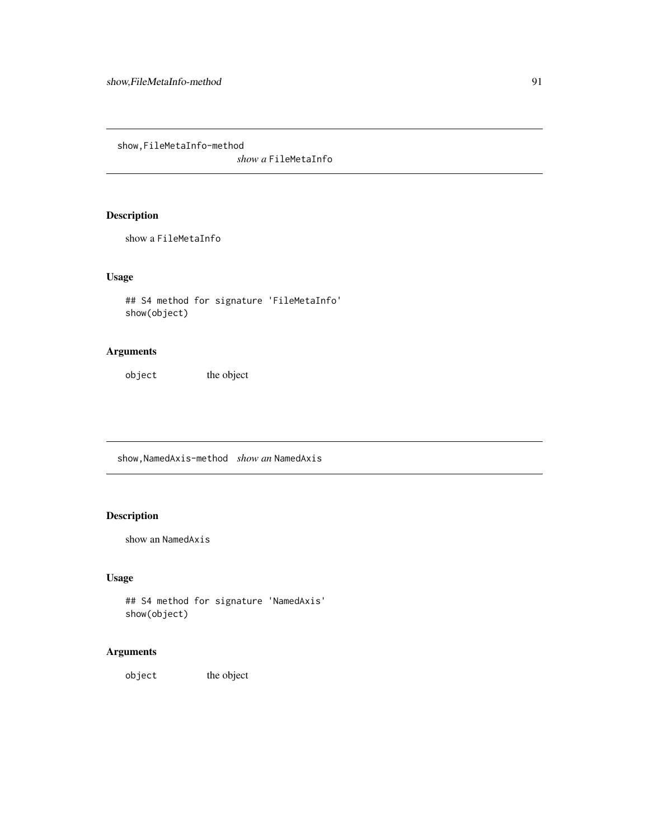show,FileMetaInfo-method

*show a* FileMetaInfo

# Description

show a FileMetaInfo

# Usage

```
## S4 method for signature 'FileMetaInfo'
show(object)
```
# Arguments

object the object

show,NamedAxis-method *show an* NamedAxis

# Description

```
show an NamedAxis
```
# Usage

```
## S4 method for signature 'NamedAxis'
show(object)
```
# Arguments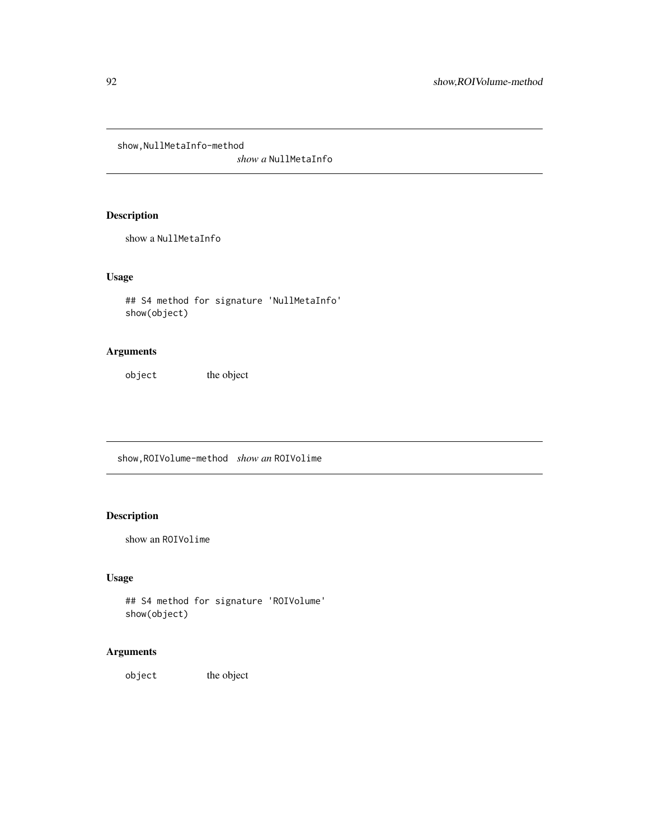show, NullMetaInfo-method

*show a* NullMetaInfo

# Description

show a NullMetaInfo

# Usage

## S4 method for signature 'NullMetaInfo' show(object)

# Arguments

object the object

show,ROIVolume-method *show an* ROIVolime

# Description

show an ROIVolime

# Usage

```
## S4 method for signature 'ROIVolume'
show(object)
```
# Arguments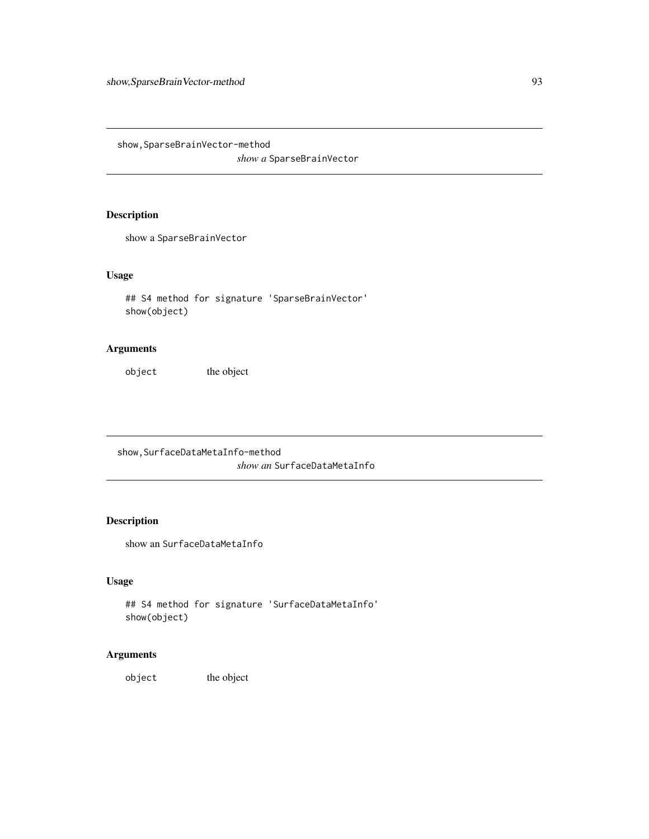show,SparseBrainVector-method

*show a* SparseBrainVector

# Description

show a SparseBrainVector

# Usage

```
## S4 method for signature 'SparseBrainVector'
show(object)
```
# Arguments

object the object

show,SurfaceDataMetaInfo-method *show an* SurfaceDataMetaInfo

# Description

show an SurfaceDataMetaInfo

### Usage

```
## S4 method for signature 'SurfaceDataMetaInfo'
show(object)
```
# Arguments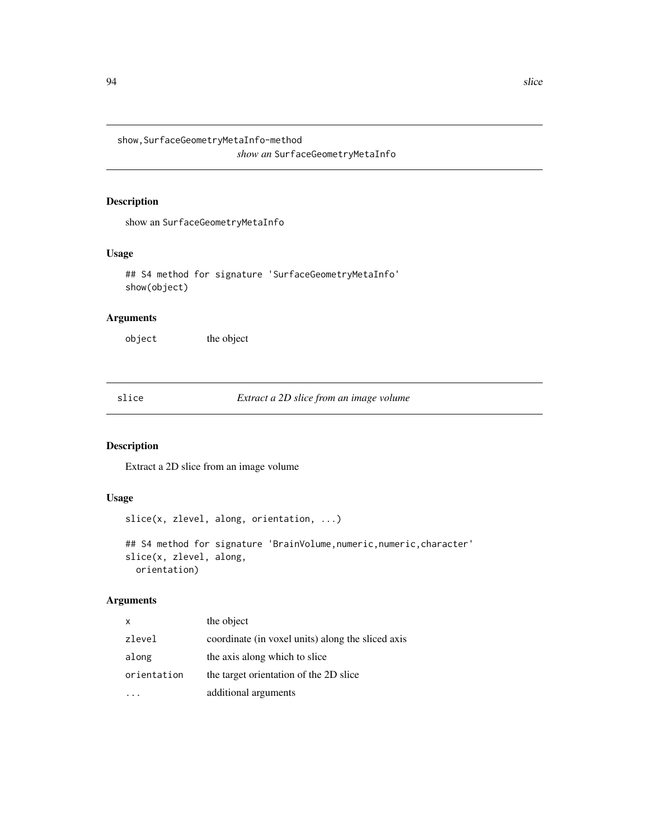show,SurfaceGeometryMetaInfo-method

*show an* SurfaceGeometryMetaInfo

# Description

show an SurfaceGeometryMetaInfo

### Usage

```
## S4 method for signature 'SurfaceGeometryMetaInfo'
show(object)
```
# Arguments

object the object

slice *Extract a 2D slice from an image volume*

# Description

Extract a 2D slice from an image volume

# Usage

slice(x, zlevel, along, orientation, ...)

```
## S4 method for signature 'BrainVolume, numeric, numeric, character'
slice(x, zlevel, along,
 orientation)
```

| $\mathsf{x}$ | the object                                        |
|--------------|---------------------------------------------------|
| zlevel       | coordinate (in voxel units) along the sliced axis |
| along        | the axis along which to slice                     |
| orientation  | the target orientation of the 2D slice            |
|              | additional arguments                              |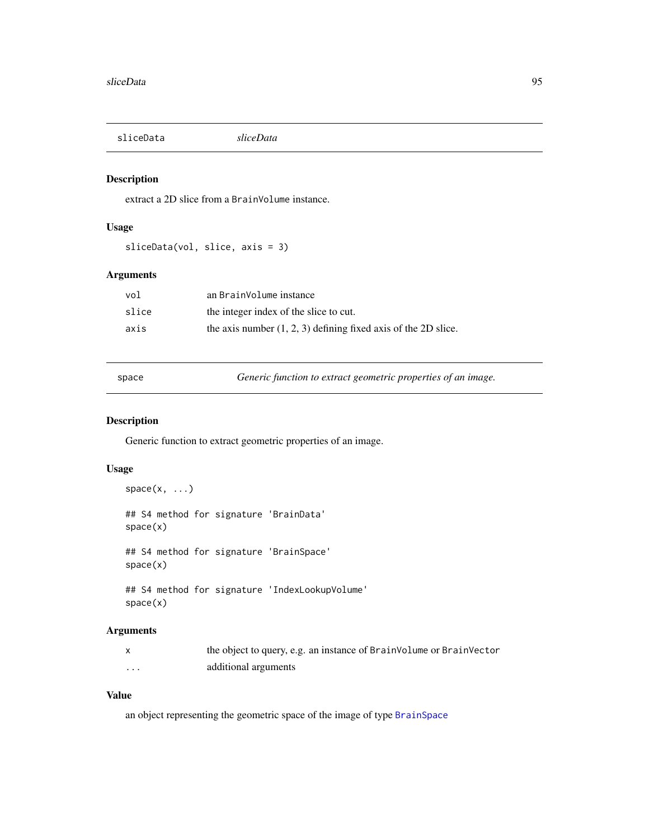sliceData *sliceData*

# Description

extract a 2D slice from a BrainVolume instance.

# Usage

sliceData(vol, slice, axis = 3)

### Arguments

| vol   | an BrainVolume instance                                          |
|-------|------------------------------------------------------------------|
| slice | the integer index of the slice to cut.                           |
| axis  | the axis number $(1, 2, 3)$ defining fixed axis of the 2D slice. |

space *Generic function to extract geometric properties of an image.*

### Description

Generic function to extract geometric properties of an image.

### Usage

```
space(x, \ldots)## S4 method for signature 'BrainData'
space(x)
## S4 method for signature 'BrainSpace'
space(x)
## S4 method for signature 'IndexLookupVolume'
```
space(x)

# Arguments

|          | the object to query, e.g. an instance of BrainVolume or BrainVector |
|----------|---------------------------------------------------------------------|
| $\cdots$ | additional arguments                                                |

# Value

an object representing the geometric space of the image of type [BrainSpace](#page-24-0)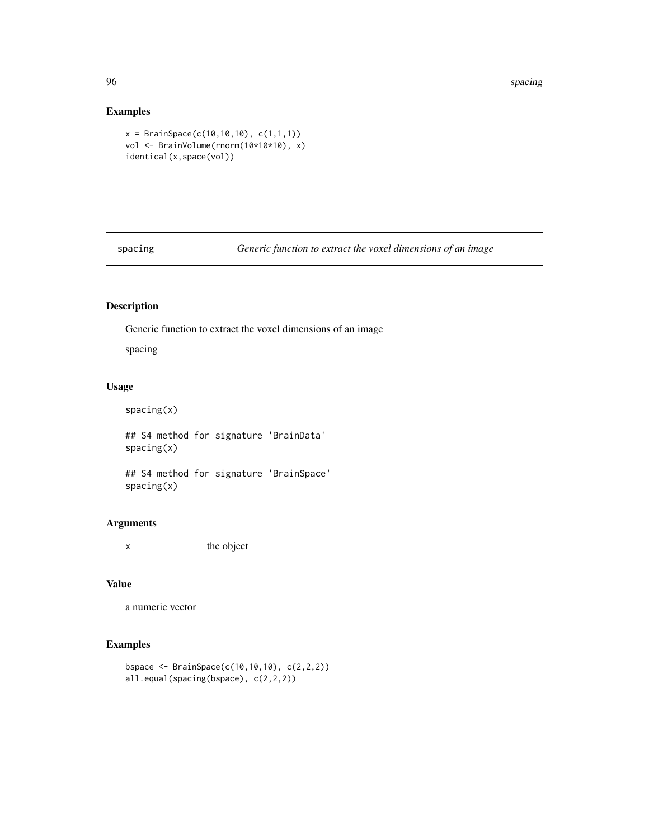# Examples

```
x = BrainSpace(c(10, 10, 10), c(1, 1, 1))vol <- BrainVolume(rnorm(10*10*10), x)
identical(x,space(vol))
```
spacing *Generic function to extract the voxel dimensions of an image*

# Description

Generic function to extract the voxel dimensions of an image

spacing

# Usage

```
spacing(x)
```
## S4 method for signature 'BrainData' spacing(x)

## S4 method for signature 'BrainSpace' spacing(x)

# Arguments

x the object

# Value

a numeric vector

# Examples

```
bspace <- BrainSpace(c(10,10,10), c(2,2,2))
all.equal(spacing(bspace), c(2,2,2))
```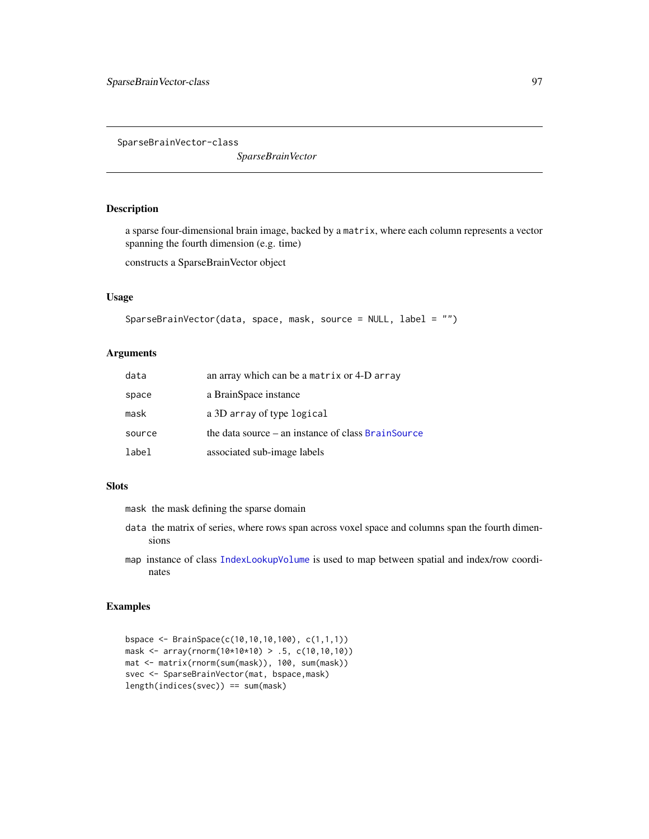<span id="page-96-0"></span>SparseBrainVector-class

*SparseBrainVector*

### Description

a sparse four-dimensional brain image, backed by a matrix, where each column represents a vector spanning the fourth dimension (e.g. time)

constructs a SparseBrainVector object

### Usage

```
SparseBrainVector(data, space, mask, source = NULL, label = "")
```
### Arguments

| data   | an array which can be a matrix or 4-D array          |
|--------|------------------------------------------------------|
| space  | a BrainSpace instance                                |
| mask   | a 3D array of type logical                           |
| source | the data source $-$ an instance of class BrainSource |
| label  | associated sub-image labels                          |

#### Slots

mask the mask defining the sparse domain

- data the matrix of series, where rows span across voxel space and columns span the fourth dimensions
- map instance of class [IndexLookupVolume](#page-50-0) is used to map between spatial and index/row coordinates

# Examples

```
bspace <- BrainSpace(c(10,10,10,100), c(1,1,1))
mask <- array(rnorm(10*10*10) > .5, c(10,10,10))
mat <- matrix(rnorm(sum(mask)), 100, sum(mask))
svec <- SparseBrainVector(mat, bspace,mask)
length(indices(svec)) == sum(mask)
```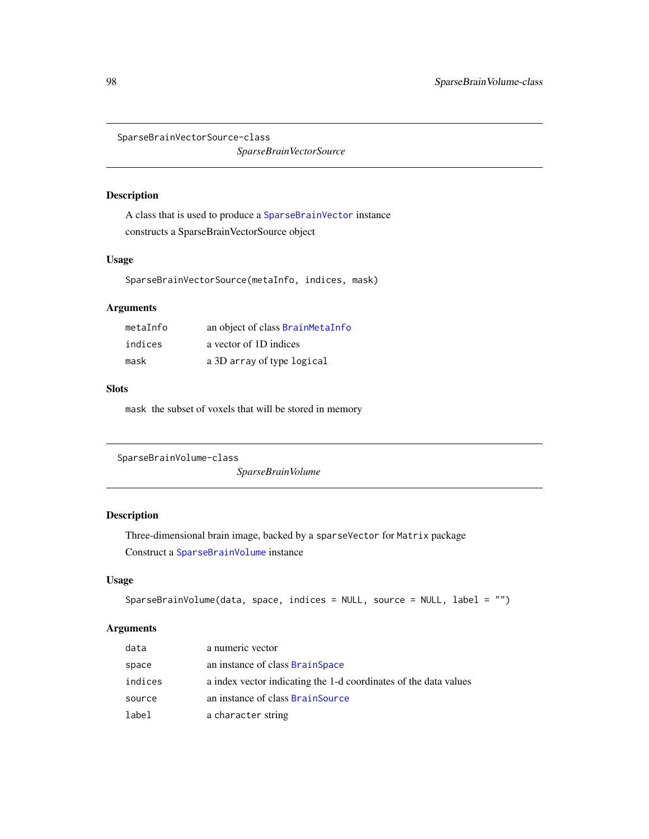SparseBrainVectorSource-class

*SparseBrainVectorSource*

### Description

A class that is used to produce a [SparseBrainVector](#page-96-0) instance constructs a SparseBrainVectorSource object

### Usage

SparseBrainVectorSource(metaInfo, indices, mask)

# Arguments

| metalnfo | an object of class BrainMetaInfo |
|----------|----------------------------------|
| indices  | a vector of 1D indices           |
| mask     | a 3D array of type logical       |

### **Slots**

mask the subset of voxels that will be stored in memory

<span id="page-97-0"></span>SparseBrainVolume-class

*SparseBrainVolume*

# Description

Three-dimensional brain image, backed by a sparseVector for Matrix package Construct a [SparseBrainVolume](#page-97-0) instance

# Usage

```
SparseBrainVolume(data, space, indices = NULL, source = NULL, label = "")
```

| data    | a numeric vector                                                 |
|---------|------------------------------------------------------------------|
| space   | an instance of class BrainSpace                                  |
| indices | a index vector indicating the 1-d coordinates of the data values |
| source  | an instance of class BrainSource                                 |
| label   | a character string                                               |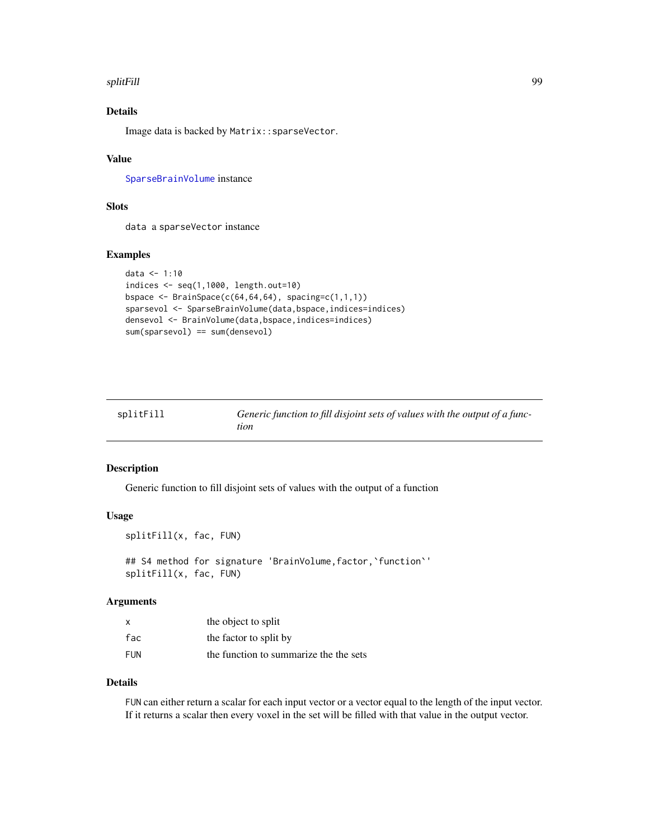#### splitFill 99

# Details

Image data is backed by Matrix::sparseVector.

### Value

[SparseBrainVolume](#page-97-0) instance

### Slots

data a sparseVector instance

#### Examples

```
data <- 1:10
indices <- seq(1,1000, length.out=10)
bspace \leq BrainSpace(c(64,64,64), spacing=c(1,1,1))
sparsevol <- SparseBrainVolume(data,bspace,indices=indices)
densevol <- BrainVolume(data,bspace,indices=indices)
sum(sparsevol) == sum(densevol)
```

| splitFill | Generic function to fill disjoint sets of values with the output of a func- |
|-----------|-----------------------------------------------------------------------------|
|           | tion                                                                        |

#### Description

Generic function to fill disjoint sets of values with the output of a function

### Usage

```
splitFill(x, fac, FUN)
## S4 method for signature 'BrainVolume, factor, 'function''
splitFill(x, fac, FUN)
```
### Arguments

| $\boldsymbol{\mathsf{x}}$ | the object to split                    |
|---------------------------|----------------------------------------|
| fac                       | the factor to split by                 |
| <b>FUN</b>                | the function to summarize the the sets |

### Details

FUN can either return a scalar for each input vector or a vector equal to the length of the input vector. If it returns a scalar then every voxel in the set will be filled with that value in the output vector.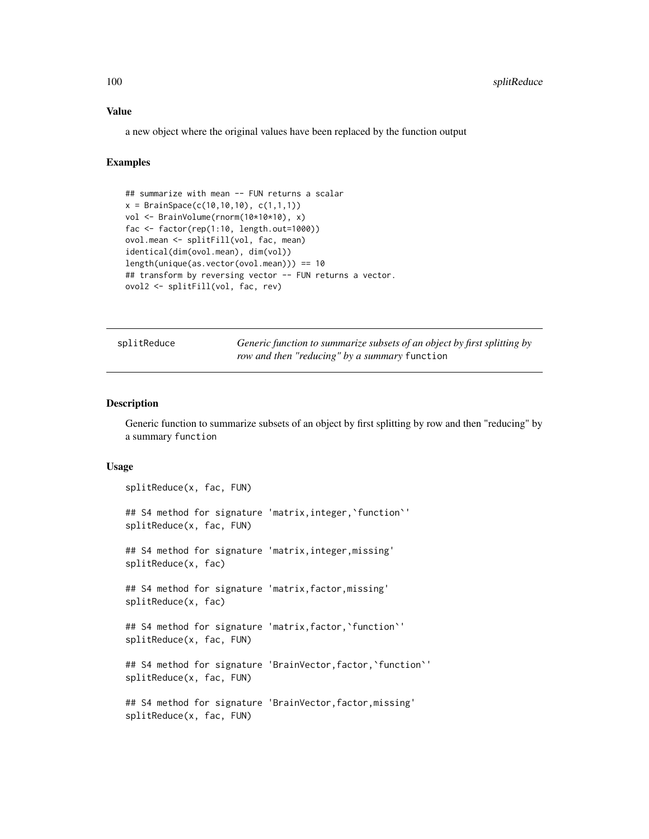### Value

a new object where the original values have been replaced by the function output

### Examples

```
## summarize with mean -- FUN returns a scalar
x = BrainSpace(c(10, 10, 10), c(1, 1, 1))vol <- BrainVolume(rnorm(10*10*10), x)
fac <- factor(rep(1:10, length.out=1000))
ovol.mean <- splitFill(vol, fac, mean)
identical(dim(ovol.mean), dim(vol))
length(unique(as.vector(ovol.mean))) == 10
## transform by reversing vector -- FUN returns a vector.
ovol2 <- splitFill(vol, fac, rev)
```

| splitReduce |  |  |  |  |
|-------------|--|--|--|--|
|-------------|--|--|--|--|

Generic function to summarize subsets of an object by first splitting by *row and then "reducing" by a summary* function

### Description

Generic function to summarize subsets of an object by first splitting by row and then "reducing" by a summary function

#### Usage

```
splitReduce(x, fac, FUN)
## S4 method for signature 'matrix, integer, 'function''
splitReduce(x, fac, FUN)
## S4 method for signature 'matrix,integer,missing'
splitReduce(x, fac)
## S4 method for signature 'matrix,factor,missing'
splitReduce(x, fac)
## S4 method for signature 'matrix,factor,`function`'
splitReduce(x, fac, FUN)
## S4 method for signature 'BrainVector, factor, 'function''
splitReduce(x, fac, FUN)
## S4 method for signature 'BrainVector, factor, missing'
splitReduce(x, fac, FUN)
```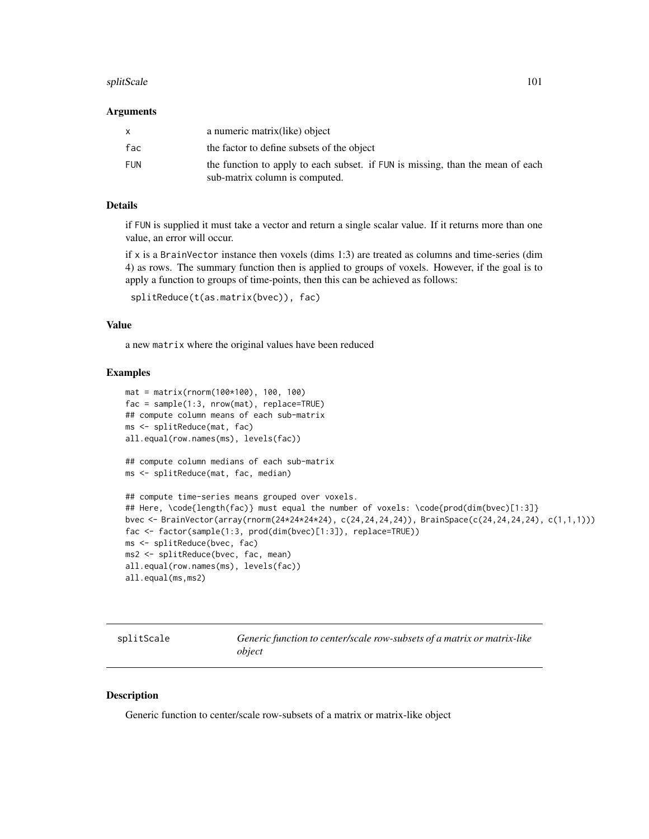#### splitScale 101

#### Arguments

| $\mathsf{x}$ | a numeric matrix(like) object                                                                                    |
|--------------|------------------------------------------------------------------------------------------------------------------|
| fac          | the factor to define subsets of the object                                                                       |
| FUN          | the function to apply to each subset. if FUN is missing, than the mean of each<br>sub-matrix column is computed. |

# Details

if FUN is supplied it must take a vector and return a single scalar value. If it returns more than one value, an error will occur.

if  $x$  is a BrainVector instance then voxels (dims 1:3) are treated as columns and time-series (dim 4) as rows. The summary function then is applied to groups of voxels. However, if the goal is to apply a function to groups of time-points, then this can be achieved as follows:

```
splitReduce(t(as.matrix(bvec)), fac)
```
#### Value

a new matrix where the original values have been reduced

### Examples

```
mat = matrix(rnorm(100*100), 100, 100)
fac = sample(1:3, nrow(mat), replace=TRUE)
## compute column means of each sub-matrix
ms <- splitReduce(mat, fac)
all.equal(row.names(ms), levels(fac))
## compute column medians of each sub-matrix
ms <- splitReduce(mat, fac, median)
## compute time-series means grouped over voxels.
## Here, \code{length(fac)} must equal the number of voxels: \code{prod(dim(bvec)[1:3]}
bvec <- BrainVector(array(rnorm(24*24*24*24), c(24,24,24,24)), BrainSpace(c(24,24,24,24), c(1,1,1)))
fac <- factor(sample(1:3, prod(dim(bvec)[1:3]), replace=TRUE))
ms <- splitReduce(bvec, fac)
ms2 <- splitReduce(bvec, fac, mean)
all.equal(row.names(ms), levels(fac))
all.equal(ms,ms2)
```
splitScale *Generic function to center/scale row-subsets of a matrix or matrix-like object*

### Description

Generic function to center/scale row-subsets of a matrix or matrix-like object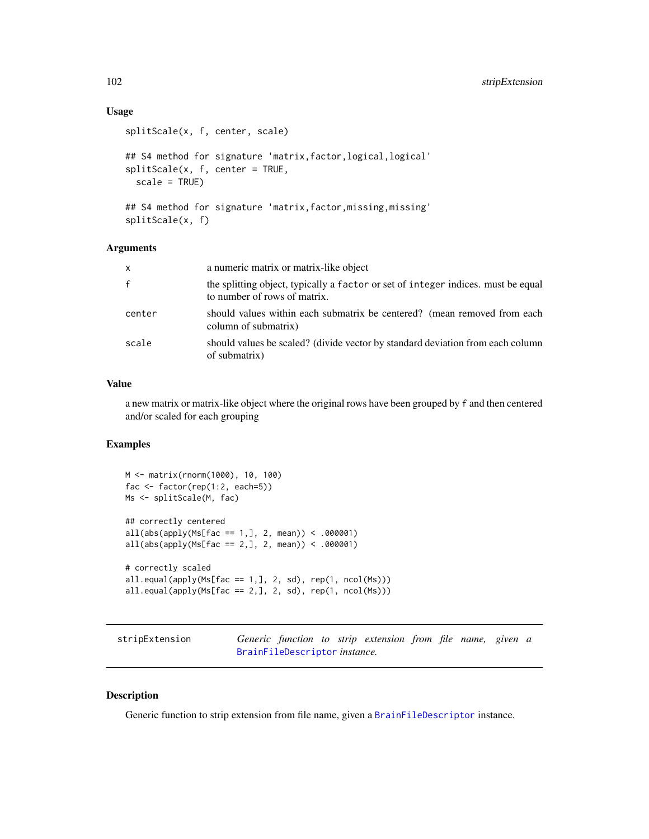# Usage

```
splitScale(x, f, center, scale)
## S4 method for signature 'matrix, factor, logical, logical'
splitScale(x, f, center = TRUE,
 scale = TRUE)
## S4 method for signature 'matrix,factor,missing,missing'
splitScale(x, f)
```
#### Arguments

| $\mathsf{x}$ | a numeric matrix or matrix-like object                                                                            |
|--------------|-------------------------------------------------------------------------------------------------------------------|
| $\mathsf{f}$ | the splitting object, typically a factor or set of integer indices, must be equal<br>to number of rows of matrix. |
| center       | should values within each submatrix be centered? (mean removed from each<br>column of submatrix)                  |
| scale        | should values be scaled? (divide vector by standard deviation from each column<br>of submatrix)                   |

### Value

a new matrix or matrix-like object where the original rows have been grouped by f and then centered and/or scaled for each grouping

### Examples

```
M <- matrix(rnorm(1000), 10, 100)
fac <- factor(rep(1:2, each=5))
Ms <- splitScale(M, fac)
## correctly centered
all(abs(apply(Ms[fac == 1,], 2, mean)) < .000001)all(abs(\text{apply(Ms[fac == 2,], 2, mean)) < .000001)# correctly scaled
all.equal(apply(Ms[fac == 1,], 2, sd), rep(1, ncol(Ms)))
all.equalsapply(Ms[fac == 2,], 2, sd), rep(1, ncol(Ms)))
```

| stripExtension |                                       |  | Generic function to strip extension from file name, given a |  |  |  |
|----------------|---------------------------------------|--|-------------------------------------------------------------|--|--|--|
|                | BrainFileDescriptor <i>instance</i> . |  |                                                             |  |  |  |

### Description

Generic function to strip extension from file name, given a [BrainFileDescriptor](#page-20-0) instance.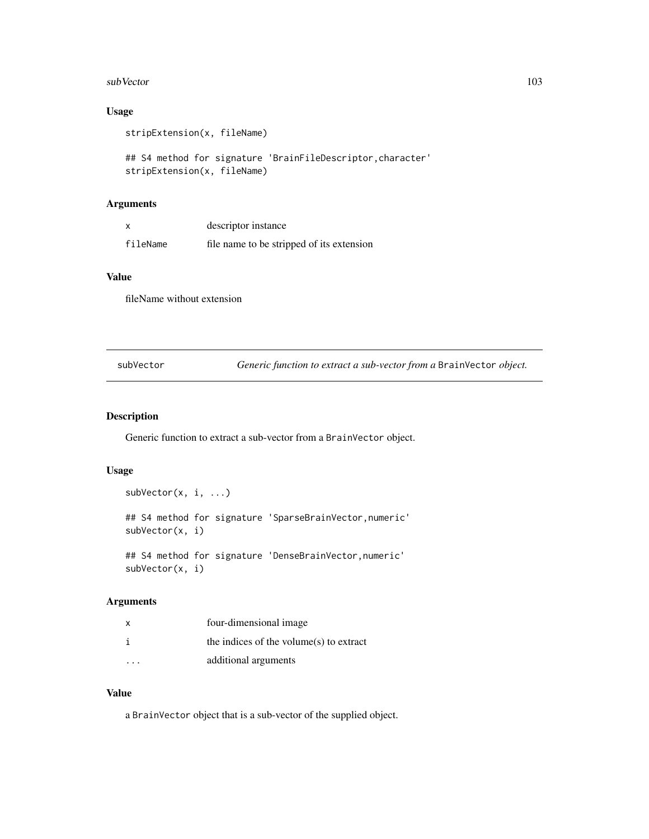#### subVector 103

# Usage

```
stripExtension(x, fileName)
```

```
## S4 method for signature 'BrainFileDescriptor,character'
stripExtension(x, fileName)
```
# Arguments

|          | descriptor instance                       |
|----------|-------------------------------------------|
| fileName | file name to be stripped of its extension |

### Value

fileName without extension

subVector *Generic function to extract a sub-vector from a* BrainVector *object.*

### Description

Generic function to extract a sub-vector from a BrainVector object.

# Usage

```
subVector(x, i, ...)
## S4 method for signature 'SparseBrainVector,numeric'
subVector(x, i)
## S4 method for signature 'DenseBrainVector,numeric'
subVector(x, i)
```
### Arguments

| X | four-dimensional image                     |
|---|--------------------------------------------|
|   | the indices of the volume $(s)$ to extract |
| . | additional arguments                       |

# Value

a BrainVector object that is a sub-vector of the supplied object.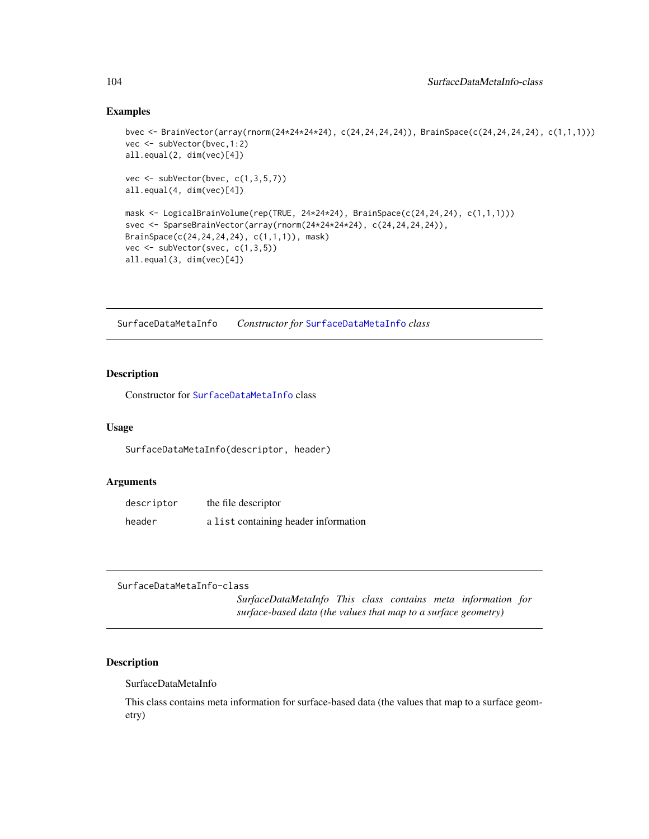### Examples

```
bvec <- BrainVector(array(rnorm(24*24*24*24), c(24,24,24,24)), BrainSpace(c(24,24,24,24), c(1,1,1)))
vec <- subVector(bvec,1:2)
all.equal(2, dim(vec)[4])
vec \leq subVector(bvec, c(1,3,5,7))
all.equal(4, dim(vec)[4])
mask <- LogicalBrainVolume(rep(TRUE, 24*24*24), BrainSpace(c(24,24,24), c(1,1,1)))
svec <- SparseBrainVector(array(rnorm(24*24*24*24), c(24,24,24,24)),
BrainSpace(c(24,24,24,24), c(1,1,1)), mask)
vec \leq subVector(svec, c(1,3,5))
all.equal(3, dim(vec)[4])
```
SurfaceDataMetaInfo *Constructor for* [SurfaceDataMetaInfo](#page-103-0) *class*

# Description

Constructor for [SurfaceDataMetaInfo](#page-103-0) class

#### Usage

SurfaceDataMetaInfo(descriptor, header)

### Arguments

| descriptor | the file descriptor                  |
|------------|--------------------------------------|
| header     | a list containing header information |

<span id="page-103-0"></span>SurfaceDataMetaInfo-class

*SurfaceDataMetaInfo This class contains meta information for surface-based data (the values that map to a surface geometry)*

### Description

SurfaceDataMetaInfo

This class contains meta information for surface-based data (the values that map to a surface geometry)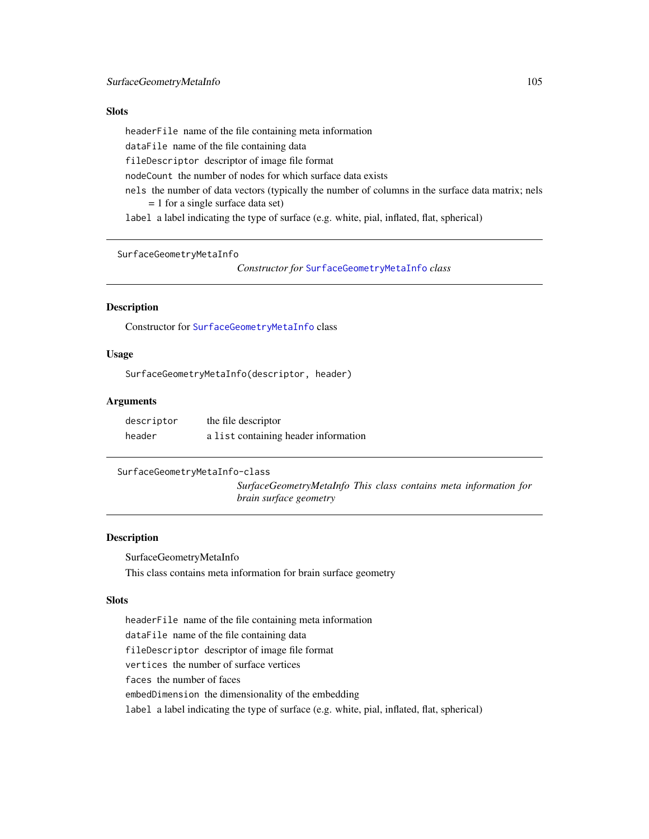### **Slots**

headerFile name of the file containing meta information

dataFile name of the file containing data

fileDescriptor descriptor of image file format

nodeCount the number of nodes for which surface data exists

nels the number of data vectors (typically the number of columns in the surface data matrix; nels = 1 for a single surface data set)

label a label indicating the type of surface (e.g. white, pial, inflated, flat, spherical)

SurfaceGeometryMetaInfo

*Constructor for* [SurfaceGeometryMetaInfo](#page-104-0) *class*

#### Description

Constructor for [SurfaceGeometryMetaInfo](#page-104-0) class

### Usage

SurfaceGeometryMetaInfo(descriptor, header)

# Arguments

| descriptor | the file descriptor                  |
|------------|--------------------------------------|
| header     | a list containing header information |

<span id="page-104-0"></span>SurfaceGeometryMetaInfo-class

*SurfaceGeometryMetaInfo This class contains meta information for brain surface geometry*

### **Description**

SurfaceGeometryMetaInfo This class contains meta information for brain surface geometry

### Slots

headerFile name of the file containing meta information dataFile name of the file containing data fileDescriptor descriptor of image file format vertices the number of surface vertices faces the number of faces embedDimension the dimensionality of the embedding label a label indicating the type of surface (e.g. white, pial, inflated, flat, spherical)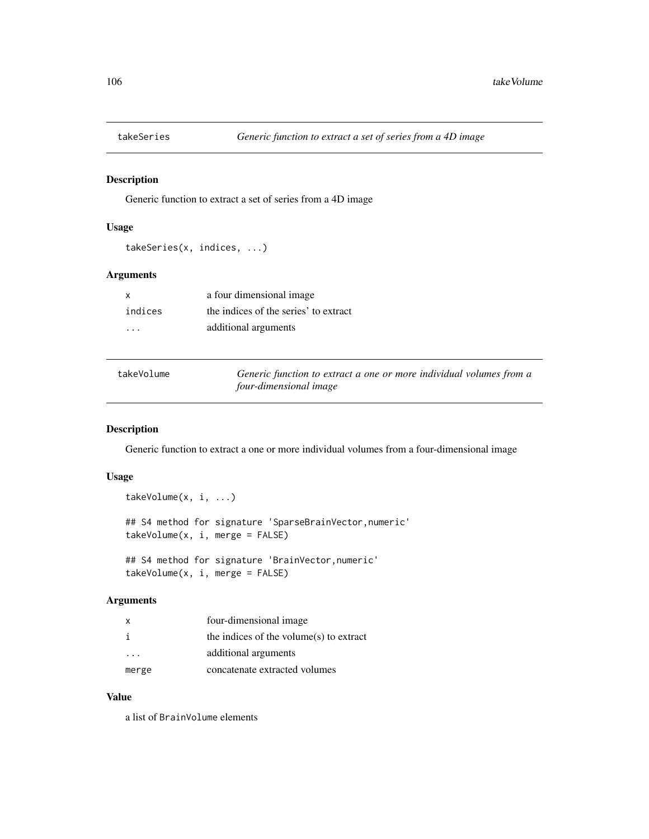# Description

Generic function to extract a set of series from a 4D image

### Usage

takeSeries(x, indices, ...)

### Arguments

| X       | a four dimensional image              |
|---------|---------------------------------------|
| indices | the indices of the series' to extract |
| .       | additional arguments                  |

| takeVolume | Generic function to extract a one or more individual volumes from a |
|------------|---------------------------------------------------------------------|
|            | four-dimensional image                                              |

# Description

Generic function to extract a one or more individual volumes from a four-dimensional image

# Usage

```
takeVolume(x, i, ...)
## S4 method for signature 'SparseBrainVector,numeric'
takeVolume(x, i, merge = FALSE)
## S4 method for signature 'BrainVector,numeric'
takeVolume(x, i, merge = FALSE)
```
### Arguments

| X     | four-dimensional image                     |
|-------|--------------------------------------------|
| i     | the indices of the volume $(s)$ to extract |
|       | additional arguments                       |
| merge | concatenate extracted volumes              |

### Value

a list of BrainVolume elements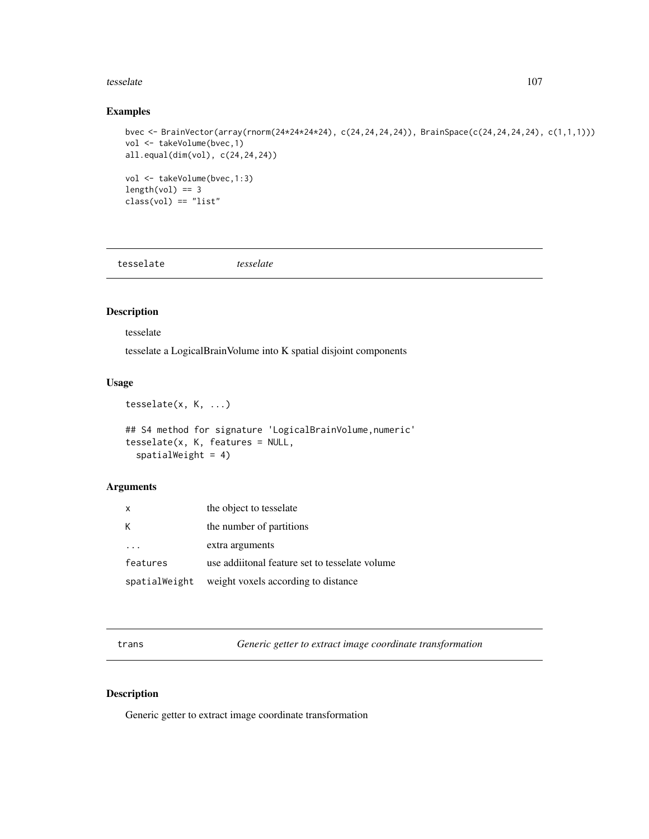#### tesselate the contract of the contract of the contract of the contract of the contract of the contract of the contract of the contract of the contract of the contract of the contract of the contract of the contract of the

### Examples

```
bvec <- BrainVector(array(rnorm(24*24*24*24), c(24,24,24,24)), BrainSpace(c(24,24,24,24), c(1,1,1)))
vol <- takeVolume(bvec,1)
all.equal(dim(vol), c(24,24,24))
vol <- takeVolume(bvec,1:3)
length(vol) == 3class(vol) == "list"
```
tesselate *tesselate*

# Description

tesselate

tesselate a LogicalBrainVolume into K spatial disjoint components

### Usage

```
tesselate(x, K, ...)
## S4 method for signature 'LogicalBrainVolume, numeric'
tesselate(x, K, features = NULL,
  spatialWeight = 4)
```
#### Arguments

| $\mathsf{x}$  | the object to tesselate                        |
|---------------|------------------------------------------------|
| К             | the number of partitions                       |
|               | extra arguments                                |
| features      | use additional feature set to tesselate volume |
| spatialWeight | weight voxels according to distance            |

trans *Generic getter to extract image coordinate transformation*

### Description

Generic getter to extract image coordinate transformation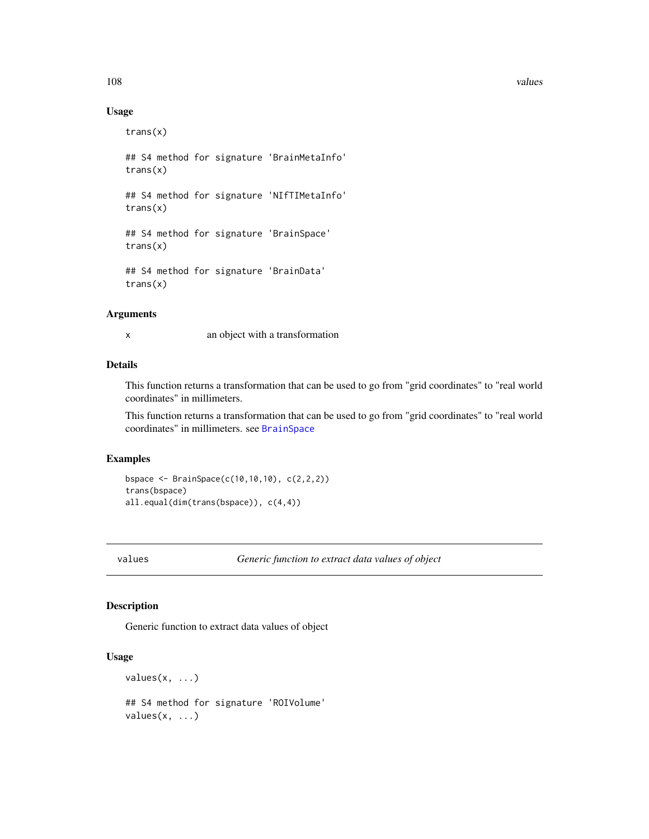108 values and the contract of the contract of the contract of the contract of the contract of the contract of the contract of the contract of the contract of the contract of the contract of the contract of the contract of

### Usage

trans(x) ## S4 method for signature 'BrainMetaInfo' trans(x) ## S4 method for signature 'NIfTIMetaInfo' trans(x) ## S4 method for signature 'BrainSpace' trans(x) ## S4 method for signature 'BrainData' trans(x)

# Arguments

x an object with a transformation

### Details

This function returns a transformation that can be used to go from "grid coordinates" to "real world coordinates" in millimeters.

This function returns a transformation that can be used to go from "grid coordinates" to "real world coordinates" in millimeters. see [BrainSpace](#page-24-0)

#### Examples

```
bspace <- BrainSpace(c(10,10,10), c(2,2,2))
trans(bspace)
all.equal(dim(trans(bspace)), c(4,4))
```
values *Generic function to extract data values of object*

# Description

Generic function to extract data values of object

#### Usage

 $values(x, \ldots)$ 

## S4 method for signature 'ROIVolume'  $values(x, \ldots)$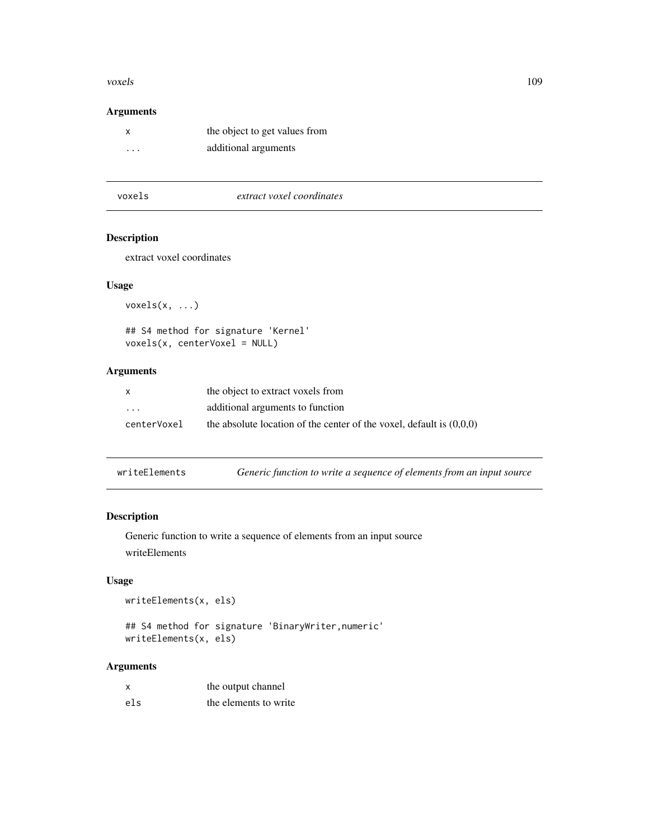#### <span id="page-108-0"></span>voxels and the set of the set of the set of the set of the set of the set of the set of the set of the set of the set of the set of the set of the set of the set of the set of the set of the set of the set of the set of th

# Arguments

| x                       | the object to get values from |
|-------------------------|-------------------------------|
| $\cdot$ $\cdot$ $\cdot$ | additional arguments          |

|--|

## Description

extract voxel coordinates

#### Usage

voxels(x, ...)

```
## S4 method for signature 'Kernel'
voxels(x, centerVoxel = NULL)
```
# Arguments

| $\mathsf{x}$ | the object to extract voxels from                                      |
|--------------|------------------------------------------------------------------------|
| $\cdots$     | additional arguments to function                                       |
| centerVoxel  | the absolute location of the center of the voxel, default is $(0.0.0)$ |

| writeElements |  |  | Generic function to write a sequence of elements from an input source |
|---------------|--|--|-----------------------------------------------------------------------|
|---------------|--|--|-----------------------------------------------------------------------|

# Description

Generic function to write a sequence of elements from an input source writeElements

# Usage

writeElements(x, els)

```
## S4 method for signature 'BinaryWriter,numeric'
writeElements(x, els)
```

| $\boldsymbol{\mathsf{x}}$ | the output channel    |
|---------------------------|-----------------------|
| els                       | the elements to write |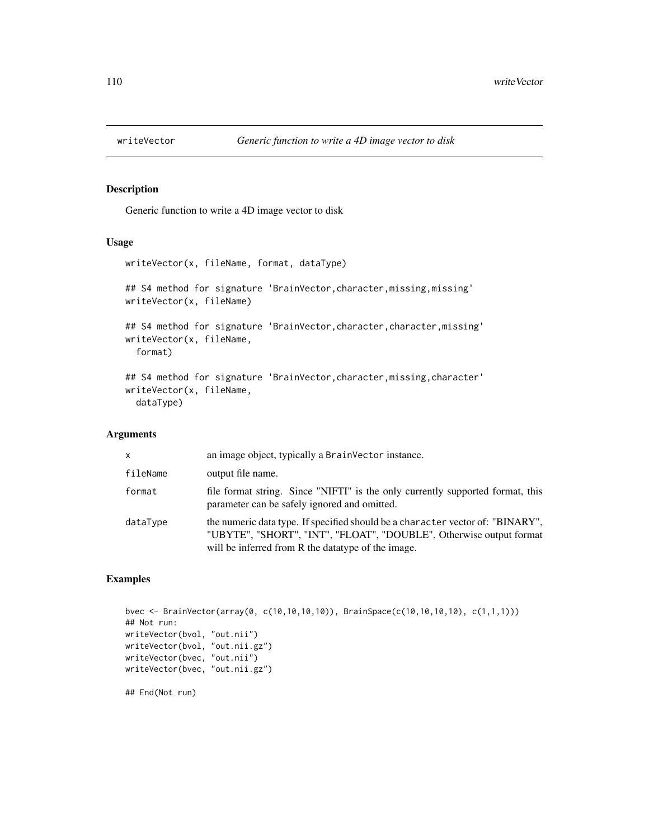<span id="page-109-0"></span>

## Description

Generic function to write a 4D image vector to disk

#### Usage

```
writeVector(x, fileName, format, dataType)
## S4 method for signature 'BrainVector, character, missing, missing'
writeVector(x, fileName)
## S4 method for signature 'BrainVector, character, character, missing'
writeVector(x, fileName,
  format)
## S4 method for signature 'BrainVector, character, missing, character'
writeVector(x, fileName,
  dataType)
```
## Arguments

| X        | an image object, typically a BrainVector instance.                                                                                                                                                           |
|----------|--------------------------------------------------------------------------------------------------------------------------------------------------------------------------------------------------------------|
| fileName | output file name.                                                                                                                                                                                            |
| format   | file format string. Since "NIFTI" is the only currently supported format, this<br>parameter can be safely ignored and omitted.                                                                               |
| dataType | the numeric data type. If specified should be a character vector of: "BINARY",<br>"UBYTE", "SHORT", "INT", "FLOAT", "DOUBLE". Otherwise output format<br>will be inferred from R the data type of the image. |

#### Examples

```
bvec <- BrainVector(array(0, c(10,10,10,10)), BrainSpace(c(10,10,10,10), c(1,1,1)))
## Not run:
writeVector(bvol, "out.nii")
writeVector(bvol, "out.nii.gz")
writeVector(bvec, "out.nii")
writeVector(bvec, "out.nii.gz")
## End(Not run)
```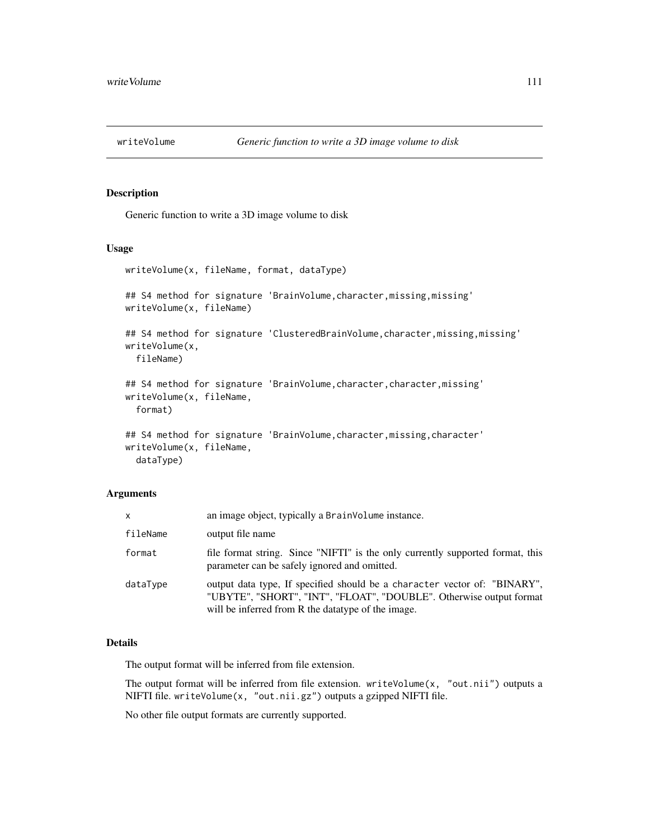<span id="page-110-0"></span>

## Description

Generic function to write a 3D image volume to disk

#### Usage

```
writeVolume(x, fileName, format, dataType)
## S4 method for signature 'BrainVolume, character, missing, missing'
writeVolume(x, fileName)
## S4 method for signature 'ClusteredBrainVolume, character, missing, missing'
writeVolume(x,
  fileName)
## S4 method for signature 'BrainVolume, character, character, missing'
writeVolume(x, fileName,
  format)
## S4 method for signature 'BrainVolume, character, missing, character'
writeVolume(x, fileName,
  dataType)
```
#### Arguments

| x        | an image object, typically a BrainVolume instance.                                                                                                                                                      |
|----------|---------------------------------------------------------------------------------------------------------------------------------------------------------------------------------------------------------|
| fileName | output file name                                                                                                                                                                                        |
| format   | file format string. Since "NIFTI" is the only currently supported format, this<br>parameter can be safely ignored and omitted.                                                                          |
| dataType | output data type, If specified should be a character vector of: "BINARY",<br>"UBYTE", "SHORT", "INT", "FLOAT", "DOUBLE". Otherwise output format<br>will be inferred from R the data type of the image. |

#### Details

The output format will be inferred from file extension.

The output format will be inferred from file extension. writeVolume $(x, 'out.nii')$  outputs a NIFTI file. writeVolume(x, "out.nii.gz") outputs a gzipped NIFTI file.

No other file output formats are currently supported.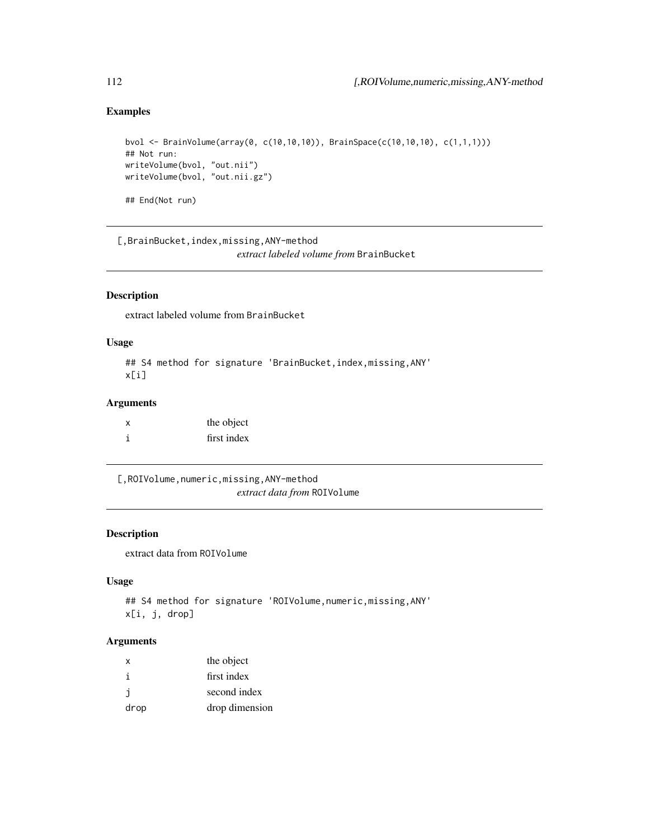# Examples

```
bvol <- BrainVolume(array(0, c(10,10,10)), BrainSpace(c(10,10,10), c(1,1,1)))
## Not run:
writeVolume(bvol, "out.nii")
writeVolume(bvol, "out.nii.gz")
## End(Not run)
```
[,BrainBucket,index,missing,ANY-method *extract labeled volume from* BrainBucket

# Description

extract labeled volume from BrainBucket

## Usage

```
## S4 method for signature 'BrainBucket, index, missing, ANY'
x[i]
```
# Arguments

| x | the object  |
|---|-------------|
|   | first index |

[,ROIVolume,numeric,missing,ANY-method *extract data from* ROIVolume

#### Description

extract data from ROIVolume

#### Usage

```
## S4 method for signature 'ROIVolume, numeric, missing, ANY'
x[i, j, drop]
```

| X    | the object     |
|------|----------------|
| i    | first index    |
| j.   | second index   |
| drop | drop dimension |

<span id="page-111-0"></span>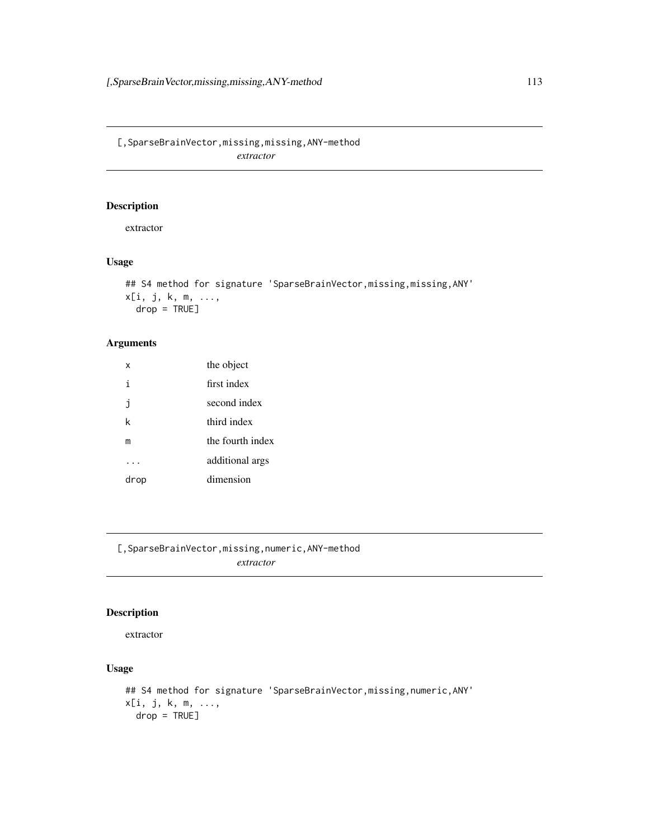<span id="page-112-0"></span>[,SparseBrainVector,missing,missing,ANY-method *extractor*

# Description

extractor

# Usage

```
## S4 method for signature 'SparseBrainVector, missing, missing, ANY'
x[i, j, k, m, ...,
  drop = TRUE]
```
# Arguments

| x    | the object       |
|------|------------------|
| i    | first index      |
| j    | second index     |
| k    | third index      |
| m    | the fourth index |
|      | additional args  |
| drop | dimension        |

[,SparseBrainVector,missing,numeric,ANY-method *extractor*

## Description

#### extractor

## Usage

```
## S4 method for signature 'SparseBrainVector, missing, numeric, ANY'
x[i, j, k, m, ...,
 drop = TRUE]
```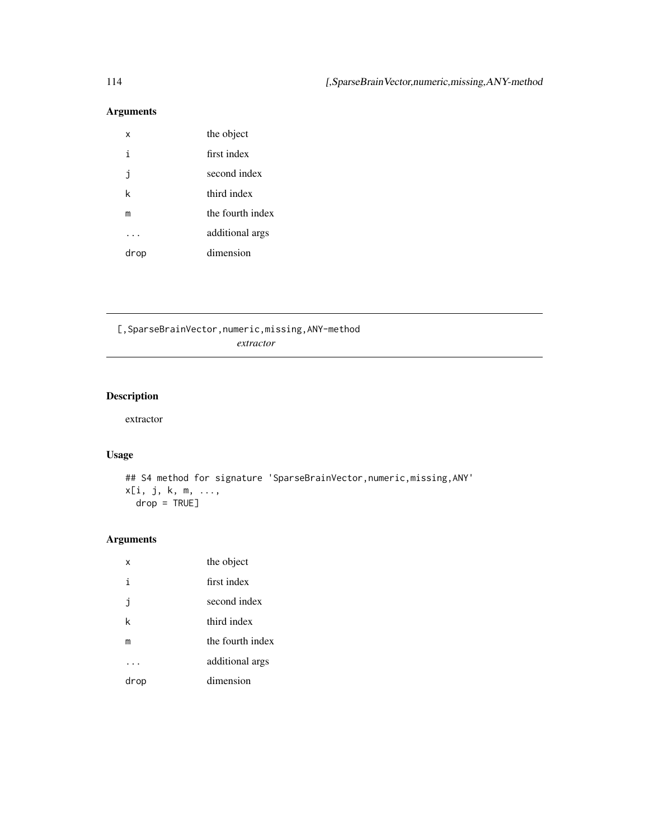# <span id="page-113-0"></span>Arguments

| x    | the object       |
|------|------------------|
| i    | first index      |
| İ    | second index     |
| k    | third index      |
| m    | the fourth index |
|      | additional args  |
| drop | dimension        |

[,SparseBrainVector,numeric,missing,ANY-method *extractor*

# Description

extractor

# Usage

```
## S4 method for signature 'SparseBrainVector, numeric, missing, ANY'
x[i, j, k, m, ...,
  drop = TRUE]
```

| x    | the object       |
|------|------------------|
| i    | first index      |
| j    | second index     |
| k    | third index      |
| m    | the fourth index |
|      | additional args  |
| drop | dimension        |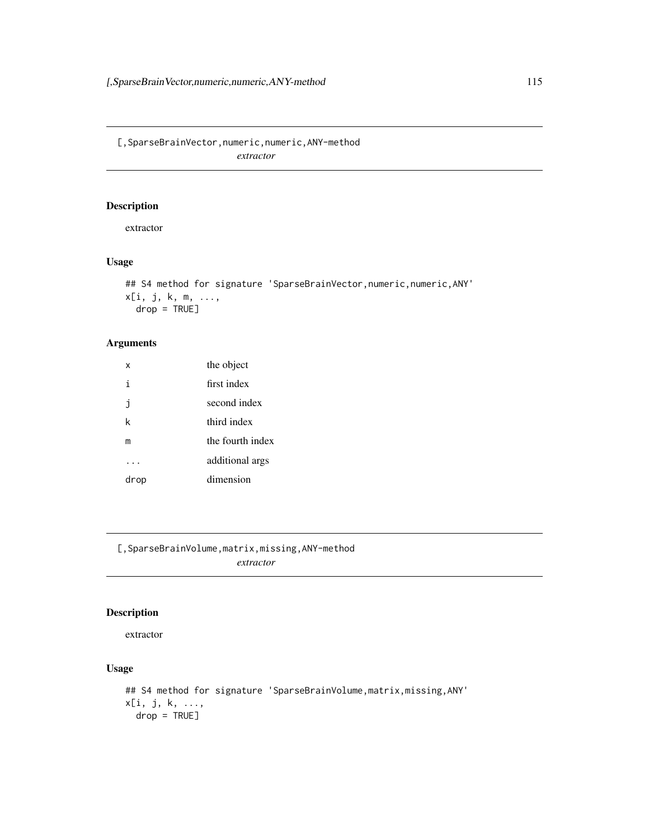<span id="page-114-0"></span>[,SparseBrainVector,numeric,numeric,ANY-method *extractor*

# Description

extractor

# Usage

```
## S4 method for signature 'SparseBrainVector, numeric, numeric, ANY'
x[i, j, k, m, ...,
  drop = TRUE]
```
# Arguments

| x    | the object       |
|------|------------------|
| i    | first index      |
| j    | second index     |
| k    | third index      |
| m    | the fourth index |
|      | additional args  |
| drop | dimension        |

[,SparseBrainVolume,matrix,missing,ANY-method *extractor*

## Description

#### extractor

## Usage

```
## S4 method for signature 'SparseBrainVolume, matrix, missing, ANY'
x[i, j, k, ...,
 drop = TRUE]
```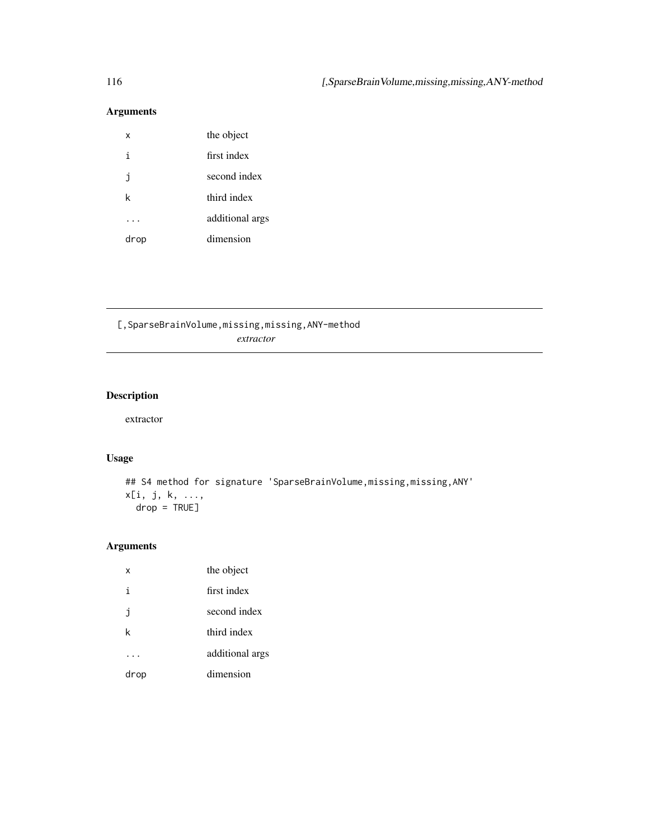# <span id="page-115-0"></span>Arguments

| x    | the object      |
|------|-----------------|
| i    | first index     |
| i    | second index    |
| k    | third index     |
|      | additional args |
| drop | dimension       |

[,SparseBrainVolume,missing,missing,ANY-method *extractor*

# Description

extractor

# Usage

```
## S4 method for signature 'SparseBrainVolume, missing, missing, ANY'
x[i, j, k, ...,
 drop = TRUE]
```

| x    | the object      |
|------|-----------------|
| i    | first index     |
| j    | second index    |
| k    | third index     |
|      | additional args |
| drop | dimension       |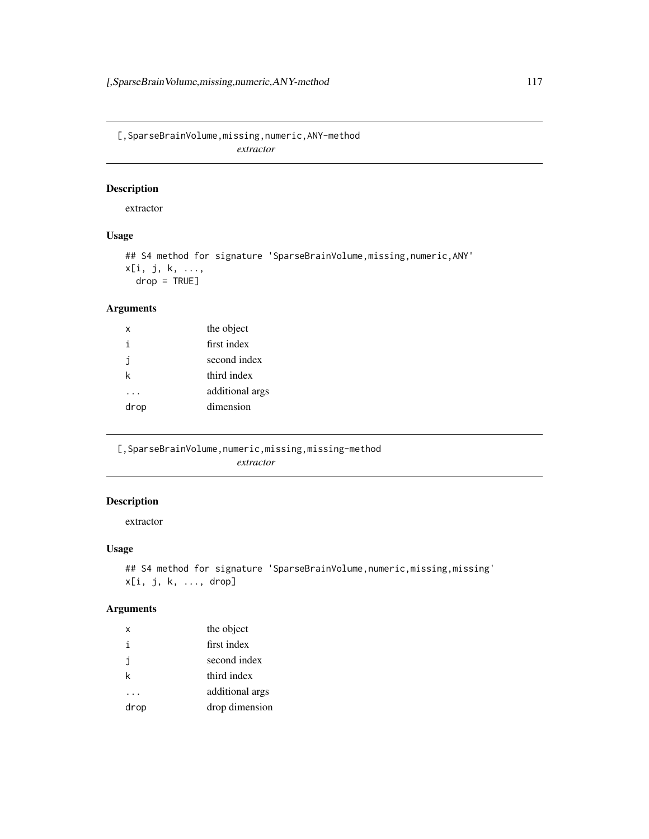<span id="page-116-0"></span>[,SparseBrainVolume,missing,numeric,ANY-method *extractor*

## Description

extractor

# Usage

## S4 method for signature 'SparseBrainVolume, missing, numeric, ANY' x[i, j, k, ..., drop = TRUE]

# Arguments

| x    | the object      |
|------|-----------------|
| i    | first index     |
| ı    | second index    |
| k    | third index     |
|      | additional args |
| drop | dimension       |
|      |                 |

[, SparseBrainVolume, numeric, missing, missing-method *extractor*

# Description

extractor

#### Usage

```
## S4 method for signature 'SparseBrainVolume, numeric, missing, missing'
x[i, j, k, ..., drop]
```

| x    | the object      |
|------|-----------------|
| i    | first index     |
| j    | second index    |
| k    | third index     |
|      | additional args |
| drop | drop dimension  |
|      |                 |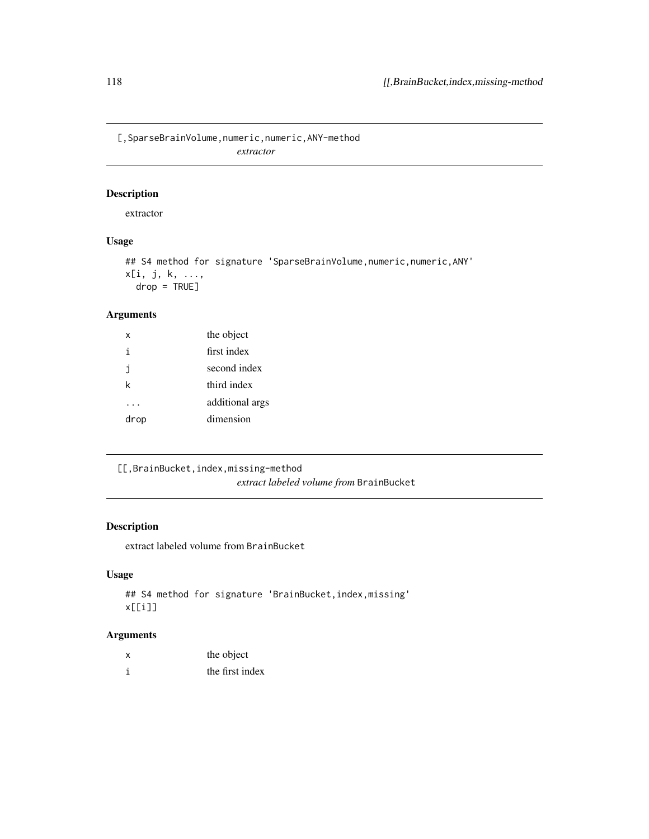<span id="page-117-0"></span>[,SparseBrainVolume,numeric,numeric,ANY-method *extractor*

## Description

extractor

# Usage

## S4 method for signature 'SparseBrainVolume, numeric, numeric, ANY' x[i, j, k, ...,  $drop = TRUE$ ]

# Arguments

| x    | the object      |
|------|-----------------|
| i    | first index     |
| j    | second index    |
| k    | third index     |
|      | additional args |
| drop | dimension       |

[[,BrainBucket,index,missing-method *extract labeled volume from* BrainBucket

## Description

extract labeled volume from BrainBucket

# Usage

```
## S4 method for signature 'BrainBucket,index,missing'
x[[i]]
```

| the object      |
|-----------------|
| the first index |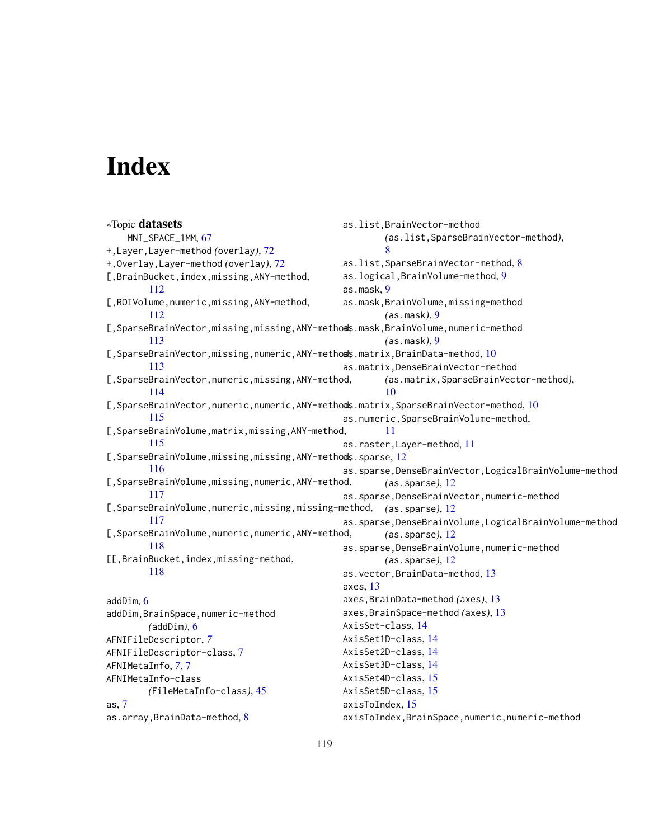# **Index**

∗Topic datasets MNI\_SPACE\_1MM, [67](#page-66-0) +,Layer,Layer-method *(*overlay*)*, [72](#page-71-0) +,Overlay,Layer-method *(*overlay*)*, [72](#page-71-0) [,BrainBucket,index,missing,ANY-method, [112](#page-111-0) [, ROIVolume, numeric, missing, ANY-method, [112](#page-111-0) [, SparseBrainVector, missing, missing, ANY-methods.mask, BrainVolume, numeric-method [113](#page-112-0) [, SparseBrainVector, missing, numeric, ANY-methods. matrix, BrainData-method, [10](#page-9-0) [113](#page-112-0) [,SparseBrainVector,numeric,missing,ANY-method, [114](#page-113-0) [, SparseBrainVector, numeric, numeric, ANY-methods.matrix, SparseBrainVector-method, [10](#page-9-0) [115](#page-114-0) [,SparseBrainVolume,matrix,missing,ANY-method, [115](#page-114-0) [, SparseBrainVolume, missing, missing, ANY-methods. sparse, [12](#page-11-0) [116](#page-115-0) [,SparseBrainVolume,missing,numeric,ANY-method, [117](#page-116-0) [,SparseBrainVolume,numeric,missing,missing-method, *(*as.sparse*)*, [12](#page-11-0) [117](#page-116-0) [, SparseBrainVolume, numeric, numeric, ANY-method, [118](#page-117-0) [[,BrainBucket,index,missing-method, [118](#page-117-0) addDim, [6](#page-5-0) addDim,BrainSpace,numeric-method *(*addDim*)*, [6](#page-5-0) AFNIFileDescriptor, *[7](#page-6-0)* AFNIFileDescriptor-class, [7](#page-6-0) AFNIMetaInfo, *[7](#page-6-0)*, [7](#page-6-0) AFNIMetaInfo-class *(*FileMetaInfo-class*)*, [45](#page-44-0) as, [7](#page-6-0) as.array,BrainData-method, [8](#page-7-0) as.list,BrainVector-method *(*as.list,SparseBrainVector-method*)*, [8](#page-7-0) as.list, SparseBrainVector-method, [8](#page-7-0) as.logical,BrainVolume-method, [9](#page-8-0) as.mask, [9](#page-8-0) as.mask,BrainVolume,missing-method *(*as.mask*)*, [9](#page-8-0) *(*as.mask*)*, [9](#page-8-0) as.matrix,DenseBrainVector-method *(*as.matrix,SparseBrainVector-method*)*, [10](#page-9-0) as.numeric,SparseBrainVolume-method, [11](#page-10-0) as.raster,Layer-method, [11](#page-10-0) as.sparse,DenseBrainVector,LogicalBrainVolume-method *(*as.sparse*)*, [12](#page-11-0) as.sparse,DenseBrainVector,numeric-method as.sparse,DenseBrainVolume,LogicalBrainVolume-method *(*as.sparse*)*, [12](#page-11-0) as.sparse,DenseBrainVolume,numeric-method *(*as.sparse*)*, [12](#page-11-0) as.vector,BrainData-method, [13](#page-12-0) axes, [13](#page-12-0) axes,BrainData-method *(*axes*)*, [13](#page-12-0) axes,BrainSpace-method *(*axes*)*, [13](#page-12-0) AxisSet-class, [14](#page-13-0) AxisSet1D-class, [14](#page-13-0) AxisSet2D-class, [14](#page-13-0) AxisSet3D-class, [14](#page-13-0) AxisSet4D-class, [15](#page-14-0) AxisSet5D-class, [15](#page-14-0) axisToIndex, [15](#page-14-0) axisToIndex,BrainSpace,numeric,numeric-method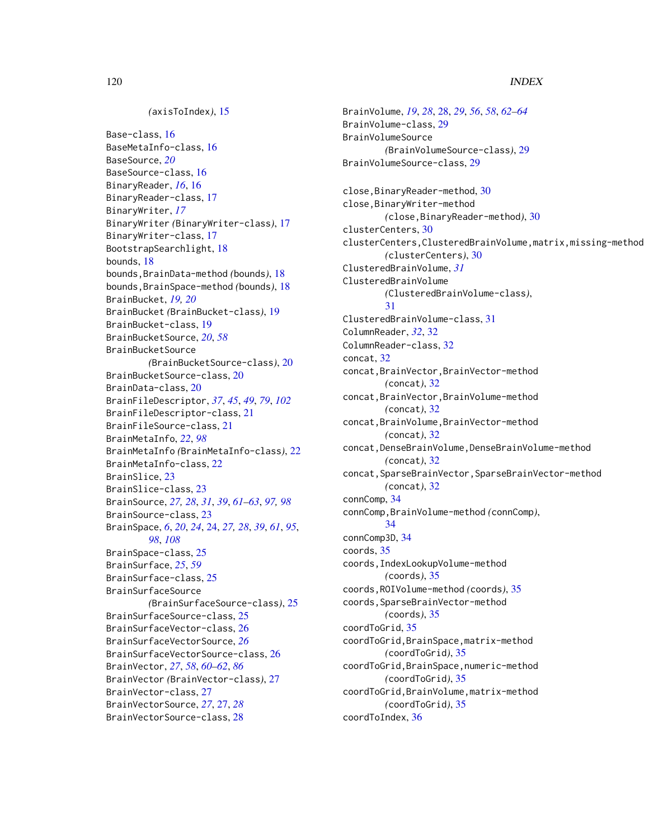#### *(*axisToIndex*)*, [15](#page-14-0)

Base-class, [16](#page-15-0) BaseMetaInfo-class, [16](#page-15-0) BaseSource, *[20](#page-19-0)* BaseSource-class, [16](#page-15-0) BinaryReader, *[16](#page-15-0)*, [16](#page-15-0) BinaryReader-class, [17](#page-16-0) BinaryWriter, *[17](#page-16-0)* BinaryWriter *(*BinaryWriter-class*)*, [17](#page-16-0) BinaryWriter-class, [17](#page-16-0) BootstrapSearchlight, [18](#page-17-0) bounds, [18](#page-17-0) bounds,BrainData-method *(*bounds*)*, [18](#page-17-0) bounds,BrainSpace-method *(*bounds*)*, [18](#page-17-0) BrainBucket, *[19,](#page-18-0) [20](#page-19-0)* BrainBucket *(*BrainBucket-class*)*, [19](#page-18-0) BrainBucket-class, [19](#page-18-0) BrainBucketSource, *[20](#page-19-0)*, *[58](#page-57-0)* BrainBucketSource *(*BrainBucketSource-class*)*, [20](#page-19-0) BrainBucketSource-class, [20](#page-19-0) BrainData-class, [20](#page-19-0) BrainFileDescriptor, *[37](#page-36-0)*, *[45](#page-44-0)*, *[49](#page-48-0)*, *[79](#page-78-0)*, *[102](#page-101-0)* BrainFileDescriptor-class, [21](#page-20-0) BrainFileSource-class, [21](#page-20-0) BrainMetaInfo, *[22](#page-21-0)*, *[98](#page-97-0)* BrainMetaInfo *(*BrainMetaInfo-class*)*, [22](#page-21-0) BrainMetaInfo-class, [22](#page-21-0) BrainSlice, [23](#page-22-0) BrainSlice-class, [23](#page-22-0) BrainSource, *[27,](#page-26-0) [28](#page-27-0)*, *[31](#page-30-0)*, *[39](#page-38-0)*, *[61–](#page-60-0)[63](#page-62-0)*, *[97,](#page-96-0) [98](#page-97-0)* BrainSource-class, [23](#page-22-0) BrainSpace, *[6](#page-5-0)*, *[20](#page-19-0)*, *[24](#page-23-0)*, [24,](#page-23-0) *[27,](#page-26-0) [28](#page-27-0)*, *[39](#page-38-0)*, *[61](#page-60-0)*, *[95](#page-94-0)*, *[98](#page-97-0)*, *[108](#page-107-0)* BrainSpace-class, [25](#page-24-0) BrainSurface, *[25](#page-24-0)*, *[59](#page-58-0)* BrainSurface-class, [25](#page-24-0) BrainSurfaceSource *(*BrainSurfaceSource-class*)*, [25](#page-24-0) BrainSurfaceSource-class, [25](#page-24-0) BrainSurfaceVector-class, [26](#page-25-0) BrainSurfaceVectorSource, *[26](#page-25-0)* BrainSurfaceVectorSource-class, [26](#page-25-0) BrainVector, *[27](#page-26-0)*, *[58](#page-57-0)*, *[60–](#page-59-0)[62](#page-61-0)*, *[86](#page-85-0)* BrainVector *(*BrainVector-class*)*, [27](#page-26-0) BrainVector-class, [27](#page-26-0) BrainVectorSource, *[27](#page-26-0)*, [27,](#page-26-0) *[28](#page-27-0)* BrainVectorSource-class, [28](#page-27-0)

BrainVolume, *[19](#page-18-0)*, *[28](#page-27-0)*, [28,](#page-27-0) *[29](#page-28-0)*, *[56](#page-55-0)*, *[58](#page-57-0)*, *[62](#page-61-0)[–64](#page-63-0)* BrainVolume-class, [29](#page-28-0) BrainVolumeSource *(*BrainVolumeSource-class*)*, [29](#page-28-0) BrainVolumeSource-class, [29](#page-28-0) close,BinaryReader-method, [30](#page-29-0) close,BinaryWriter-method *(*close,BinaryReader-method*)*, [30](#page-29-0) clusterCenters, [30](#page-29-0) clusterCenters,ClusteredBrainVolume,matrix,missing-method *(*clusterCenters*)*, [30](#page-29-0) ClusteredBrainVolume, *[31](#page-30-0)* ClusteredBrainVolume *(*ClusteredBrainVolume-class*)*, [31](#page-30-0) ClusteredBrainVolume-class, [31](#page-30-0) ColumnReader, *[32](#page-31-0)*, [32](#page-31-0) ColumnReader-class, [32](#page-31-0) concat, [32](#page-31-0) concat,BrainVector,BrainVector-method *(*concat*)*, [32](#page-31-0) concat,BrainVector,BrainVolume-method *(*concat*)*, [32](#page-31-0) concat,BrainVolume,BrainVector-method *(*concat*)*, [32](#page-31-0) concat,DenseBrainVolume,DenseBrainVolume-method *(*concat*)*, [32](#page-31-0) concat,SparseBrainVector,SparseBrainVector-method *(*concat*)*, [32](#page-31-0) connComp, [34](#page-33-0) connComp,BrainVolume-method *(*connComp*)*, [34](#page-33-0) connComp3D, [34](#page-33-0) coords, [35](#page-34-0) coords,IndexLookupVolume-method *(*coords*)*, [35](#page-34-0) coords,ROIVolume-method *(*coords*)*, [35](#page-34-0) coords, SparseBrainVector-method *(*coords*)*, [35](#page-34-0) coordToGrid, [35](#page-34-0) coordToGrid,BrainSpace,matrix-method *(*coordToGrid*)*, [35](#page-34-0) coordToGrid,BrainSpace,numeric-method *(*coordToGrid*)*, [35](#page-34-0) coordToGrid,BrainVolume,matrix-method *(*coordToGrid*)*, [35](#page-34-0) coordToIndex, [36](#page-35-0)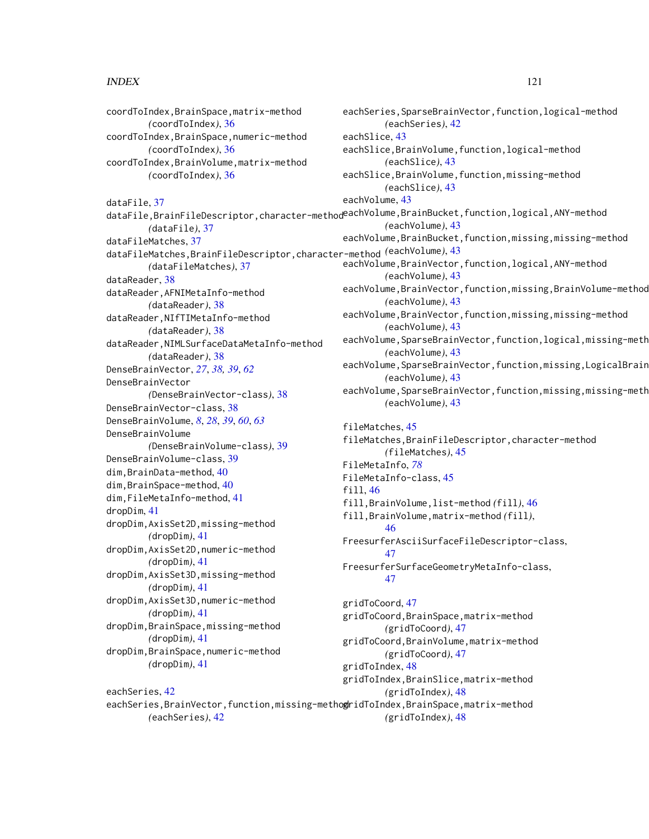#### $INDEX$  and  $I21$

coordToIndex,BrainSpace,matrix-method *(*coordToIndex*)*, [36](#page-35-0) coordToIndex,BrainSpace,numeric-method *(*coordToIndex*)*, [36](#page-35-0) coordToIndex,BrainVolume,matrix-method *(*coordToIndex*)*, [36](#page-35-0) dataFile, [37](#page-36-0) *(*dataFile*)*, [37](#page-36-0) dataFileMatches, [37](#page-36-0) dataFileMatches,BrainFileDescriptor,character-method *(*eachVolume*)*, [43](#page-42-0) *(*dataFileMatches*)*, [37](#page-36-0) dataReader, [38](#page-37-0) dataReader,AFNIMetaInfo-method *(*dataReader*)*, [38](#page-37-0) dataReader,NIfTIMetaInfo-method *(*dataReader*)*, [38](#page-37-0) dataReader,NIMLSurfaceDataMetaInfo-method *(*dataReader*)*, [38](#page-37-0) DenseBrainVector, *[27](#page-26-0)*, *[38,](#page-37-0) [39](#page-38-0)*, *[62](#page-61-0)* DenseBrainVector *(*DenseBrainVector-class*)*, [38](#page-37-0) DenseBrainVector-class, [38](#page-37-0) DenseBrainVolume, *[8](#page-7-0)*, *[28](#page-27-0)*, *[39](#page-38-0)*, *[60](#page-59-0)*, *[63](#page-62-0)* DenseBrainVolume *(*DenseBrainVolume-class*)*, [39](#page-38-0) DenseBrainVolume-class, [39](#page-38-0) dim,BrainData-method, [40](#page-39-0) dim,BrainSpace-method, [40](#page-39-0) dim,FileMetaInfo-method, [41](#page-40-0) dropDim, [41](#page-40-0) dropDim,AxisSet2D,missing-method *(*dropDim*)*, [41](#page-40-0) dropDim,AxisSet2D,numeric-method *(*dropDim*)*, [41](#page-40-0) dropDim,AxisSet3D,missing-method *(*dropDim*)*, [41](#page-40-0) dropDim,AxisSet3D,numeric-method *(*dropDim*)*, [41](#page-40-0) dropDim,BrainSpace,missing-method *(*dropDim*)*, [41](#page-40-0) dropDim,BrainSpace,numeric-method *(*dropDim*)*, [41](#page-40-0)

eachSeries, [42](#page-41-0)

*(*eachSeries*)*, [42](#page-41-0)

dataFile,BrainFileDescriptor,character-method<sup>eachVolume,BrainBucket,function,logical,ANY-method</sup> eachSeries,BrainVector,function,missing-methogridToIndex,BrainSpace,matrix-method eachSeries,SparseBrainVector,function,logical-method *(*eachSeries*)*, [42](#page-41-0) eachSlice, [43](#page-42-0) eachSlice,BrainVolume,function,logical-method *(*eachSlice*)*, [43](#page-42-0) eachSlice,BrainVolume,function,missing-method *(*eachSlice*)*, [43](#page-42-0) eachVolume, [43](#page-42-0) *(*eachVolume*)*, [43](#page-42-0) eachVolume, BrainBucket, function, missing, missing-method eachVolume,BrainVector,function,logical,ANY-method *(*eachVolume*)*, [43](#page-42-0) eachVolume,BrainVector,function,missing,BrainVolume-method *(*eachVolume*)*, [43](#page-42-0) eachVolume,BrainVector,function,missing,missing-method *(*eachVolume*)*, [43](#page-42-0) eachVolume, SparseBrainVector, function, logical, missing-meth *(*eachVolume*)*, [43](#page-42-0) eachVolume, SparseBrainVector, function, missing, LogicalBrain *(*eachVolume*)*, [43](#page-42-0) eachVolume,SparseBrainVector,function,missing,missing-meth *(*eachVolume*)*, [43](#page-42-0) fileMatches, [45](#page-44-0) fileMatches,BrainFileDescriptor,character-method *(*fileMatches*)*, [45](#page-44-0) FileMetaInfo, *[78](#page-77-0)* FileMetaInfo-class, [45](#page-44-0) fill, [46](#page-45-0) fill,BrainVolume,list-method *(*fill*)*, [46](#page-45-0) fill,BrainVolume,matrix-method *(*fill*)*, [46](#page-45-0) FreesurferAsciiSurfaceFileDescriptor-class, [47](#page-46-0) FreesurferSurfaceGeometryMetaInfo-class, [47](#page-46-0) gridToCoord, [47](#page-46-0) gridToCoord,BrainSpace,matrix-method *(*gridToCoord*)*, [47](#page-46-0) gridToCoord,BrainVolume,matrix-method *(*gridToCoord*)*, [47](#page-46-0) gridToIndex, [48](#page-47-0) gridToIndex,BrainSlice,matrix-method *(*gridToIndex*)*, [48](#page-47-0) *(*gridToIndex*)*, [48](#page-47-0)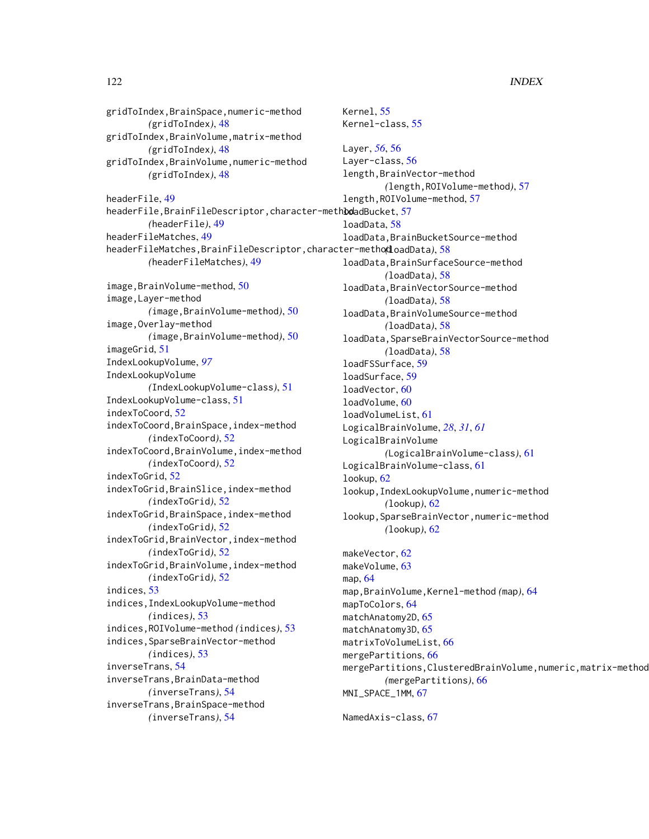gridToIndex,BrainSpace,numeric-method *(*gridToIndex*)*, [48](#page-47-0) gridToIndex,BrainVolume,matrix-method *(*gridToIndex*)*, [48](#page-47-0) gridToIndex,BrainVolume,numeric-method *(*gridToIndex*)*, [48](#page-47-0) headerFile, [49](#page-48-0) headerFile, BrainFileDescriptor, character-methboladBucket, [57](#page-56-0) *(*headerFile*)*, [49](#page-48-0) headerFileMatches, [49](#page-48-0) headerFileMatches,BrainFileDescriptor,character-method *(*loadData*)*, [58](#page-57-0) *(*headerFileMatches*)*, [49](#page-48-0) image,BrainVolume-method, [50](#page-49-0) image,Layer-method *(*image,BrainVolume-method*)*, [50](#page-49-0) image,Overlay-method *(*image,BrainVolume-method*)*, [50](#page-49-0) imageGrid, [51](#page-50-0) IndexLookupVolume, *[97](#page-96-0)* IndexLookupVolume *(*IndexLookupVolume-class*)*, [51](#page-50-0) IndexLookupVolume-class, [51](#page-50-0) indexToCoord, [52](#page-51-0) indexToCoord,BrainSpace,index-method *(*indexToCoord*)*, [52](#page-51-0) indexToCoord,BrainVolume,index-method *(*indexToCoord*)*, [52](#page-51-0) indexToGrid, [52](#page-51-0) indexToGrid,BrainSlice,index-method *(*indexToGrid*)*, [52](#page-51-0) indexToGrid,BrainSpace,index-method *(*indexToGrid*)*, [52](#page-51-0) indexToGrid,BrainVector,index-method *(*indexToGrid*)*, [52](#page-51-0) indexToGrid,BrainVolume,index-method *(*indexToGrid*)*, [52](#page-51-0) indices, [53](#page-52-0) indices,IndexLookupVolume-method *(*indices*)*, [53](#page-52-0) indices,ROIVolume-method *(*indices*)*, [53](#page-52-0) indices,SparseBrainVector-method *(*indices*)*, [53](#page-52-0) inverseTrans, [54](#page-53-0) inverseTrans,BrainData-method *(*inverseTrans*)*, [54](#page-53-0) inverseTrans,BrainSpace-method *(*inverseTrans*)*, [54](#page-53-0)

Kernel, [55](#page-54-0) Kernel-class, [55](#page-54-0) Layer, *[56](#page-55-0)*, [56](#page-55-0) Layer-class, [56](#page-55-0) length,BrainVector-method *(*length,ROIVolume-method*)*, [57](#page-56-0) length,ROIVolume-method, [57](#page-56-0) loadData, [58](#page-57-0) loadData,BrainBucketSource-method loadData,BrainSurfaceSource-method *(*loadData*)*, [58](#page-57-0) loadData,BrainVectorSource-method *(*loadData*)*, [58](#page-57-0) loadData,BrainVolumeSource-method *(*loadData*)*, [58](#page-57-0) loadData,SparseBrainVectorSource-method *(*loadData*)*, [58](#page-57-0) loadFSSurface, [59](#page-58-0) loadSurface, [59](#page-58-0) loadVector, [60](#page-59-0) loadVolume, [60](#page-59-0) loadVolumeList, [61](#page-60-0) LogicalBrainVolume, *[28](#page-27-0)*, *[31](#page-30-0)*, *[61](#page-60-0)* LogicalBrainVolume *(*LogicalBrainVolume-class*)*, [61](#page-60-0) LogicalBrainVolume-class, [61](#page-60-0) lookup, [62](#page-61-0) lookup,IndexLookupVolume,numeric-method *(*lookup*)*, [62](#page-61-0) lookup,SparseBrainVector,numeric-method *(*lookup*)*, [62](#page-61-0) makeVector, [62](#page-61-0) makeVolume, [63](#page-62-0) map, [64](#page-63-0) map,BrainVolume,Kernel-method *(*map*)*, [64](#page-63-0) mapToColors, [64](#page-63-0) matchAnatomy2D, [65](#page-64-0) matchAnatomy3D, [65](#page-64-0) matrixToVolumeList, [66](#page-65-0) mergePartitions, [66](#page-65-0) mergePartitions,ClusteredBrainVolume,numeric,matrix-method *(*mergePartitions*)*, [66](#page-65-0) MNI\_SPACE\_1MM, [67](#page-66-0) NamedAxis-class, [67](#page-66-0)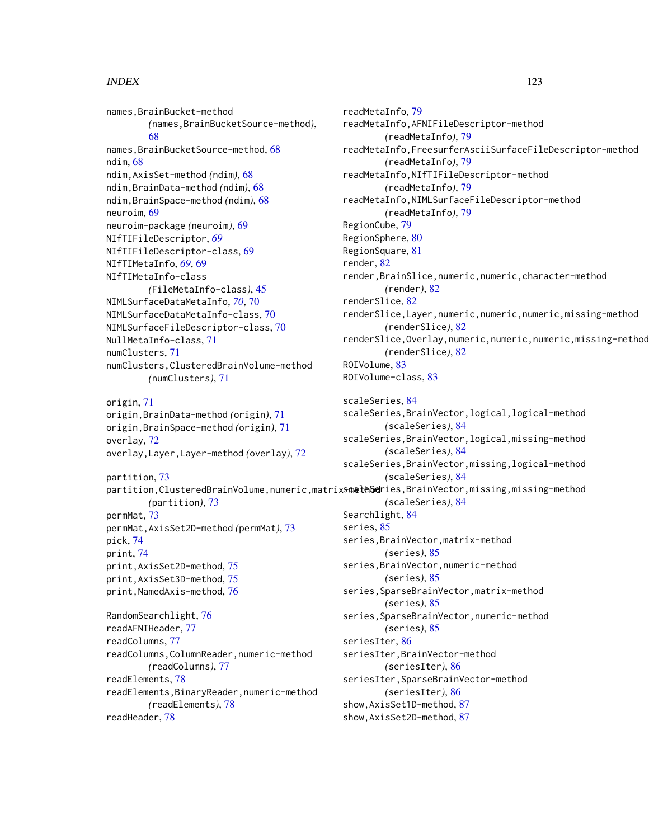names,BrainBucket-method *(*names,BrainBucketSource-method*)*, [68](#page-67-0) names, BrainBucketSource-method, [68](#page-67-0) ndim, [68](#page-67-0) ndim,AxisSet-method *(*ndim*)*, [68](#page-67-0) ndim,BrainData-method *(*ndim*)*, [68](#page-67-0) ndim,BrainSpace-method *(*ndim*)*, [68](#page-67-0) neuroim, [69](#page-68-0) neuroim-package *(*neuroim*)*, [69](#page-68-0) NIfTIFileDescriptor, *[69](#page-68-0)* NIfTIFileDescriptor-class, [69](#page-68-0) NIfTIMetaInfo, *[69](#page-68-0)*, [69](#page-68-0) NIfTIMetaInfo-class *(*FileMetaInfo-class*)*, [45](#page-44-0) NIMLSurfaceDataMetaInfo, *[70](#page-69-0)*, [70](#page-69-0) NIMLSurfaceDataMetaInfo-class, [70](#page-69-0) NIMLSurfaceFileDescriptor-class, [70](#page-69-0) NullMetaInfo-class, [71](#page-70-0) numClusters, [71](#page-70-0) numClusters,ClusteredBrainVolume-method *(*numClusters*)*, [71](#page-70-0) origin, [71](#page-70-0) origin,BrainData-method *(*origin*)*, [71](#page-70-0) origin,BrainSpace-method *(*origin*)*, [71](#page-70-0) overlay, [72](#page-71-0) overlay,Layer,Layer-method *(*overlay*)*, [72](#page-71-0) partition, [73](#page-72-0) *(*partition*)*, [73](#page-72-0) permMat, [73](#page-72-0) permMat,AxisSet2D-method *(*permMat*)*, [73](#page-72-0) pick, [74](#page-73-0) print, [74](#page-73-0) print,AxisSet2D-method, [75](#page-74-0) print,AxisSet3D-method, [75](#page-74-0) print,NamedAxis-method, [76](#page-75-0) RandomSearchlight, [76](#page-75-0) readAFNIHeader, [77](#page-76-0) readColumns, [77](#page-76-0) readColumns,ColumnReader,numeric-method *(*readColumns*)*, [77](#page-76-0) readElements, [78](#page-77-0) readElements,BinaryReader,numeric-method *(*readElements*)*, [78](#page-77-0) readHeader, [78](#page-77-0)

partition,ClusteredBrainVolume,numeric,matrix**smeth&c**ries,BrainVector,missing,missing-method RegionCube, [79](#page-78-0) RegionSphere, [80](#page-79-0) RegionSquare, [81](#page-80-0) render, [82](#page-81-0) render,BrainSlice,numeric,numeric,character-method *(*render*)*, [82](#page-81-0) renderSlice, [82](#page-81-0) renderSlice,Layer,numeric,numeric,numeric,missing-method *(*renderSlice*)*, [82](#page-81-0) renderSlice,Overlay,numeric,numeric,numeric,missing-method *(*renderSlice*)*, [82](#page-81-0) ROIVolume, [83](#page-82-0) ROIVolume-class, [83](#page-82-0) scaleSeries, [84](#page-83-0) scaleSeries,BrainVector,logical,logical-method *(*scaleSeries*)*, [84](#page-83-0) scaleSeries,BrainVector,logical,missing-method *(*scaleSeries*)*, [84](#page-83-0) scaleSeries,BrainVector,missing,logical-method *(*scaleSeries*)*, [84](#page-83-0) *(*scaleSeries*)*, [84](#page-83-0) Searchlight, [84](#page-83-0) series, [85](#page-84-0) series,BrainVector,matrix-method *(*series*)*, [85](#page-84-0) series,BrainVector,numeric-method *(*series*)*, [85](#page-84-0) series,SparseBrainVector,matrix-method *(*series*)*, [85](#page-84-0) series,SparseBrainVector,numeric-method *(*series*)*, [85](#page-84-0) seriesIter, [86](#page-85-0)

> seriesIter,BrainVector-method *(*seriesIter*)*, [86](#page-85-0) seriesIter,SparseBrainVector-method *(*seriesIter*)*, [86](#page-85-0) show,AxisSet1D-method, [87](#page-86-0) show,AxisSet2D-method, [87](#page-86-0)

readMetaInfo,AFNIFileDescriptor-method *(*readMetaInfo*)*, [79](#page-78-0)

readMetaInfo,NIfTIFileDescriptor-method

readMetaInfo,NIMLSurfaceFileDescriptor-method

*(*readMetaInfo*)*, [79](#page-78-0)

*(*readMetaInfo*)*, [79](#page-78-0)

*(*readMetaInfo*)*, [79](#page-78-0)

readMetaInfo,FreesurferAsciiSurfaceFileDescriptor-method

readMetaInfo, [79](#page-78-0)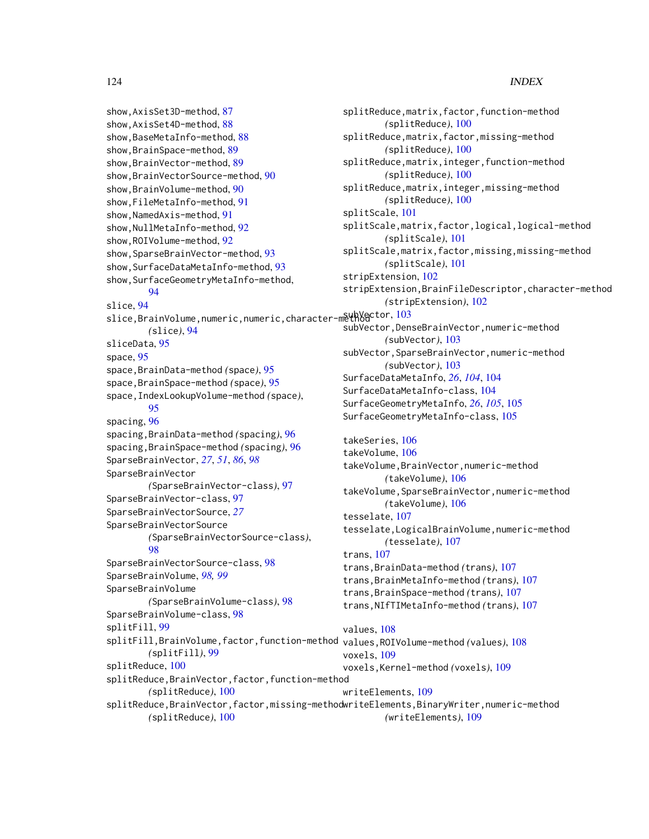show,AxisSet3D-method, [87](#page-86-0) show,AxisSet4D-method, [88](#page-87-0) show,BaseMetaInfo-method, [88](#page-87-0) show,BrainSpace-method, [89](#page-88-0) show,BrainVector-method, [89](#page-88-0) show,BrainVectorSource-method, [90](#page-89-0) show,BrainVolume-method, [90](#page-89-0) show,FileMetaInfo-method, [91](#page-90-0) show, NamedAxis-method, [91](#page-90-0) show, NullMetaInfo-method, [92](#page-91-0) show,ROIVolume-method, [92](#page-91-0) show, SparseBrainVector-method, [93](#page-92-0) show, SurfaceDataMetaInfo-method, [93](#page-92-0) show, SurfaceGeometryMetaInfo-method, [94](#page-93-0) slice, [94](#page-93-0) slice,BrainVolume,numeric,numeric,character-methodctor,[103](#page-102-0) *(*slice*)*, [94](#page-93-0) sliceData, [95](#page-94-0) space, [95](#page-94-0) space,BrainData-method *(*space*)*, [95](#page-94-0) space,BrainSpace-method *(*space*)*, [95](#page-94-0) space,IndexLookupVolume-method *(*space*)*, [95](#page-94-0) spacing, [96](#page-95-0) spacing,BrainData-method *(*spacing*)*, [96](#page-95-0) spacing,BrainSpace-method *(*spacing*)*, [96](#page-95-0) SparseBrainVector, *[27](#page-26-0)*, *[51](#page-50-0)*, *[86](#page-85-0)*, *[98](#page-97-0)* SparseBrainVector *(*SparseBrainVector-class*)*, [97](#page-96-0) SparseBrainVector-class, [97](#page-96-0) SparseBrainVectorSource, *[27](#page-26-0)* SparseBrainVectorSource *(*SparseBrainVectorSource-class*)*, [98](#page-97-0) SparseBrainVectorSource-class, [98](#page-97-0) SparseBrainVolume, *[98,](#page-97-0) [99](#page-98-0)* SparseBrainVolume *(*SparseBrainVolume-class*)*, [98](#page-97-0) SparseBrainVolume-class, [98](#page-97-0) splitFill, [99](#page-98-0) *(*splitFill*)*, [99](#page-98-0) splitReduce, [100](#page-99-0) splitReduce,BrainVector,factor,function-method *(*splitReduce*)*, [100](#page-99-0)

splitReduce,matrix,factor,function-method *(*splitReduce*)*, [100](#page-99-0) splitReduce,matrix,factor,missing-method *(*splitReduce*)*, [100](#page-99-0) splitReduce,matrix,integer,function-method *(*splitReduce*)*, [100](#page-99-0) splitReduce,matrix,integer,missing-method *(*splitReduce*)*, [100](#page-99-0) splitScale, [101](#page-100-0) splitScale,matrix,factor,logical,logical-method *(*splitScale*)*, [101](#page-100-0) splitScale,matrix,factor,missing,missing-method *(*splitScale*)*, [101](#page-100-0) stripExtension, [102](#page-101-0) stripExtension,BrainFileDescriptor,character-method *(*stripExtension*)*, [102](#page-101-0) subVector,DenseBrainVector,numeric-method *(*subVector*)*, [103](#page-102-0) subVector,SparseBrainVector,numeric-method *(*subVector*)*, [103](#page-102-0) SurfaceDataMetaInfo, *[26](#page-25-0)*, *[104](#page-103-0)*, [104](#page-103-0) SurfaceDataMetaInfo-class, [104](#page-103-0) SurfaceGeometryMetaInfo, *[26](#page-25-0)*, *[105](#page-104-0)*, [105](#page-104-0) SurfaceGeometryMetaInfo-class, [105](#page-104-0) takeSeries, [106](#page-105-0) takeVolume, [106](#page-105-0) takeVolume,BrainVector,numeric-method *(*takeVolume*)*, [106](#page-105-0) takeVolume,SparseBrainVector,numeric-method *(*takeVolume*)*, [106](#page-105-0) tesselate, [107](#page-106-0) tesselate,LogicalBrainVolume,numeric-method *(*tesselate*)*, [107](#page-106-0) trans, [107](#page-106-0) trans,BrainData-method *(*trans*)*, [107](#page-106-0) trans,BrainMetaInfo-method *(*trans*)*, [107](#page-106-0) trans,BrainSpace-method *(*trans*)*, [107](#page-106-0)

```
trans,NIfTIMetaInfo-method (trans), 107
```

```
splitFill,BrainVolume,factor,function-method
values,ROIVolume-method (values), 108
                                               values, 108
                                               voxels, 109
                                               voxels,Kernel-method (voxels), 109
                                               writeElements, 109
```
splitReduce,BrainVector,factor,missing-method writeElements,BinaryWriter,numeric-method *(*splitReduce*)*, [100](#page-99-0) *(*writeElements*)*, [109](#page-108-0)